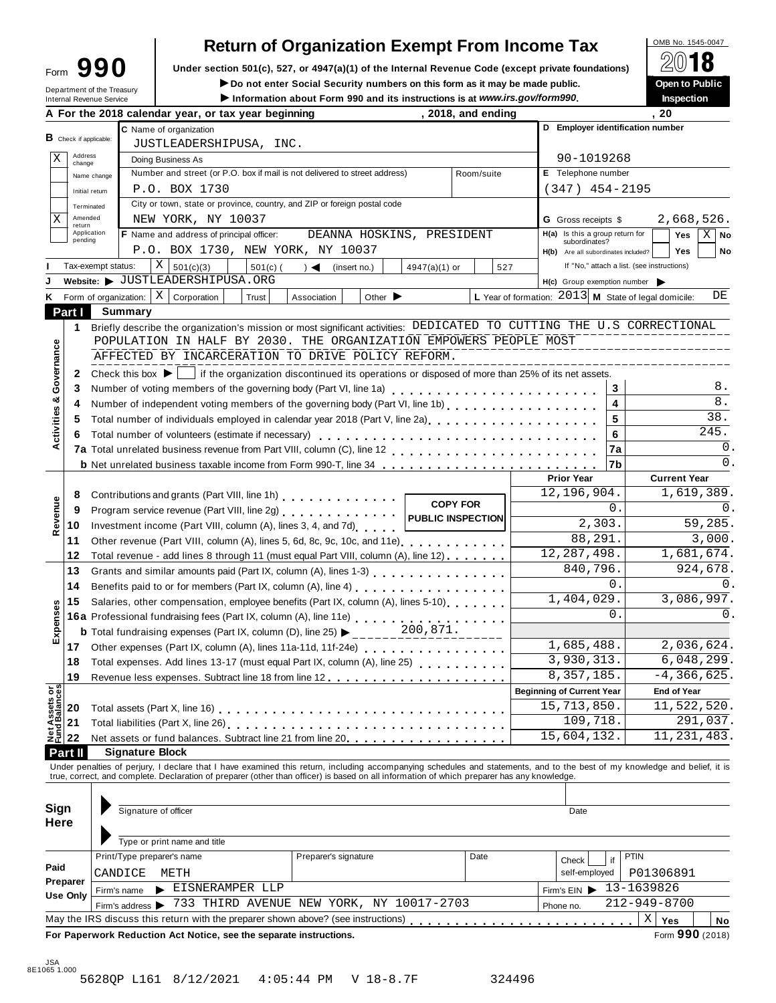| Form |                          | 90                         |
|------|--------------------------|----------------------------|
|      | Internal Revenue Service | Department of the Treasury |

## **Return of Organization Exempt From Income Tax**

**Under section 501(c), 527, or 4947(a)(1) of the Internal Revenue Code (except private foundations) <b>Form 990 E D** Do not enter Social Security numbers on this form as it may be made public. ● ● ● ● ● ● ● ● ● ● ● ● ●

 $\blacktriangleright$  Do not enter Social Security numbers on this form as it may be made public.

Information about Form 990 and its instructions is at www.irs.gov/form990.

|                                        |                               | , 2018, and ending<br>A For the 2018 calendar year, or tax year beginning                                                                                                                                                                                                                                                |                  |                                                                                         | ,20                              |
|----------------------------------------|-------------------------------|--------------------------------------------------------------------------------------------------------------------------------------------------------------------------------------------------------------------------------------------------------------------------------------------------------------------------|------------------|-----------------------------------------------------------------------------------------|----------------------------------|
|                                        | <b>B</b> Check if applicable: | C Name of organization                                                                                                                                                                                                                                                                                                   |                  | D Employer identification number                                                        |                                  |
|                                        | Address                       | JUSTLEADERSHIPUSA, INC.                                                                                                                                                                                                                                                                                                  |                  |                                                                                         |                                  |
| Х                                      | change                        | Doing Business As<br>Number and street (or P.O. box if mail is not delivered to street address)<br>Room/suite                                                                                                                                                                                                            |                  | 90-1019268<br>E Telephone number                                                        |                                  |
|                                        |                               | Name change<br>P.O. BOX 1730                                                                                                                                                                                                                                                                                             | $(347)$ 454-2195 |                                                                                         |                                  |
|                                        |                               | Initial return<br>City or town, state or province, country, and ZIP or foreign postal code                                                                                                                                                                                                                               |                  |                                                                                         |                                  |
| Χ                                      | Amended                       | Terminated<br>NEW YORK, NY 10037                                                                                                                                                                                                                                                                                         |                  |                                                                                         | 2,668,526.                       |
|                                        | return                        | F Name and address of principal officer:<br>Application<br>DEANNA HOSKINS, PRESIDENT                                                                                                                                                                                                                                     |                  | <b>G</b> Gross receipts \$<br>$H(a)$ Is this a group return for                         | $X \mid No$<br>Yes               |
|                                        | pending                       | P.O. BOX 1730, NEW YORK, NY 10037                                                                                                                                                                                                                                                                                        |                  | subordinates?                                                                           |                                  |
|                                        |                               | $X \mid$                                                                                                                                                                                                                                                                                                                 |                  | H(b) Are all subordinates included?<br>If "No," attach a list. (see instructions)       | <b>Yes</b><br>No                 |
|                                        |                               | Tax-exempt status:<br>501(c)(3)<br>$501(c)$ (<br>$) \triangleleft$ (insert no.)<br>$4947(a)(1)$ or<br>Website: JUSTLEADERSHIPUSA.ORG                                                                                                                                                                                     | 527              |                                                                                         |                                  |
|                                        |                               | $X \vert$ Corporation                                                                                                                                                                                                                                                                                                    |                  | $H(c)$ Group exemption number<br>L Year of formation: $2013$ M State of legal domicile: | DE                               |
|                                        | Part I                        | Form of organization:<br>Other $\blacktriangleright$<br>Trust<br>Association<br><b>Summary</b>                                                                                                                                                                                                                           |                  |                                                                                         |                                  |
|                                        |                               | Briefly describe the organization's mission or most significant activities: DEDICATED TO CUTTING THE U.S CORRECTIONAL                                                                                                                                                                                                    |                  |                                                                                         |                                  |
|                                        | 1.                            | POPULATION IN HALF BY 2030. THE ORGANIZATION EMPOWERS PEOPLE MOST                                                                                                                                                                                                                                                        |                  |                                                                                         |                                  |
|                                        |                               | AFFECTED BY INCARCERATION TO DRIVE POLICY REFORM.                                                                                                                                                                                                                                                                        |                  |                                                                                         |                                  |
|                                        | 2                             | Check this box $\blacktriangleright$                                                                                                                                                                                                                                                                                     |                  |                                                                                         |                                  |
| Governance                             | 3                             | if the organization discontinued its operations or disposed of more than 25% of its net assets.<br>Number of voting members of the governing body (Part VI, line 1a)                                                                                                                                                     |                  | 3                                                                                       | 8.                               |
| ಳ                                      | 4                             |                                                                                                                                                                                                                                                                                                                          |                  | 4                                                                                       | 8.                               |
|                                        | 5                             | Total number of individuals employed in calendar year 2018 (Part V, line 2a)<br>The 2a)                                                                                                                                                                                                                                  |                  | 5                                                                                       | 38.                              |
| Activities                             | 6                             |                                                                                                                                                                                                                                                                                                                          |                  | 6                                                                                       | 245.                             |
|                                        |                               |                                                                                                                                                                                                                                                                                                                          |                  | 7a                                                                                      | 0.                               |
|                                        |                               |                                                                                                                                                                                                                                                                                                                          |                  | l7b                                                                                     | 0.                               |
|                                        |                               |                                                                                                                                                                                                                                                                                                                          |                  | <b>Prior Year</b>                                                                       | <b>Current Year</b>              |
|                                        | 8                             | Contributions and grants (Part VIII, line 1h)                                                                                                                                                                                                                                                                            |                  | 12,196,904.                                                                             | 1,619,389.                       |
|                                        | 9                             | <b>COPY FOR</b>                                                                                                                                                                                                                                                                                                          |                  | 0                                                                                       | 0.                               |
| Revenue                                | 10                            | PUBLIC INSPECTION<br>Investment income (Part VIII, column (A), lines 3, 4, and 7d)                                                                                                                                                                                                                                       |                  | 2,303.                                                                                  | 59,285.                          |
|                                        | 11                            | Other revenue (Part VIII, column (A), lines 5, 6d, 8c, 9c, 10c, and 11e)                                                                                                                                                                                                                                                 |                  | 88,291.                                                                                 | $\overline{3}$ ,000.             |
|                                        | 12                            | Total revenue - add lines 8 through 11 (must equal Part VIII, column (A), line 12)                                                                                                                                                                                                                                       |                  | 12, 287, 498.                                                                           | 1,681,674.                       |
|                                        | 13                            |                                                                                                                                                                                                                                                                                                                          |                  | 840,796.                                                                                | 924,678.                         |
|                                        | 14                            | Benefits paid to or for members (Part IX, column (A), line 4) [10] cases are set of the set of the set of the set of the set of the set of the set of the set of the set of the set of the set of the set of the set of the se                                                                                           |                  | $^{\circ}$                                                                              | 0.                               |
|                                        | 15                            | Salaries, other compensation, employee benefits (Part IX, column (A), lines 5-10)                                                                                                                                                                                                                                        |                  | 1,404,029.                                                                              | 3,086,997.                       |
| Expenses                               |                               |                                                                                                                                                                                                                                                                                                                          |                  | $\Omega$ .                                                                              | 0.                               |
|                                        |                               |                                                                                                                                                                                                                                                                                                                          |                  |                                                                                         |                                  |
|                                        |                               | 17 Other expenses (Part IX, column (A), lines 11a-11d, 11f-24e)                                                                                                                                                                                                                                                          |                  | 1,685,488.                                                                              | 2,036,624.                       |
|                                        | 18                            | Total expenses. Add lines 13-17 (must equal Part IX, column (A), line 25)                                                                                                                                                                                                                                                |                  | 3,930,313.                                                                              | 6,048,299.                       |
|                                        | 19                            | Revenue less expenses. Subtract line 18 from line 12 [10] Nevenue less expenses. Subtract line 18 from line 12                                                                                                                                                                                                           |                  | 8,357,185.                                                                              | $-4,366,625.$                    |
|                                        |                               |                                                                                                                                                                                                                                                                                                                          |                  | <b>Beginning of Current Year</b>                                                        | <b>End of Year</b>               |
| <b>Net Assets or<br/>Fund Balances</b> | 20                            |                                                                                                                                                                                                                                                                                                                          |                  | 15,713,850.                                                                             | 11,522,520.                      |
|                                        | 21                            | Total liabilities (Part X, line 26)                                                                                                                                                                                                                                                                                      |                  | 109,718.                                                                                | 291,037.                         |
|                                        | 22                            | Net assets or fund balances. Subtract line 21 from line 20                                                                                                                                                                                                                                                               |                  | 15,604,132.                                                                             | 11, 231, 483.                    |
|                                        | Part II                       | <b>Signature Block</b>                                                                                                                                                                                                                                                                                                   |                  |                                                                                         |                                  |
|                                        |                               | Under penalties of perjury, I declare that I have examined this return, including accompanying schedules and statements, and to the best of my knowledge and belief, it is<br>true, correct, and complete. Declaration of preparer (other than officer) is based on all information of which preparer has any knowledge. |                  |                                                                                         |                                  |
|                                        |                               |                                                                                                                                                                                                                                                                                                                          |                  |                                                                                         |                                  |
| Sign                                   |                               | Signature of officer                                                                                                                                                                                                                                                                                                     |                  | Date                                                                                    |                                  |
| Here                                   |                               |                                                                                                                                                                                                                                                                                                                          |                  |                                                                                         |                                  |
|                                        |                               | Type or print name and title                                                                                                                                                                                                                                                                                             |                  |                                                                                         |                                  |
|                                        |                               | Print/Type preparer's name<br>Preparer's signature<br>Date                                                                                                                                                                                                                                                               |                  |                                                                                         | <b>PTIN</b>                      |
| Paid                                   |                               |                                                                                                                                                                                                                                                                                                                          |                  | if<br>Check                                                                             |                                  |
|                                        | Preparer                      | METH<br>CANDICE                                                                                                                                                                                                                                                                                                          |                  | self-employed                                                                           | P01306891                        |
|                                        | <b>Use Only</b>               | EISNERAMPER LLP<br>Firm's name                                                                                                                                                                                                                                                                                           |                  | Firm's $EIN$                                                                            | 13-1639826<br>$212 - 949 - 8700$ |
|                                        |                               | 733 THIRD AVENUE NEW YORK, NY 10017-2703<br>Firm's address $\blacktriangleright$                                                                                                                                                                                                                                         |                  | Phone no.                                                                               |                                  |
|                                        |                               | May the IRS discuss this return with the preparer shown above? (see instructions)                                                                                                                                                                                                                                        |                  |                                                                                         | Χ<br>Yes<br>No                   |

**For Paperwork Reduction Act Notice, see the separate instructions.** The **interval instructions** *Form* **990** (2018)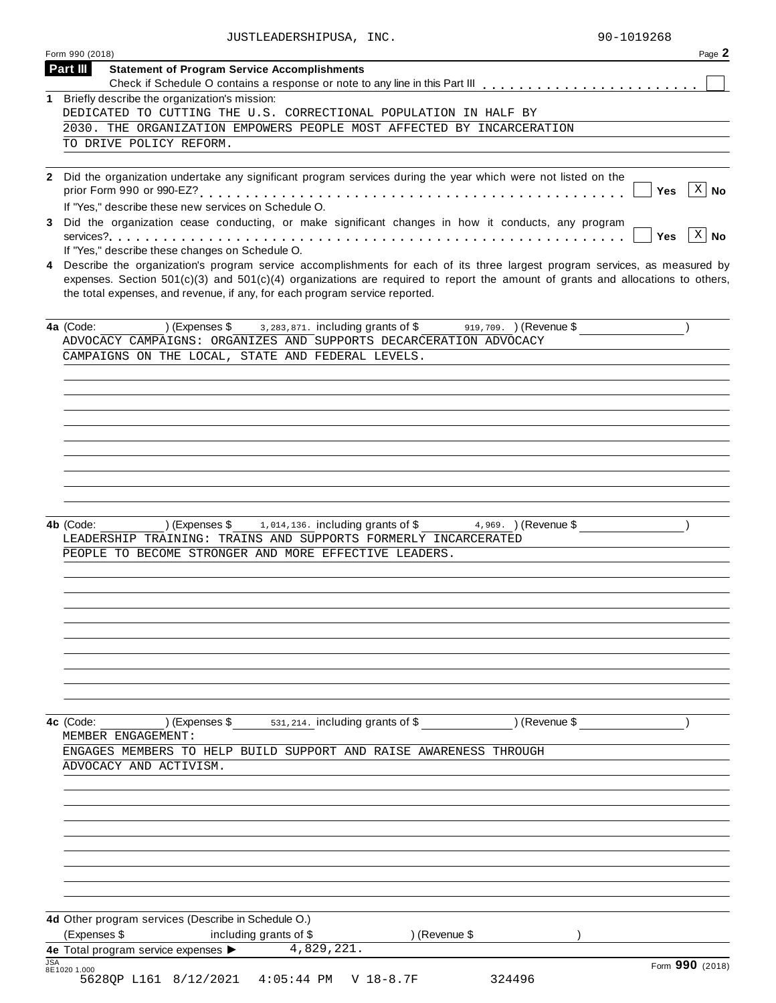|            | Form 990 (2018)                                                                                                                                                                                                                                                                                                                                                                                    | Page 2          |
|------------|----------------------------------------------------------------------------------------------------------------------------------------------------------------------------------------------------------------------------------------------------------------------------------------------------------------------------------------------------------------------------------------------------|-----------------|
|            | Part III<br><b>Statement of Program Service Accomplishments</b>                                                                                                                                                                                                                                                                                                                                    |                 |
| 1          | Briefly describe the organization's mission:                                                                                                                                                                                                                                                                                                                                                       |                 |
|            | DEDICATED TO CUTTING THE U.S. CORRECTIONAL POPULATION IN HALF BY                                                                                                                                                                                                                                                                                                                                   |                 |
|            | 2030. THE ORGANIZATION EMPOWERS PEOPLE MOST AFFECTED BY INCARCERATION                                                                                                                                                                                                                                                                                                                              |                 |
|            | TO DRIVE POLICY REFORM.                                                                                                                                                                                                                                                                                                                                                                            |                 |
|            |                                                                                                                                                                                                                                                                                                                                                                                                    |                 |
|            | 2 Did the organization undertake any significant program services during the year which were not listed on the<br>Yes<br>If "Yes," describe these new services on Schedule O.                                                                                                                                                                                                                      | $X \mid No$     |
|            | 3 Did the organization cease conducting, or make significant changes in how it conducts, any program<br><b>Yes</b>                                                                                                                                                                                                                                                                                 | $X \mid No$     |
| 4          | If "Yes," describe these changes on Schedule O.<br>Describe the organization's program service accomplishments for each of its three largest program services, as measured by<br>expenses. Section $501(c)(3)$ and $501(c)(4)$ organizations are required to report the amount of grants and allocations to others,<br>the total expenses, and revenue, if any, for each program service reported. |                 |
|            | 3, 283, 871. including grants of \$<br>4a (Code:<br>919,709. ) (Revenue \$<br>) (Expenses \$                                                                                                                                                                                                                                                                                                       |                 |
|            | ADVOCACY CAMPAIGNS: ORGANIZES AND SUPPORTS DECARCERATION ADVOCACY                                                                                                                                                                                                                                                                                                                                  |                 |
|            | CAMPAIGNS ON THE LOCAL, STATE AND FEDERAL LEVELS.                                                                                                                                                                                                                                                                                                                                                  |                 |
|            |                                                                                                                                                                                                                                                                                                                                                                                                    |                 |
|            |                                                                                                                                                                                                                                                                                                                                                                                                    |                 |
|            |                                                                                                                                                                                                                                                                                                                                                                                                    |                 |
|            |                                                                                                                                                                                                                                                                                                                                                                                                    |                 |
|            |                                                                                                                                                                                                                                                                                                                                                                                                    |                 |
|            |                                                                                                                                                                                                                                                                                                                                                                                                    |                 |
|            |                                                                                                                                                                                                                                                                                                                                                                                                    |                 |
|            |                                                                                                                                                                                                                                                                                                                                                                                                    |                 |
|            |                                                                                                                                                                                                                                                                                                                                                                                                    |                 |
|            | 1,014,136. including grants of \$<br>4b (Code:<br>) (Expenses \$<br>4,969. $($ Revenue \$<br>LEADERSHIP TRAINING: TRAINS AND SUPPORTS FORMERLY INCARCERATED<br>PEOPLE TO BECOME STRONGER AND MORE EFFECTIVE LEADERS.                                                                                                                                                                               |                 |
|            |                                                                                                                                                                                                                                                                                                                                                                                                    |                 |
|            |                                                                                                                                                                                                                                                                                                                                                                                                    |                 |
|            | 4c (Code: ) (Expenses \$ 531, 214. including grants of \$ ) (Revenue \$<br>MEMBER ENGAGEMENT:<br>ENGAGES MEMBERS TO HELP BUILD SUPPORT AND RAISE AWARENESS THROUGH                                                                                                                                                                                                                                 |                 |
|            | ADVOCACY AND ACTIVISM.                                                                                                                                                                                                                                                                                                                                                                             |                 |
|            |                                                                                                                                                                                                                                                                                                                                                                                                    |                 |
|            |                                                                                                                                                                                                                                                                                                                                                                                                    |                 |
|            |                                                                                                                                                                                                                                                                                                                                                                                                    |                 |
|            | 4d Other program services (Describe in Schedule O.)                                                                                                                                                                                                                                                                                                                                                |                 |
|            | (Expenses \$<br>including grants of \$<br>) (Revenue \$                                                                                                                                                                                                                                                                                                                                            |                 |
|            | 4.829,221.                                                                                                                                                                                                                                                                                                                                                                                         |                 |
| <b>JSA</b> |                                                                                                                                                                                                                                                                                                                                                                                                    | Form 990 (2018) |
|            | 8E1020 1.000<br>5628QP L161 8/12/2021<br>4:05:44 PM V 18-8.7F<br>324496                                                                                                                                                                                                                                                                                                                            |                 |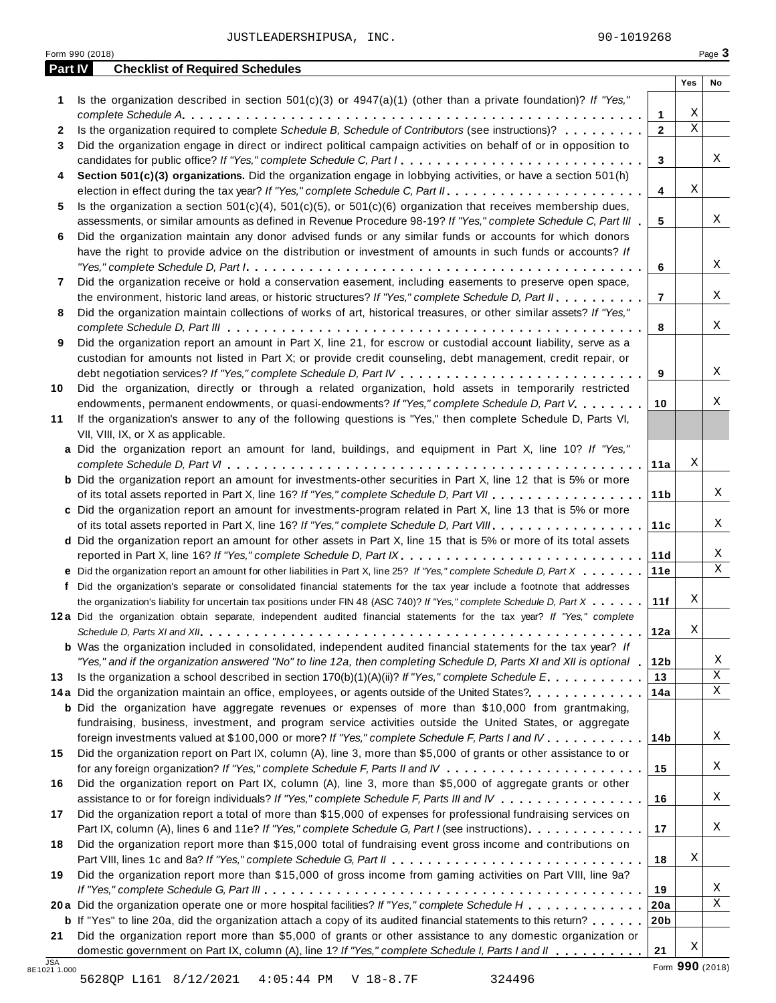| Part IV      | <b>Checklist of Required Schedules</b>                                                                                                                                                                                       |                 |             |    |
|--------------|------------------------------------------------------------------------------------------------------------------------------------------------------------------------------------------------------------------------------|-----------------|-------------|----|
|              |                                                                                                                                                                                                                              |                 | Yes         | No |
| 1            | Is the organization described in section $501(c)(3)$ or $4947(a)(1)$ (other than a private foundation)? If "Yes,"                                                                                                            |                 |             |    |
|              |                                                                                                                                                                                                                              | 1               | Χ           |    |
| $\mathbf{2}$ | Is the organization required to complete Schedule B, Schedule of Contributors (see instructions)?                                                                                                                            | $\mathbf{2}$    | $\mathbf X$ |    |
| 3            | Did the organization engage in direct or indirect political campaign activities on behalf of or in opposition to                                                                                                             |                 |             |    |
|              | candidates for public office? If "Yes," complete Schedule C, Part I.                                                                                                                                                         | 3               |             | Χ  |
| 4            | Section 501(c)(3) organizations. Did the organization engage in lobbying activities, or have a section 501(h)                                                                                                                |                 |             |    |
|              |                                                                                                                                                                                                                              | 4               | Χ           |    |
| 5            | Is the organization a section $501(c)(4)$ , $501(c)(5)$ , or $501(c)(6)$ organization that receives membership dues,                                                                                                         |                 |             |    |
|              | assessments, or similar amounts as defined in Revenue Procedure 98-19? If "Yes," complete Schedule C, Part III                                                                                                               | 5               |             | Χ  |
| 6            | Did the organization maintain any donor advised funds or any similar funds or accounts for which donors                                                                                                                      |                 |             |    |
|              | have the right to provide advice on the distribution or investment of amounts in such funds or accounts? If                                                                                                                  |                 |             | X  |
|              |                                                                                                                                                                                                                              | 6               |             |    |
| 7            | Did the organization receive or hold a conservation easement, including easements to preserve open space,                                                                                                                    | $\overline{7}$  |             | Χ  |
|              | the environment, historic land areas, or historic structures? If "Yes," complete Schedule D, Part II.<br>Did the organization maintain collections of works of art, historical treasures, or other similar assets? If "Yes," |                 |             |    |
| 8            |                                                                                                                                                                                                                              | 8               |             | Χ  |
| 9            | Did the organization report an amount in Part X, line 21, for escrow or custodial account liability, serve as a                                                                                                              |                 |             |    |
|              | custodian for amounts not listed in Part X; or provide credit counseling, debt management, credit repair, or                                                                                                                 |                 |             |    |
|              |                                                                                                                                                                                                                              | 9               |             | X  |
| 10           | Did the organization, directly or through a related organization, hold assets in temporarily restricted                                                                                                                      |                 |             |    |
|              | endowments, permanent endowments, or quasi-endowments? If "Yes," complete Schedule D, Part V.                                                                                                                                | 10              |             | Χ  |
| 11           | If the organization's answer to any of the following questions is "Yes," then complete Schedule D, Parts VI,                                                                                                                 |                 |             |    |
|              | VII, VIII, IX, or X as applicable.                                                                                                                                                                                           |                 |             |    |
|              | a Did the organization report an amount for land, buildings, and equipment in Part X, line 10? If "Yes,"                                                                                                                     |                 |             |    |
|              |                                                                                                                                                                                                                              | 11a             | Χ           |    |
|              | <b>b</b> Did the organization report an amount for investments-other securities in Part X, line 12 that is 5% or more                                                                                                        |                 |             |    |
|              |                                                                                                                                                                                                                              | 11 <sub>b</sub> |             | Χ  |
|              | c Did the organization report an amount for investments-program related in Part X, line 13 that is 5% or more                                                                                                                |                 |             |    |
|              |                                                                                                                                                                                                                              | 11c             |             | Χ  |
|              | d Did the organization report an amount for other assets in Part X, line 15 that is 5% or more of its total assets                                                                                                           |                 |             |    |
|              | reported in Part X, line 16? If "Yes," complete Schedule D, Part IX.                                                                                                                                                         | 11d             |             | Χ  |
|              | e Did the organization report an amount for other liabilities in Part X, line 25? If "Yes," complete Schedule D, Part X                                                                                                      | 11e             |             | X  |
| f            | Did the organization's separate or consolidated financial statements for the tax year include a footnote that addresses                                                                                                      |                 |             |    |
|              | the organization's liability for uncertain tax positions under FIN 48 (ASC 740)? If "Yes," complete Schedule D, Part X                                                                                                       | 11f             | Χ           |    |
|              | 12a Did the organization obtain separate, independent audited financial statements for the tax year? If "Yes," complete                                                                                                      |                 |             |    |
|              |                                                                                                                                                                                                                              | 12a             | Χ           |    |
|              | <b>b</b> Was the organization included in consolidated, independent audited financial statements for the tax year? If                                                                                                        |                 |             |    |
|              | "Yes," and if the organization answered "No" to line 12a, then completing Schedule D, Parts XI and XII is optional                                                                                                           | 12 <sub>b</sub> |             | Χ  |
| 13           | Is the organization a school described in section $170(b)(1)(A)(ii)?$ If "Yes," complete Schedule E.                                                                                                                         | 13              |             | Χ  |
|              | 14a Did the organization maintain an office, employees, or agents outside of the United States?                                                                                                                              | 14a             |             | Χ  |
|              | <b>b</b> Did the organization have aggregate revenues or expenses of more than \$10,000 from grantmaking,                                                                                                                    |                 |             |    |
|              | fundraising, business, investment, and program service activities outside the United States, or aggregate                                                                                                                    |                 |             | Χ  |
|              | foreign investments valued at \$100,000 or more? If "Yes," complete Schedule F, Parts I and IV                                                                                                                               | 14b             |             |    |
| 15           | Did the organization report on Part IX, column (A), line 3, more than \$5,000 of grants or other assistance to or                                                                                                            |                 |             | Χ  |
|              |                                                                                                                                                                                                                              | 15              |             |    |
| 16           | Did the organization report on Part IX, column (A), line 3, more than \$5,000 of aggregate grants or other<br>assistance to or for foreign individuals? If "Yes," complete Schedule F, Parts III and IV                      | 16              |             | Χ  |
| 17           | Did the organization report a total of more than \$15,000 of expenses for professional fundraising services on                                                                                                               |                 |             |    |
|              | Part IX, column (A), lines 6 and 11e? If "Yes," complete Schedule G, Part I (see instructions)                                                                                                                               | 17              |             | Χ  |
| 18           | Did the organization report more than \$15,000 total of fundraising event gross income and contributions on                                                                                                                  |                 |             |    |
|              |                                                                                                                                                                                                                              | 18              | Χ           |    |
| 19           | Did the organization report more than \$15,000 of gross income from gaming activities on Part VIII, line 9a?                                                                                                                 |                 |             |    |
|              |                                                                                                                                                                                                                              | 19              |             | Χ  |
|              | 20a Did the organization operate one or more hospital facilities? If "Yes," complete Schedule H                                                                                                                              | 20a             |             | X  |
|              | <b>b</b> If "Yes" to line 20a, did the organization attach a copy of its audited financial statements to this return?                                                                                                        | 20 <sub>b</sub> |             |    |
|              |                                                                                                                                                                                                                              |                 |             |    |
| 21           | Did the organization report more than \$5,000 of grants or other assistance to any domestic organization or                                                                                                                  |                 |             |    |

5628QP L161 8/12/2021 4:05:44 PM V 18-8.7F 324496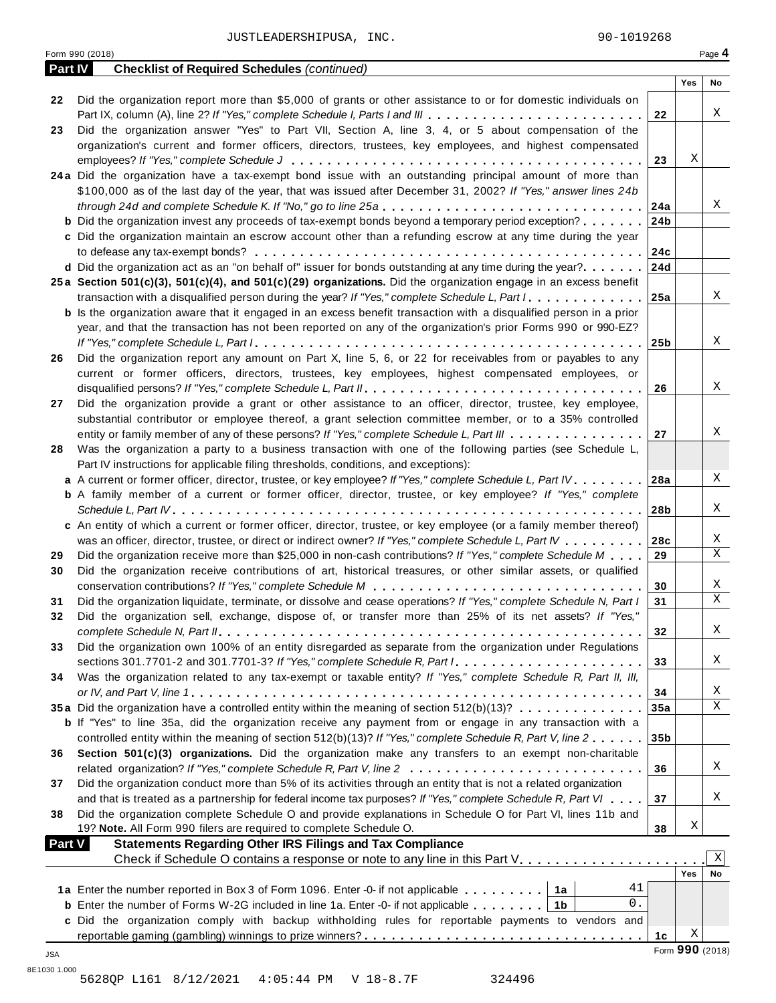Form <sup>990</sup> (2018) Page **4**

| <b>Part IV</b> | <b>Checklist of Required Schedules (continued)</b>                                                                        |                 |                 |              |
|----------------|---------------------------------------------------------------------------------------------------------------------------|-----------------|-----------------|--------------|
|                |                                                                                                                           |                 | Yes             | No           |
| 22             | Did the organization report more than \$5,000 of grants or other assistance to or for domestic individuals on             |                 |                 |              |
|                | Part IX, column (A), line 2? If "Yes," complete Schedule I, Parts I and III                                               | 22              |                 | Χ            |
| 23             | Did the organization answer "Yes" to Part VII, Section A, line 3, 4, or 5 about compensation of the                       |                 |                 |              |
|                | organization's current and former officers, directors, trustees, key employees, and highest compensated                   |                 |                 |              |
|                |                                                                                                                           | 23              | Χ               |              |
|                | 24a Did the organization have a tax-exempt bond issue with an outstanding principal amount of more than                   |                 |                 |              |
|                | \$100,000 as of the last day of the year, that was issued after December 31, 2002? If "Yes," answer lines 24b             |                 |                 |              |
|                | through 24d and complete Schedule K. If "No," go to line 25a                                                              | 24a             |                 | Χ            |
|                | <b>b</b> Did the organization invest any proceeds of tax-exempt bonds beyond a temporary period exception?                | 24 <sub>b</sub> |                 |              |
|                | c Did the organization maintain an escrow account other than a refunding escrow at any time during the year               |                 |                 |              |
|                |                                                                                                                           |                 |                 |              |
|                | <b>d</b> Did the organization act as an "on behalf of" issuer for bonds outstanding at any time during the year? 24d      |                 |                 |              |
|                |                                                                                                                           |                 |                 |              |
|                | 25a Section 501(c)(3), 501(c)(4), and 501(c)(29) organizations. Did the organization engage in an excess benefit          |                 |                 | X            |
|                | transaction with a disqualified person during the year? If "Yes," complete Schedule L, Part I.                            | 25a             |                 |              |
|                | <b>b</b> Is the organization aware that it engaged in an excess benefit transaction with a disqualified person in a prior |                 |                 |              |
|                | year, and that the transaction has not been reported on any of the organization's prior Forms 990 or 990-EZ?              |                 |                 |              |
|                |                                                                                                                           | 25 <sub>b</sub> |                 | Χ            |
| 26             | Did the organization report any amount on Part X, line 5, 6, or 22 for receivables from or payables to any                |                 |                 |              |
|                | current or former officers, directors, trustees, key employees, highest compensated employees, or                         |                 |                 |              |
|                |                                                                                                                           | 26              |                 | Χ            |
| 27             | Did the organization provide a grant or other assistance to an officer, director, trustee, key employee,                  |                 |                 |              |
|                | substantial contributor or employee thereof, a grant selection committee member, or to a 35% controlled                   |                 |                 |              |
|                | entity or family member of any of these persons? If "Yes," complete Schedule L, Part III                                  | 27              |                 | X            |
| 28             | Was the organization a party to a business transaction with one of the following parties (see Schedule L,                 |                 |                 |              |
|                | Part IV instructions for applicable filing thresholds, conditions, and exceptions):                                       |                 |                 |              |
|                | a A current or former officer, director, trustee, or key employee? If "Yes," complete Schedule L, Part IV                 | 28a             |                 | X            |
|                | <b>b</b> A family member of a current or former officer, director, trustee, or key employee? If "Yes," complete           |                 |                 |              |
|                |                                                                                                                           | 28b             |                 | Χ            |
|                | c An entity of which a current or former officer, director, trustee, or key employee (or a family member thereof)         |                 |                 |              |
|                | was an officer, director, trustee, or direct or indirect owner? If "Yes," complete Schedule L, Part IV                    | 28c             |                 | Χ            |
| 29             | Did the organization receive more than \$25,000 in non-cash contributions? If "Yes," complete Schedule M                  | 29              |                 | X            |
|                |                                                                                                                           |                 |                 |              |
| 30             | Did the organization receive contributions of art, historical treasures, or other similar assets, or qualified            |                 |                 | Χ            |
|                |                                                                                                                           | 30              |                 | X            |
| 31             | Did the organization liquidate, terminate, or dissolve and cease operations? If "Yes," complete Schedule N, Part I        | 31              |                 |              |
| 32             | Did the organization sell, exchange, dispose of, or transfer more than 25% of its net assets? If "Yes,"                   |                 |                 |              |
|                |                                                                                                                           | 32              |                 | Χ            |
| 33             | Did the organization own 100% of an entity disregarded as separate from the organization under Regulations                |                 |                 |              |
|                | sections 301.7701-2 and 301.7701-3? If "Yes," complete Schedule R, Part /                                                 | 33              |                 | Χ            |
| 34             | Was the organization related to any tax-exempt or taxable entity? If "Yes," complete Schedule R, Part II, III,            |                 |                 |              |
|                |                                                                                                                           | 34              |                 | Χ            |
|                | 35a Did the organization have a controlled entity within the meaning of section 512(b)(13)?                               | 35a             |                 | X            |
|                | <b>b</b> If "Yes" to line 35a, did the organization receive any payment from or engage in any transaction with a          |                 |                 |              |
|                | controlled entity within the meaning of section 512(b)(13)? If "Yes," complete Schedule R, Part V, line 2                 | 35 <sub>b</sub> |                 |              |
| 36             | Section 501(c)(3) organizations. Did the organization make any transfers to an exempt non-charitable                      |                 |                 |              |
|                | related organization? If "Yes," complete Schedule R, Part V, line 2                                                       | 36              |                 | X            |
| 37             | Did the organization conduct more than 5% of its activities through an entity that is not a related organization          |                 |                 |              |
|                | and that is treated as a partnership for federal income tax purposes? If "Yes," complete Schedule R, Part VI              | 37              |                 | Χ            |
| 38             | Did the organization complete Schedule O and provide explanations in Schedule O for Part VI, lines 11b and                |                 |                 |              |
|                | 19? Note. All Form 990 filers are required to complete Schedule O.                                                        | 38              | Χ               |              |
| <b>Part V</b>  | <b>Statements Regarding Other IRS Filings and Tax Compliance</b>                                                          |                 |                 |              |
|                | Check if Schedule O contains a response or note to any line in this Part V.                                               |                 |                 | $\mathbf{X}$ |
|                |                                                                                                                           |                 | Yes             | No           |
|                | 41                                                                                                                        |                 |                 |              |
|                | 1a Enter the number reported in Box 3 of Form 1096. Enter -0- if not applicable   1a                                      |                 |                 |              |
|                | 0.<br><b>b</b> Enter the number of Forms W-2G included in line 1a. Enter -0- if not applicable $\ldots \ldots$   1b       |                 |                 |              |
|                | c Did the organization comply with backup withholding rules for reportable payments to vendors and                        |                 |                 |              |
|                |                                                                                                                           | 1c              | Χ               |              |
| JSA            |                                                                                                                           |                 | Form 990 (2018) |              |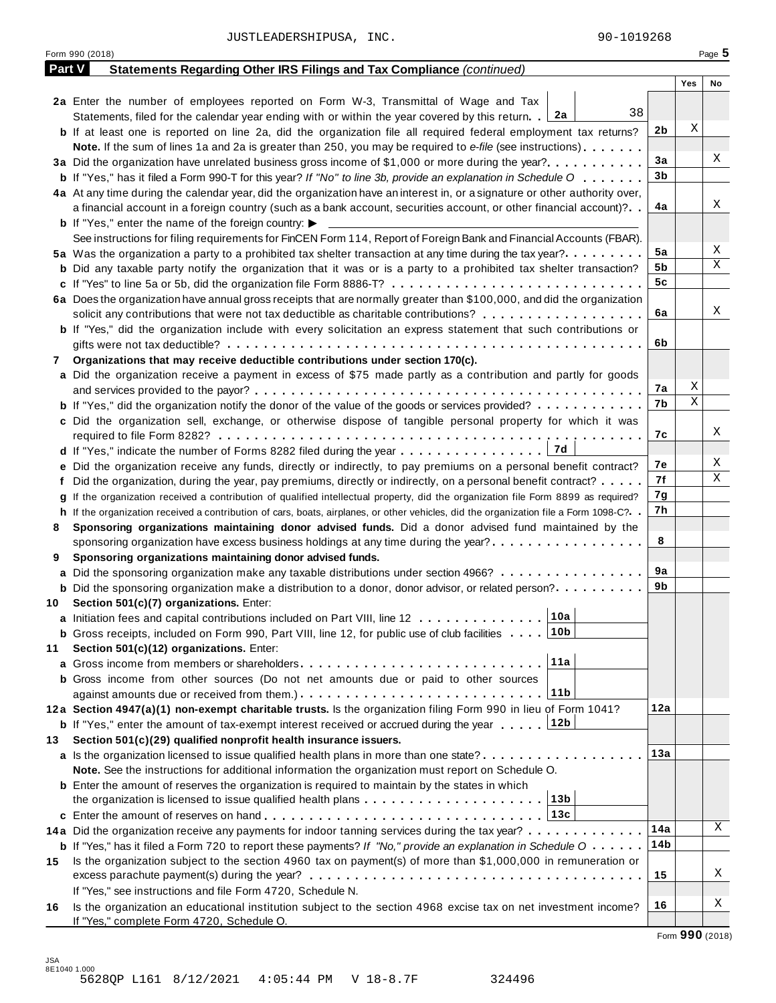|        | Form 990 (2018)                                                                                                                              |     |     | Page 5 |
|--------|----------------------------------------------------------------------------------------------------------------------------------------------|-----|-----|--------|
| Part V | Statements Regarding Other IRS Filings and Tax Compliance (continued)                                                                        |     |     |        |
|        |                                                                                                                                              |     | Yes | No     |
|        | 2a Enter the number of employees reported on Form W-3, Transmittal of Wage and Tax<br>38                                                     |     |     |        |
|        | Statements, filed for the calendar year ending with or within the year covered by this return. [2a                                           |     | Χ   |        |
|        | <b>b</b> If at least one is reported on line 2a, did the organization file all required federal employment tax returns?                      | 2b  |     |        |
|        | Note. If the sum of lines 1a and 2a is greater than 250, you may be required to e-file (see instructions)                                    |     |     |        |
|        | 3a Did the organization have unrelated business gross income of \$1,000 or more during the year?                                             | 3a  |     | Χ      |
|        | <b>b</b> If "Yes," has it filed a Form 990-T for this year? If "No" to line 3b, provide an explanation in Schedule O                         | 3b  |     |        |
|        | 4a At any time during the calendar year, did the organization have an interest in, or a signature or other authority over,                   |     |     |        |
|        | a financial account in a foreign country (such as a bank account, securities account, or other financial account)?                           | 4a  |     | Χ      |
|        | <b>b</b> If "Yes," enter the name of the foreign country: $\blacktriangleright$                                                              |     |     |        |
|        | See instructions for filing requirements for FinCEN Form 114, Report of Foreign Bank and Financial Accounts (FBAR).                          |     |     |        |
|        | 5a Was the organization a party to a prohibited tax shelter transaction at any time during the tax year?.                                    | 5a  |     | Χ      |
|        | <b>b</b> Did any taxable party notify the organization that it was or is a party to a prohibited tax shelter transaction?                    | 5b  |     | Χ      |
|        | c If "Yes" to line 5a or 5b, did the organization file Form 8886-T?                                                                          | 5c  |     |        |
|        | 6a Does the organization have annual gross receipts that are normally greater than \$100,000, and did the organization                       |     |     |        |
|        | solicit any contributions that were not tax deductible as charitable contributions?                                                          | 6a  |     | Χ      |
|        | <b>b</b> If "Yes," did the organization include with every solicitation an express statement that such contributions or                      |     |     |        |
|        |                                                                                                                                              | 6b  |     |        |
| 7      | Organizations that may receive deductible contributions under section 170(c).                                                                |     |     |        |
|        | a Did the organization receive a payment in excess of \$75 made partly as a contribution and partly for goods                                |     |     |        |
|        |                                                                                                                                              | 7а  | Χ   |        |
|        | <b>b</b> If "Yes," did the organization notify the donor of the value of the goods or services provided?                                     | 7b  | Χ   |        |
|        | c Did the organization sell, exchange, or otherwise dispose of tangible personal property for which it was                                   |     |     |        |
|        |                                                                                                                                              | 7с  |     | Χ      |
|        |                                                                                                                                              |     |     |        |
|        | e Did the organization receive any funds, directly or indirectly, to pay premiums on a personal benefit contract?                            | 7е  |     | Χ      |
|        | Did the organization, during the year, pay premiums, directly or indirectly, on a personal benefit contract?                                 | 7f  |     | Χ      |
|        | g If the organization received a contribution of qualified intellectual property, did the organization file Form 8899 as required?           | 7g  |     |        |
|        | h If the organization received a contribution of cars, boats, airplanes, or other vehicles, did the organization file a Form 1098-C?         | 7h  |     |        |
| 8      | Sponsoring organizations maintaining donor advised funds. Did a donor advised fund maintained by the                                         |     |     |        |
|        | sponsoring organization have excess business holdings at any time during the year? $\ldots$ , $\ldots$ , $\ldots$ , $\ldots$                 | 8   |     |        |
| 9      |                                                                                                                                              |     |     |        |
|        | Sponsoring organizations maintaining donor advised funds.                                                                                    | 9a  |     |        |
|        | a Did the sponsoring organization make any taxable distributions under section 4966?                                                         | 9b  |     |        |
|        | <b>b</b> Did the sponsoring organization make a distribution to a donor, donor advisor, or related person?                                   |     |     |        |
| 10     | Section 501(c)(7) organizations. Enter:<br> 10a                                                                                              |     |     |        |
|        | a Initiation fees and capital contributions included on Part VIII, line 12<br>10b                                                            |     |     |        |
|        | <b>b</b> Gross receipts, included on Form 990, Part VIII, line 12, for public use of club facilities                                         |     |     |        |
| 11     | Section 501(c)(12) organizations. Enter:<br>11a                                                                                              |     |     |        |
|        | <b>a</b> Gross income from members or shareholders                                                                                           |     |     |        |
|        | b Gross income from other sources (Do not net amounts due or paid to other sources                                                           |     |     |        |
|        | 11 <sub>b</sub>                                                                                                                              |     |     |        |
|        | 12a Section 4947(a)(1) non-exempt charitable trusts. Is the organization filing Form 990 in lieu of Form 1041?                               | 12a |     |        |
|        | <b>b</b> If "Yes," enter the amount of tax-exempt interest received or accrued during the year $\ldots$ [12b                                 |     |     |        |
| 13     | Section 501(c)(29) qualified nonprofit health insurance issuers.                                                                             |     |     |        |
|        | a Is the organization licensed to issue qualified health plans in more than one state?                                                       | 13а |     |        |
|        | Note. See the instructions for additional information the organization must report on Schedule O.                                            |     |     |        |
|        | <b>b</b> Enter the amount of reserves the organization is required to maintain by the states in which                                        |     |     |        |
|        | the organization is licensed to issue qualified health plans $\ldots \ldots \ldots \ldots \ldots \ldots \ldots$                              |     |     |        |
|        |                                                                                                                                              |     |     |        |
|        | 14a Did the organization receive any payments for indoor tanning services during the tax year?                                               | 14a |     | Χ      |
|        | <b>b</b> If "Yes," has it filed a Form 720 to report these payments? If "No," provide an explanation in Schedule $0 \cdot \cdot \cdot \cdot$ | 14b |     |        |
| 15     | Is the organization subject to the section 4960 tax on payment(s) of more than \$1,000,000 in remuneration or                                |     |     |        |
|        |                                                                                                                                              | 15  |     | Χ      |
|        | If "Yes," see instructions and file Form 4720, Schedule N.                                                                                   |     |     |        |
| 16     | Is the organization an educational institution subject to the section 4968 excise tax on net investment income?                              | 16  |     | Χ      |
|        | If "Yes," complete Form 4720, Schedule O.                                                                                                    |     |     |        |

Form **990** (2018)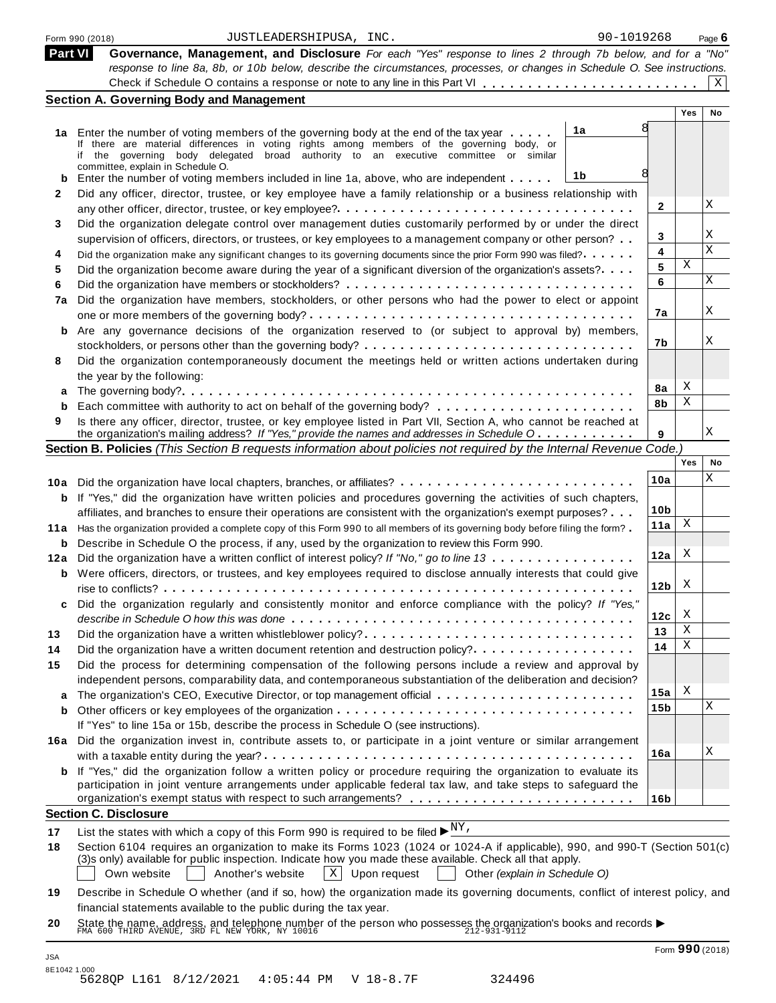|              | 90-1019268<br>JUSTLEADERSHIPUSA, INC.<br>Form 990 (2018)                                                                                                                                                                                                                                                                                                  |              |            | Page $6$        |
|--------------|-----------------------------------------------------------------------------------------------------------------------------------------------------------------------------------------------------------------------------------------------------------------------------------------------------------------------------------------------------------|--------------|------------|-----------------|
| Part VI      | Governance, Management, and Disclosure For each "Yes" response to lines 2 through 7b below, and for a "No"<br>response to line 8a, 8b, or 10b below, describe the circumstances, processes, or changes in Schedule O. See instructions.                                                                                                                   |              |            |                 |
|              |                                                                                                                                                                                                                                                                                                                                                           |              |            | $\mathbf{x}$    |
|              | <b>Section A. Governing Body and Management</b>                                                                                                                                                                                                                                                                                                           |              |            |                 |
|              |                                                                                                                                                                                                                                                                                                                                                           |              | <b>Yes</b> | No              |
|              | 1a<br>1a Enter the number of voting members of the governing body at the end of the tax year<br>If there are material differences in voting rights among members of the governing body, or<br>if the governing body delegated broad authority to an executive committee or similar<br>committee, explain in Schedule O.                                   |              |            |                 |
|              | 1b<br><b>b</b> Enter the number of voting members included in line 1a, above, who are independent $\dots$ .                                                                                                                                                                                                                                               |              |            |                 |
| $\mathbf{2}$ | Did any officer, director, trustee, or key employee have a family relationship or a business relationship with                                                                                                                                                                                                                                            |              |            |                 |
|              |                                                                                                                                                                                                                                                                                                                                                           | $\mathbf{2}$ |            | Χ               |
| 3            | Did the organization delegate control over management duties customarily performed by or under the direct                                                                                                                                                                                                                                                 |              |            |                 |
|              | supervision of officers, directors, or trustees, or key employees to a management company or other person?                                                                                                                                                                                                                                                | 3            |            | Χ               |
| 4            | Did the organization make any significant changes to its governing documents since the prior Form 990 was filed?.                                                                                                                                                                                                                                         | 4            |            | X               |
| 5            | Did the organization become aware during the year of a significant diversion of the organization's assets?                                                                                                                                                                                                                                                | 5            | X          |                 |
| 6            |                                                                                                                                                                                                                                                                                                                                                           | 6            |            | X               |
| 7a           | Did the organization have members, stockholders, or other persons who had the power to elect or appoint                                                                                                                                                                                                                                                   |              |            | Χ               |
|              |                                                                                                                                                                                                                                                                                                                                                           | 7a           |            |                 |
|              | <b>b</b> Are any governance decisions of the organization reserved to (or subject to approval by) members,                                                                                                                                                                                                                                                |              |            | Χ               |
|              |                                                                                                                                                                                                                                                                                                                                                           | 7b           |            |                 |
| 8            | Did the organization contemporaneously document the meetings held or written actions undertaken during                                                                                                                                                                                                                                                    |              |            |                 |
|              | the year by the following:                                                                                                                                                                                                                                                                                                                                | 8a           | X          |                 |
| a<br>b       |                                                                                                                                                                                                                                                                                                                                                           | 8b           | Χ          |                 |
| 9            | Is there any officer, director, trustee, or key employee listed in Part VII, Section A, who cannot be reached at                                                                                                                                                                                                                                          |              |            |                 |
|              | the organization's mailing address? If "Yes," provide the names and addresses in Schedule O                                                                                                                                                                                                                                                               | 9            |            | X               |
|              | Section B. Policies (This Section B requests information about policies not required by the Internal Revenue Code.)                                                                                                                                                                                                                                       |              |            |                 |
|              |                                                                                                                                                                                                                                                                                                                                                           |              | Yes        | No              |
|              | 10a Did the organization have local chapters, branches, or affiliates?                                                                                                                                                                                                                                                                                    | 10a          |            | X               |
|              | <b>b</b> If "Yes," did the organization have written policies and procedures governing the activities of such chapters,                                                                                                                                                                                                                                   |              |            |                 |
|              | affiliates, and branches to ensure their operations are consistent with the organization's exempt purposes?                                                                                                                                                                                                                                               | 10b          |            |                 |
|              |                                                                                                                                                                                                                                                                                                                                                           | 11a          | X          |                 |
|              | 11a Has the organization provided a complete copy of this Form 990 to all members of its governing body before filing the form?                                                                                                                                                                                                                           |              |            |                 |
| b            | Describe in Schedule O the process, if any, used by the organization to review this Form 990.<br>12a Did the organization have a written conflict of interest policy? If "No," go to line 13                                                                                                                                                              | 12a          | Χ          |                 |
|              | <b>b</b> Were officers, directors, or trustees, and key employees required to disclose annually interests that could give                                                                                                                                                                                                                                 |              |            |                 |
|              |                                                                                                                                                                                                                                                                                                                                                           | 12b          | X          |                 |
| c            | Did the organization regularly and consistently monitor and enforce compliance with the policy? If "Yes,"                                                                                                                                                                                                                                                 |              |            |                 |
|              |                                                                                                                                                                                                                                                                                                                                                           | 12c          | X          |                 |
| 13           |                                                                                                                                                                                                                                                                                                                                                           | 13           | Χ          |                 |
| 14           | Did the organization have a written document retention and destruction policy?                                                                                                                                                                                                                                                                            | 14           | х          |                 |
| 15           | Did the process for determining compensation of the following persons include a review and approval by                                                                                                                                                                                                                                                    |              |            |                 |
|              | independent persons, comparability data, and contemporaneous substantiation of the deliberation and decision?                                                                                                                                                                                                                                             |              |            |                 |
| a            |                                                                                                                                                                                                                                                                                                                                                           | 15a          | X          |                 |
| b            |                                                                                                                                                                                                                                                                                                                                                           | 15b          |            | Χ               |
|              | If "Yes" to line 15a or 15b, describe the process in Schedule O (see instructions).                                                                                                                                                                                                                                                                       |              |            |                 |
|              | 16a Did the organization invest in, contribute assets to, or participate in a joint venture or similar arrangement                                                                                                                                                                                                                                        |              |            |                 |
|              |                                                                                                                                                                                                                                                                                                                                                           | 16a          |            | Χ               |
|              | <b>b</b> If "Yes," did the organization follow a written policy or procedure requiring the organization to evaluate its                                                                                                                                                                                                                                   |              |            |                 |
|              | participation in joint venture arrangements under applicable federal tax law, and take steps to safeguard the                                                                                                                                                                                                                                             |              |            |                 |
|              |                                                                                                                                                                                                                                                                                                                                                           | 16b          |            |                 |
|              | <b>Section C. Disclosure</b>                                                                                                                                                                                                                                                                                                                              |              |            |                 |
| 17<br>18     | List the states with which a copy of this Form 990 is required to be filed $\blacktriangleright^{\text{NY}}$ .<br>Section 6104 requires an organization to make its Forms 1023 (1024 or 1024-A if applicable), 990, and 990-T (Section 501(c)<br>(3)s only) available for public inspection. Indicate how you made these available. Check all that apply. |              |            |                 |
|              | $\mathbf{X}$<br>Own website<br>Another's website<br>Upon request<br>Other (explain in Schedule O)                                                                                                                                                                                                                                                         |              |            |                 |
| 19           | Describe in Schedule O whether (and if so, how) the organization made its governing documents, conflict of interest policy, and                                                                                                                                                                                                                           |              |            |                 |
| 20           | financial statements available to the public during the tax year.                                                                                                                                                                                                                                                                                         |              |            |                 |
|              | State the name, address, and telephone number of the person who possesses the organization's books and records $\blacktriangleright$ FMA 600 THIRD AVENUE, 3RD FL NEW YORK, NY 10016                                                                                                                                                                      |              |            |                 |
| <b>JSA</b>   |                                                                                                                                                                                                                                                                                                                                                           |              |            | Form 990 (2018) |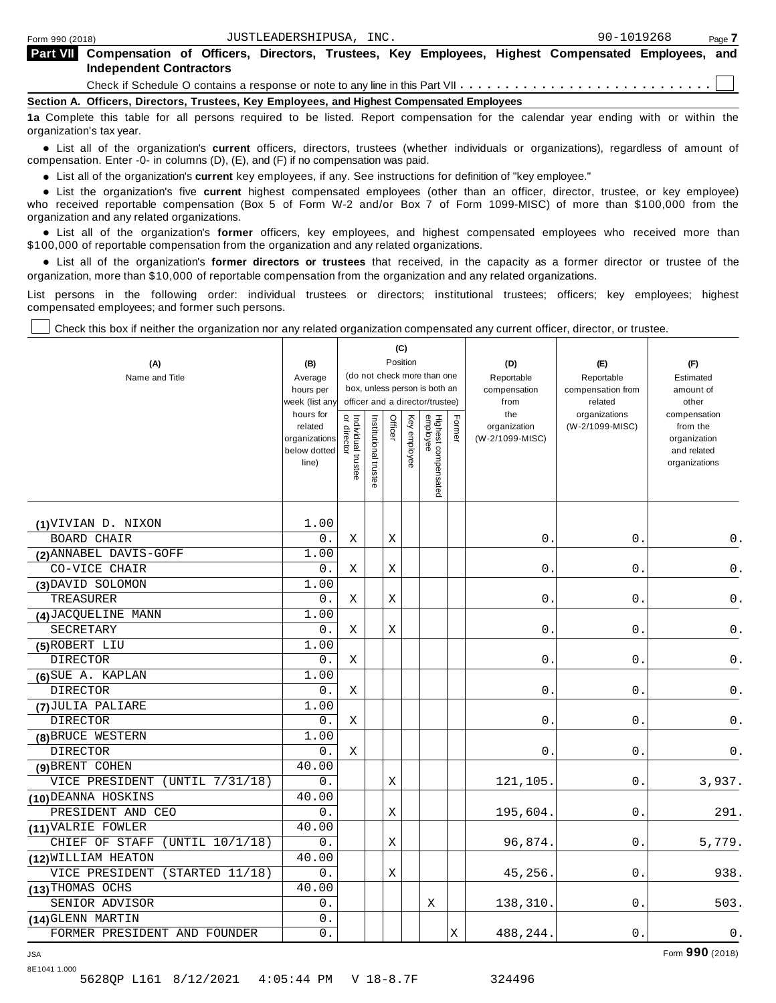| Part VII Compensation of Officers, Directors, Trustees, Key Employees, Highest Compensated Employees, and                                  |  |  |  |  |  |
|--------------------------------------------------------------------------------------------------------------------------------------------|--|--|--|--|--|
| <b>Independent Contractors</b>                                                                                                             |  |  |  |  |  |
| Check if Schedule O contains a response or note to any line in this Part VII $\dots \dots \dots \dots \dots \dots \dots \dots \dots \dots$ |  |  |  |  |  |

**Section A. Officers, Directors, Trustees, Key Employees, and Highest Compensated Employees**

**1a** Complete this table for all persons required to be listed. Report compensation for the calendar year ending with or within the organization's tax year.

anization's lax year.<br>● List all of the organization's **current** officers, directors, trustees (whether individuals or organizations), regardless of amount of<br>nnensation Enter -0- in columns (D) (E) and (E) if no compensa compensation. Enter -0- in columns (D), (E), and (F) if no compensation was paid.

• List all of the organization's **current** key employees, if any. See instructions for definition of "key employee."<br>● List the experientials five expect highest expressed explores (other than an efficer director of

**Example in the organization's current** key employees, if any. See instructions for definition of key employee.<br>• List the organization's five **current** highest compensated employees (other than an officer, director, trust who received reportable compensation (Box 5 of Form W-2 and/or Box 7 of Form 1099-MISC) of more than \$100,000 from the

organization and any related organizations.<br>• List all of the organization's **former** officers, key employees, and highest compensated employees who received more than<br>\$1.00.000 of reportable componention from the erganiza \$100,000 of reportable compensation from the organization and any related organizations.

% List all of the organization's **former directors or trustees** that received, in the capacity as a former director or trustee of the organization, more than \$10,000 of reportable compensation from the organization and any related organizations.

List persons in the following order: individual trustees or directors; institutional trustees; officers; key employees; highest compensated employees; and former such persons.

Check this box if neither the organization nor any related organization compensated any current officer, director, or trustee.

|                                    |                                         |                                   |                       |         | (C)          |                                                              |             |                      |                              |                             |
|------------------------------------|-----------------------------------------|-----------------------------------|-----------------------|---------|--------------|--------------------------------------------------------------|-------------|----------------------|------------------------------|-----------------------------|
| (A)                                | (B)                                     |                                   |                       |         | Position     |                                                              |             | (D)                  | (E)                          | (F)                         |
| Name and Title                     | Average                                 |                                   |                       |         |              | (do not check more than one<br>box, unless person is both an |             | Reportable           | Reportable                   | Estimated<br>amount of      |
|                                    | hours per<br>week (list an <sub>'</sub> |                                   |                       |         |              | officer and a director/trustee)                              |             | compensation<br>from | compensation from<br>related | other                       |
|                                    | hours for                               |                                   |                       |         |              |                                                              |             | the                  | organizations                | compensation                |
|                                    | related                                 | Individual trustee<br>or director | Institutional trustee | Officer | Key employee | Highest compensated<br>employee                              | Former      | organization         | (W-2/1099-MISC)              | from the                    |
|                                    | organizations<br>below dotted           |                                   |                       |         |              |                                                              |             | (W-2/1099-MISC)      |                              | organization<br>and related |
|                                    | line)                                   |                                   |                       |         |              |                                                              |             |                      |                              | organizations               |
|                                    |                                         |                                   |                       |         |              |                                                              |             |                      |                              |                             |
|                                    |                                         |                                   |                       |         |              |                                                              |             |                      |                              |                             |
|                                    |                                         |                                   |                       |         |              |                                                              |             |                      |                              |                             |
| (1) VIVIAN D. NIXON                | 1.00                                    |                                   |                       |         |              |                                                              |             |                      |                              |                             |
| <b>BOARD CHAIR</b>                 | 0.                                      | Χ                                 |                       | Χ       |              |                                                              |             | 0.                   | 0.                           | 0.                          |
| (2) ANNABEL DAVIS-GOFF             | 1.00                                    |                                   |                       |         |              |                                                              |             |                      |                              |                             |
| CO-VICE CHAIR                      | 0.                                      | X                                 |                       | Χ       |              |                                                              |             | $0$ .                | $0$ .                        | $\mathsf 0$ .               |
| (3) DAVID SOLOMON                  | 1.00                                    |                                   |                       |         |              |                                                              |             |                      |                              |                             |
| TREASURER                          | 0.                                      | X                                 |                       | Χ       |              |                                                              |             | $0$ .                | $0$ .                        | 0.                          |
| (4) JACQUELINE MANN                | 1.00                                    |                                   |                       |         |              |                                                              |             |                      |                              |                             |
| SECRETARY                          | 0.                                      | Χ                                 |                       | Χ       |              |                                                              |             | 0.                   | $0$ .                        | $\mathsf 0$ .               |
| (5) ROBERT LIU                     | 1.00                                    |                                   |                       |         |              |                                                              |             |                      |                              |                             |
| <b>DIRECTOR</b>                    | 0.                                      | Χ                                 |                       |         |              |                                                              |             | 0.                   | 0.                           | 0.                          |
| (6) SUE A. KAPLAN                  | 1.00                                    |                                   |                       |         |              |                                                              |             |                      |                              |                             |
| <b>DIRECTOR</b>                    | 0.                                      | X                                 |                       |         |              |                                                              |             | 0.                   | 0.                           | 0.                          |
| (7) JULIA PALIARE                  | 1.00                                    |                                   |                       |         |              |                                                              |             |                      |                              |                             |
| <b>DIRECTOR</b>                    | 0.                                      | X                                 |                       |         |              |                                                              |             | 0.                   | 0.                           | 0.                          |
| (8) BRUCE WESTERN                  | 1.00                                    |                                   |                       |         |              |                                                              |             |                      |                              |                             |
| <b>DIRECTOR</b>                    | 0.                                      | Χ                                 |                       |         |              |                                                              |             | $\mathsf{O}$ .       | $0$ .                        | 0.                          |
| (9) BRENT COHEN                    | 40.00                                   |                                   |                       |         |              |                                                              |             |                      |                              |                             |
| (UNTIL 7/31/18)<br>VICE PRESIDENT  | 0.                                      |                                   |                       | Χ       |              |                                                              |             | 121,105.             | 0.                           | 3,937.                      |
| (10) DEANNA HOSKINS                | 40.00                                   |                                   |                       |         |              |                                                              |             |                      |                              |                             |
| PRESIDENT AND CEO                  | 0.                                      |                                   |                       | Χ       |              |                                                              |             | 195,604.             | 0.                           | 291.                        |
| (11) VALRIE FOWLER                 | 40.00                                   |                                   |                       |         |              |                                                              |             |                      |                              |                             |
| CHIEF OF STAFF<br>(UNITIL 10/1/18) | $0$ .                                   |                                   |                       | Χ       |              |                                                              |             | 96,874.              | 0.                           | 5,779.                      |
| (12) WILLIAM HEATON                | 40.00                                   |                                   |                       |         |              |                                                              |             |                      |                              |                             |
| VICE PRESIDENT (STARTED 11/18)     | 0.                                      |                                   |                       | Χ       |              |                                                              |             | 45,256.              | 0.                           | 938.                        |
| (13) THOMAS OCHS                   | 40.00                                   |                                   |                       |         |              |                                                              |             |                      |                              |                             |
| SENIOR ADVISOR                     | 0.                                      |                                   |                       |         |              | Χ                                                            |             | 138,310.             | 0.                           | 503.                        |
| (14) GLENN MARTIN                  | 0.                                      |                                   |                       |         |              |                                                              |             |                      |                              |                             |
| FORMER PRESIDENT AND FOUNDER       | 0.                                      |                                   |                       |         |              |                                                              | $\mathbf X$ | 488,244.             | $0$ .                        | $0$ .                       |

8E1041 1.000

JSA Form **990** (2018)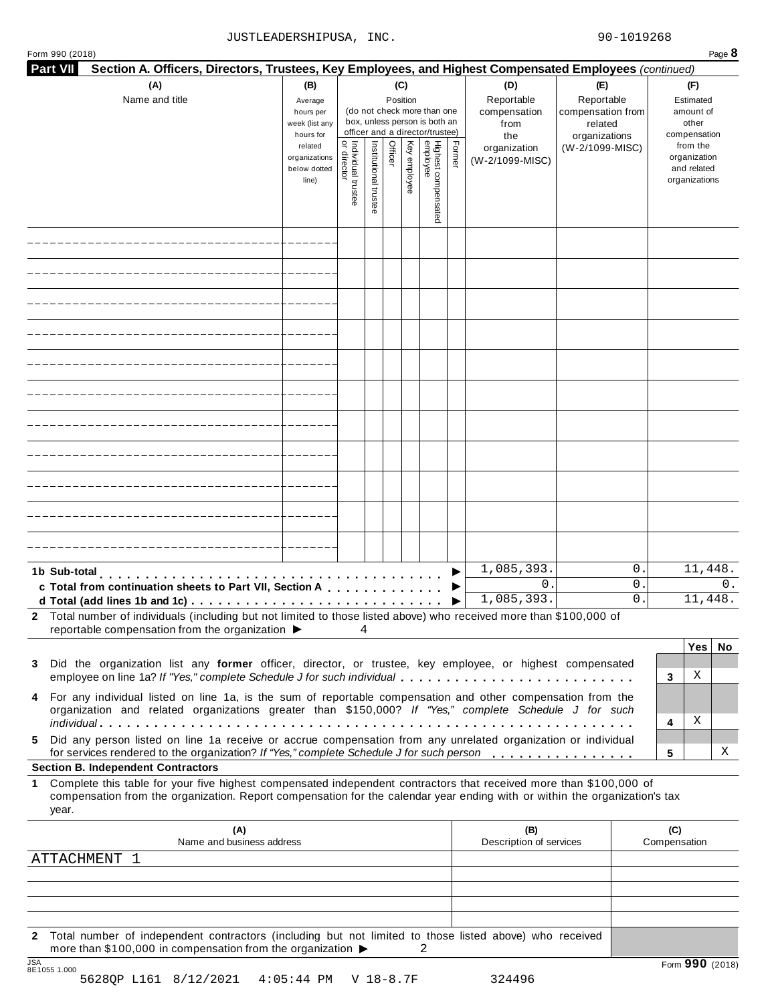| Form 990 (2018)                                                                                                                                                                                                                                                                                  |                                                            |                                   |                       |                 |              |                                                                                                 |        |                                                  |                                                                    | Page 8                                                   |
|--------------------------------------------------------------------------------------------------------------------------------------------------------------------------------------------------------------------------------------------------------------------------------------------------|------------------------------------------------------------|-----------------------------------|-----------------------|-----------------|--------------|-------------------------------------------------------------------------------------------------|--------|--------------------------------------------------|--------------------------------------------------------------------|----------------------------------------------------------|
| <b>Part VII</b><br>Section A. Officers, Directors, Trustees, Key Employees, and Highest Compensated Employees (continued)                                                                                                                                                                        |                                                            |                                   |                       |                 |              |                                                                                                 |        |                                                  |                                                                    |                                                          |
| (A)<br>Name and title                                                                                                                                                                                                                                                                            | (B)<br>Average<br>hours per<br>week (list any<br>hours for |                                   |                       | (C)<br>Position |              | (do not check more than one<br>box, unless person is both an<br>officer and a director/trustee) |        | (D)<br>Reportable<br>compensation<br>from<br>the | (E)<br>Reportable<br>compensation from<br>related<br>organizations | (F)<br>Estimated<br>amount of<br>other<br>compensation   |
|                                                                                                                                                                                                                                                                                                  | related<br>organizations<br>below dotted<br>line)          | Individual trustee<br>or director | Institutional trustee | Officer         | Key employee | Highest compensated<br>employee                                                                 | Former | organization<br>(W-2/1099-MISC)                  | (W-2/1099-MISC)                                                    | from the<br>organization<br>and related<br>organizations |
|                                                                                                                                                                                                                                                                                                  |                                                            |                                   |                       |                 |              |                                                                                                 |        |                                                  |                                                                    |                                                          |
|                                                                                                                                                                                                                                                                                                  |                                                            |                                   |                       |                 |              |                                                                                                 |        |                                                  |                                                                    |                                                          |
|                                                                                                                                                                                                                                                                                                  |                                                            |                                   |                       |                 |              |                                                                                                 |        |                                                  |                                                                    |                                                          |
|                                                                                                                                                                                                                                                                                                  |                                                            |                                   |                       |                 |              |                                                                                                 |        |                                                  |                                                                    |                                                          |
|                                                                                                                                                                                                                                                                                                  |                                                            |                                   |                       |                 |              |                                                                                                 |        |                                                  |                                                                    |                                                          |
|                                                                                                                                                                                                                                                                                                  |                                                            |                                   |                       |                 |              |                                                                                                 |        |                                                  |                                                                    |                                                          |
|                                                                                                                                                                                                                                                                                                  |                                                            |                                   |                       |                 |              |                                                                                                 |        |                                                  |                                                                    |                                                          |
|                                                                                                                                                                                                                                                                                                  |                                                            |                                   |                       |                 |              |                                                                                                 |        |                                                  |                                                                    |                                                          |
|                                                                                                                                                                                                                                                                                                  |                                                            |                                   |                       |                 |              |                                                                                                 |        |                                                  |                                                                    |                                                          |
|                                                                                                                                                                                                                                                                                                  |                                                            |                                   |                       |                 |              |                                                                                                 |        |                                                  |                                                                    |                                                          |
|                                                                                                                                                                                                                                                                                                  |                                                            |                                   |                       |                 |              |                                                                                                 |        |                                                  |                                                                    |                                                          |
| 1b Sub-total<br>c Total from continuation sheets to Part VII, Section A<br>d Total (add lines 1b and 1c) $\ldots \ldots \ldots \ldots \ldots \ldots \ldots \ldots \ldots \ldots \ldots$                                                                                                          |                                                            |                                   |                       |                 |              |                                                                                                 | ▶<br>▶ | 1,085,393.<br>$\mathbf 0$ .<br>1,085,393.        | 0.<br>0.<br>$\mathbf 0$ .                                          | 11,448.<br>0.<br>11,448.                                 |
| 2 Total number of individuals (including but not limited to those listed above) who received more than \$100,000 of<br>reportable compensation from the organization $\blacktriangleright$                                                                                                       |                                                            |                                   | 4                     |                 |              |                                                                                                 |        |                                                  |                                                                    |                                                          |
| Did the organization list any former officer, director, or trustee, key employee, or highest compensated<br>3.                                                                                                                                                                                   |                                                            |                                   |                       |                 |              |                                                                                                 |        |                                                  |                                                                    | Yes  <br>No<br>Χ                                         |
| employee on line 1a? If "Yes," complete Schedule J for such individual<br>4 For any individual listed on line 1a, is the sum of reportable compensation and other compensation from the<br>organization and related organizations greater than \$150,000? If "Yes," complete Schedule J for such |                                                            |                                   |                       |                 |              |                                                                                                 |        |                                                  |                                                                    | 3<br>Χ<br>4                                              |
| Did any person listed on line 1a receive or accrue compensation from any unrelated organization or individual<br>5.<br>for services rendered to the organization? If "Yes," complete Schedule J for such person                                                                                  |                                                            |                                   |                       |                 |              |                                                                                                 |        |                                                  |                                                                    | X<br>5                                                   |
| <b>Section B. Independent Contractors</b>                                                                                                                                                                                                                                                        |                                                            |                                   |                       |                 |              |                                                                                                 |        |                                                  |                                                                    |                                                          |
| Complete this table for your five highest compensated independent contractors that received more than \$100,000 of<br>1.<br>compensation from the organization. Report compensation for the calendar year ending with or within the organization's tax<br>year.                                  |                                                            |                                   |                       |                 |              |                                                                                                 |        |                                                  |                                                                    |                                                          |
| (A)<br>Name and business address                                                                                                                                                                                                                                                                 |                                                            |                                   |                       |                 |              |                                                                                                 |        | (B)<br>Description of services                   |                                                                    | (C)<br>Compensation                                      |
| ATTACHMENT 1                                                                                                                                                                                                                                                                                     |                                                            |                                   |                       |                 |              |                                                                                                 |        |                                                  |                                                                    |                                                          |
|                                                                                                                                                                                                                                                                                                  |                                                            |                                   |                       |                 |              |                                                                                                 |        |                                                  |                                                                    |                                                          |
| Total number of independent contractors (including but not limited to those listed above) who received<br>2                                                                                                                                                                                      |                                                            |                                   |                       |                 |              |                                                                                                 |        |                                                  |                                                                    |                                                          |
| more than \$100,000 in compensation from the organization ▶                                                                                                                                                                                                                                      |                                                            |                                   |                       |                 |              | 2                                                                                               |        |                                                  |                                                                    |                                                          |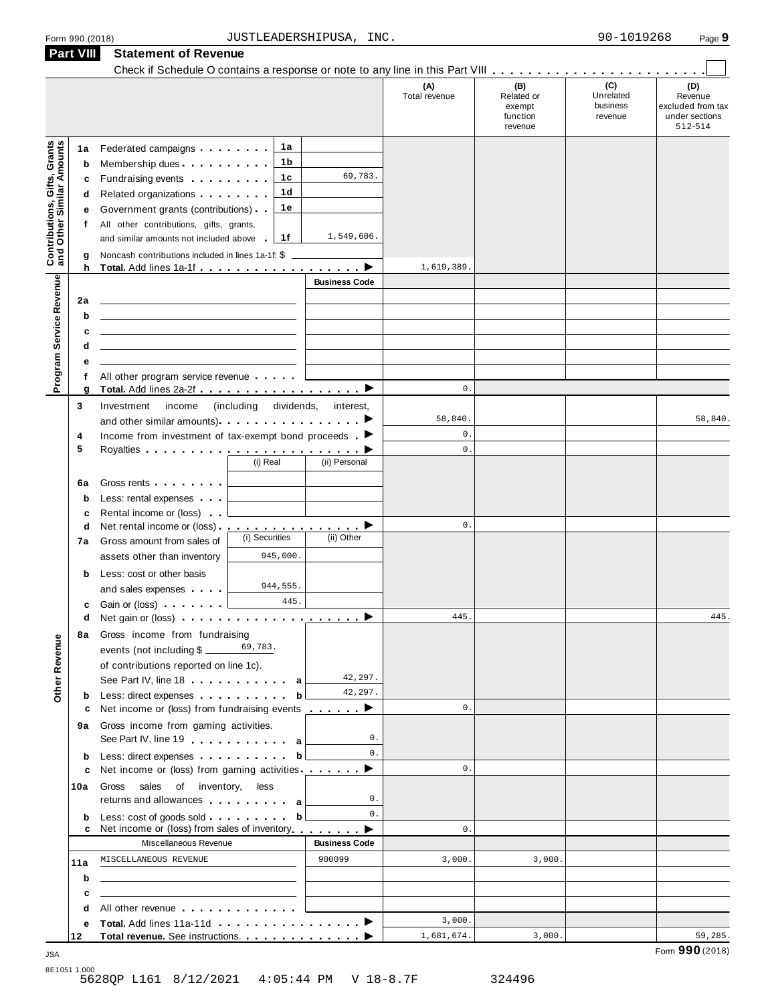| Form 990 (2018) |  |  |  |
|-----------------|--|--|--|
|-----------------|--|--|--|

|                                                                  | <b>Part VIII</b>                      | <b>Statement of Revenue</b>                                                                                                                                                                                                                                                                                                                                                    |                                              |                                               |                                             |                                                    |                                         |                                                                  |
|------------------------------------------------------------------|---------------------------------------|--------------------------------------------------------------------------------------------------------------------------------------------------------------------------------------------------------------------------------------------------------------------------------------------------------------------------------------------------------------------------------|----------------------------------------------|-----------------------------------------------|---------------------------------------------|----------------------------------------------------|-----------------------------------------|------------------------------------------------------------------|
|                                                                  |                                       |                                                                                                                                                                                                                                                                                                                                                                                |                                              |                                               | (A)<br>Total revenue                        | (B)<br>Related or<br>exempt<br>function<br>revenue | (C)<br>Unrelated<br>business<br>revenue | (D)<br>Revenue<br>excluded from tax<br>under sections<br>512-514 |
| <b>Contributions, Gifts, Grants</b><br>and Other Similar Amounts | 1a<br>b<br>c<br>d<br>е<br>f<br>g<br>h | Federated campaigns <b>Federated</b><br>Membership dues<br>Fundraising events <b>Fundraising</b><br>Related organizations <b>contains</b> and <b>Related</b> organizations <b>and relations</b><br>Government grants (contributions)<br>All other contributions, gifts, grants,<br>and similar amounts not included above<br>Noncash contributions included in lines 1a-1f: \$ | 1a<br>1b<br>1c<br>1 <sub>d</sub><br>1е<br>1f | 69,783.<br>1,549,606.<br><b>Business Code</b> | 1,619,389.                                  |                                                    |                                         |                                                                  |
| Program Service Revenue                                          | 2a<br>b<br>c<br>d<br>е<br>f<br>g      | <u> 1989 - Johann Stein, mars an deutscher Stein und der Stein und der Stein und der Stein und der Stein und der</u><br>the contract of the contract of the contract of the contract of the contract of<br><u> 1989 - Johann Barn, mars et al. (b. 1989)</u><br>All other program service revenue<br>Total. Add lines 2a-2f ▶                                                  |                                              |                                               | $\mathbf{0}$ .                              |                                                    |                                         |                                                                  |
| Other Revenue                                                    | 3<br>4<br>5                           | Investment<br>income<br>Income from investment of tax-exempt bond proceeds $\blacktriangleright$                                                                                                                                                                                                                                                                               | (including dividends, interest,<br>(i) Real  | (ii) Personal                                 | 58,840.<br>$\mathbf{0}$ .<br>$\mathbf{0}$ . |                                                    |                                         | 58,840.                                                          |
|                                                                  | 6a<br>b<br>c<br>d<br>7a               | Gross rents <b>Container and Container</b><br>Less: rental expenses<br>Rental income or (loss)<br>Net rental income or (loss).<br>Gross amount from sales of                                                                                                                                                                                                                   | <u>.</u> D<br>(i) Securities                 | (ii) Other                                    | $\mathbf{0}$ .                              |                                                    |                                         |                                                                  |
|                                                                  | b<br>c<br>d                           | assets other than inventory<br>Less: cost or other basis<br>and sales expenses<br>Gain or (loss)                                                                                                                                                                                                                                                                               | 945,000.<br>944,555.<br>445.                 |                                               | 445.                                        |                                                    |                                         | 445.                                                             |
|                                                                  |                                       | 8a Gross income from fundraising<br>events (not including \$<br>of contributions reported on line 1c).<br>See Part IV, line 18 and the state of the state of the state of the state of the state of the state of the state of the state of the state of the state of the state of the state of the state of the state of the state of th                                       | 69,783.                                      | 42,297.<br>42,297.                            |                                             |                                                    |                                         |                                                                  |
|                                                                  | b<br>с                                | Less: direct expenses b<br>Net income or (loss) from fundraising events $\cdots$<br>9a Gross income from gaming activities.<br>See Part IV, line 19                                                                                                                                                                                                                            |                                              | 0.                                            | $\mathbf{0}$ .                              |                                                    |                                         |                                                                  |
|                                                                  | b<br>c<br>10a                         | Less: direct expenses b<br>Net income or (loss) from gaming activities <u>.</u> ▶<br>Gross sales of inventory, less                                                                                                                                                                                                                                                            |                                              | $\mathbf{0}$ .                                | $\mathbf{0}$ .                              |                                                    |                                         |                                                                  |
|                                                                  | b                                     | Less: cost of goods sold b                                                                                                                                                                                                                                                                                                                                                     |                                              | 0.<br>0.                                      |                                             |                                                    |                                         |                                                                  |
|                                                                  |                                       | Net income or (loss) from sales of inventory<br>Miscellaneous Revenue                                                                                                                                                                                                                                                                                                          |                                              | <b>Business Code</b>                          | $\mathbf{0}$ .                              |                                                    |                                         |                                                                  |
|                                                                  | 11a<br>b<br>C                         | MISCELLANEOUS REVENUE<br><u> 1989 - Johann Stein, mars an deus an deus Amerikaanse komme</u><br>the control of the control of the control of the control of the control of                                                                                                                                                                                                     |                                              | 900099                                        | 3,000.                                      | 3,000.                                             |                                         |                                                                  |
|                                                                  | d<br>е                                | All other revenue experience and the state of the state of the state of the state of the state of the state of                                                                                                                                                                                                                                                                 |                                              |                                               | 3,000.                                      |                                                    |                                         |                                                                  |
|                                                                  | 12                                    |                                                                                                                                                                                                                                                                                                                                                                                |                                              |                                               | 1,681,674.                                  | 3,000.                                             |                                         | 59,285.                                                          |

Form **990** (2018) JSA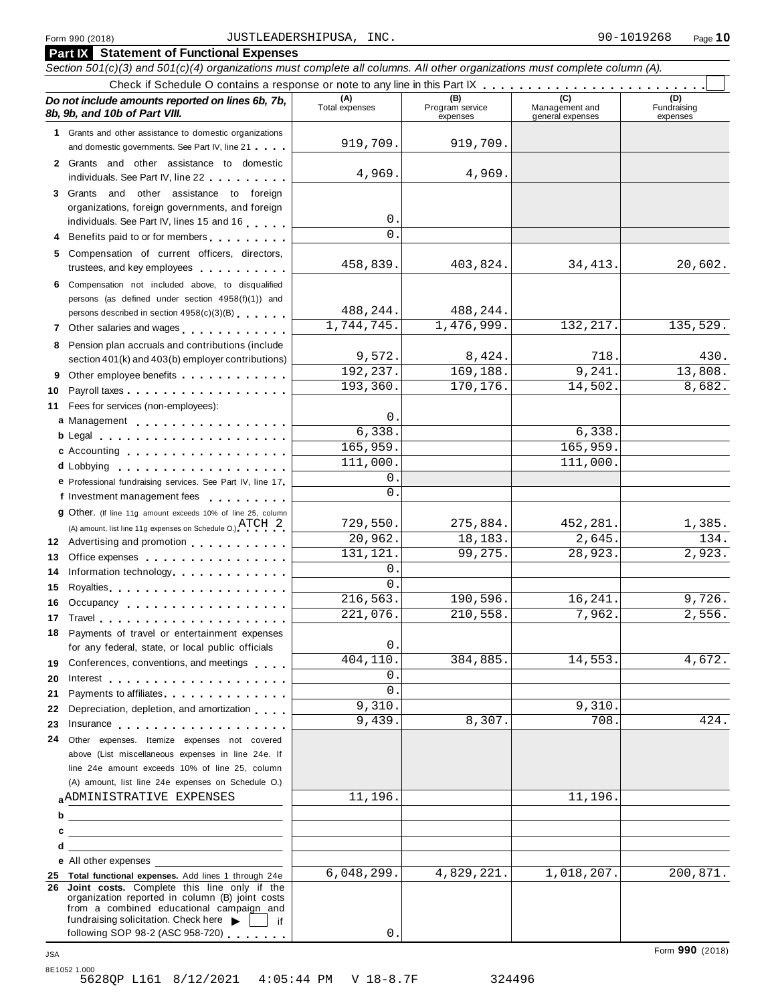#### Form <sup>990</sup> (2018) Page **10** JUSTLEADERSHIPUSA, INC. 90-1019268

|        | <b>Part IX</b> Statement of Functional Expenses                                                                                                                                                                                      |                       |                                    |                                    |                                |
|--------|--------------------------------------------------------------------------------------------------------------------------------------------------------------------------------------------------------------------------------------|-----------------------|------------------------------------|------------------------------------|--------------------------------|
|        | Section 501(c)(3) and 501(c)(4) organizations must complete all columns. All other organizations must complete column (A).                                                                                                           |                       |                                    |                                    |                                |
|        |                                                                                                                                                                                                                                      |                       |                                    |                                    |                                |
|        | Do not include amounts reported on lines 6b, 7b,<br>8b, 9b, and 10b of Part VIII.                                                                                                                                                    | (A)<br>Total expenses | (B)<br>Program service<br>expenses | Management and<br>general expenses | (D)<br>Fundraising<br>expenses |
|        | 1 Grants and other assistance to domestic organizations                                                                                                                                                                              |                       |                                    |                                    |                                |
|        | and domestic governments. See Part IV, line 21                                                                                                                                                                                       | 919,709.              | 919,709.                           |                                    |                                |
|        | 2 Grants and other assistance to domestic                                                                                                                                                                                            | 4,969.                | 4,969.                             |                                    |                                |
|        | individuals. See Part IV, line 22                                                                                                                                                                                                    |                       |                                    |                                    |                                |
|        | 3 Grants and other assistance to foreign                                                                                                                                                                                             |                       |                                    |                                    |                                |
|        | organizations, foreign governments, and foreign<br>individuals. See Part IV, lines 15 and 16                                                                                                                                         | 0.                    |                                    |                                    |                                |
|        | 4 Benefits paid to or for members                                                                                                                                                                                                    | $\Omega$ .            |                                    |                                    |                                |
|        | 5 Compensation of current officers, directors,                                                                                                                                                                                       |                       |                                    |                                    |                                |
|        | trustees, and key employees                                                                                                                                                                                                          | 458,839.              | 403,824.                           | 34, 413.                           | 20,602.                        |
|        | 6 Compensation not included above, to disqualified                                                                                                                                                                                   |                       |                                    |                                    |                                |
|        | persons (as defined under section 4958(f)(1)) and                                                                                                                                                                                    |                       |                                    |                                    |                                |
|        | persons described in section 4958(c)(3)(B)                                                                                                                                                                                           | 488, 244.             | 488,244.                           |                                    |                                |
|        | 7 Other salaries and wages                                                                                                                                                                                                           | 1,744,745.            | 1,476,999.                         | 132, 217.                          | 135,529.                       |
|        | 8 Pension plan accruals and contributions (include                                                                                                                                                                                   |                       |                                    |                                    |                                |
|        | section 401(k) and 403(b) employer contributions)                                                                                                                                                                                    | 9,572.                | 8,424.                             | 718                                | 430.                           |
|        | 9 Other employee benefits                                                                                                                                                                                                            | 192,237.              | 169,188.                           | 9,241                              | 13,808.                        |
| 10     |                                                                                                                                                                                                                                      | 193,360.              | 170,176.                           | 14,502                             | 8,682.                         |
| 11     | Fees for services (non-employees):                                                                                                                                                                                                   |                       |                                    |                                    |                                |
|        | a Management                                                                                                                                                                                                                         | 0.                    |                                    |                                    |                                |
|        |                                                                                                                                                                                                                                      | 6,338.                |                                    | 6,338                              |                                |
|        | c Accounting                                                                                                                                                                                                                         | 165,959.              |                                    | 165,959.                           |                                |
|        | d Lobbying entering the state of the state of the state of the state of the state of the state of the state of                                                                                                                       | 111,000.<br>$0$ .     |                                    | 111,000                            |                                |
|        | e Professional fundraising services. See Part IV, line 17                                                                                                                                                                            | $\Omega$ .            |                                    |                                    |                                |
|        | f Investment management fees<br>.                                                                                                                                                                                                    |                       |                                    |                                    |                                |
|        | 9 Other. (If line 11g amount exceeds 10% of line 25, column                                                                                                                                                                          | 729,550.              | 275,884.                           | 452,281.                           | 1,385.                         |
|        | (A) amount, list line 11g expenses on Schedule O.) $\text{ATCH} \quad 2$                                                                                                                                                             | 20,962.               | 18,183.                            | 2,645.                             | 134.                           |
| 13.    | 12 Advertising and promotion                                                                                                                                                                                                         | 131,121.              | 99,275.                            | 28,923.                            | 2,923.                         |
| 14     | Office expenses<br>Information technology                                                                                                                                                                                            | 0.                    |                                    |                                    |                                |
| 15     |                                                                                                                                                                                                                                      | $\Omega$ .            |                                    |                                    |                                |
| 16.    | Occupancy                                                                                                                                                                                                                            | 216,563.              | 190,596.                           | 16,241.                            | 9,726.                         |
|        | 17 Travel <b>1996</b> Travel <b>1996</b>                                                                                                                                                                                             | 221,076.              | $2\overline{10,558}$ .             | 7,962.                             | 2,556.                         |
|        | 18 Payments of travel or entertainment expenses                                                                                                                                                                                      |                       |                                    |                                    |                                |
|        | for any federal, state, or local public officials                                                                                                                                                                                    | 0.                    |                                    |                                    |                                |
|        | 19 Conferences, conventions, and meetings                                                                                                                                                                                            | 404,110.              | 384,885.                           | 14,553.                            | 4,672.                         |
| 20     |                                                                                                                                                                                                                                      | 0.                    |                                    |                                    |                                |
| 21     | Payments to affiliates experience and the property of the set of the set of the set of the set of the set of the set of the set of the set of the set of the set of the set of the set of the set of the set of the set of the       | 0.                    |                                    |                                    |                                |
| 22     | Depreciation, depletion, and amortization                                                                                                                                                                                            | 9,310.                |                                    | 9,310.                             |                                |
| 23     | Insurance <b>All According to the Contract of the Contract of the Contract of the Contract of the Contract of the Contract of the Contract of the Contract of the Contract of the Contract of the Contract of the Contract of th</b> | 9,439.                | 8,307.                             | 708.                               | 424.                           |
| 24     | Other expenses. Itemize expenses not covered                                                                                                                                                                                         |                       |                                    |                                    |                                |
|        | above (List miscellaneous expenses in line 24e. If                                                                                                                                                                                   |                       |                                    |                                    |                                |
|        | line 24e amount exceeds 10% of line 25, column                                                                                                                                                                                       |                       |                                    |                                    |                                |
|        | (A) amount, list line 24e expenses on Schedule O.)                                                                                                                                                                                   | 11,196.               |                                    | 11,196.                            |                                |
|        | a ADMINISTRATIVE EXPENSES                                                                                                                                                                                                            |                       |                                    |                                    |                                |
|        | $b \overline{\phantom{a}}$                                                                                                                                                                                                           |                       |                                    |                                    |                                |
| с<br>d | <u> 1980 - Jan Sterling Sterling, amerikansk politiker (</u>                                                                                                                                                                         |                       |                                    |                                    |                                |
|        | <u> 1989 - John Stone, Amerikaans en Stone (</u><br>e All other expenses                                                                                                                                                             |                       |                                    |                                    |                                |
|        | 25 Total functional expenses. Add lines 1 through 24e                                                                                                                                                                                | 6,048,299.            | 4,829,221.                         | 1,018,207.                         | 200,871.                       |
|        | 26 Joint costs. Complete this line only if the                                                                                                                                                                                       |                       |                                    |                                    |                                |
|        | organization reported in column (B) joint costs<br>from a combined educational campaign and                                                                                                                                          |                       |                                    |                                    |                                |
|        | fundraising solicitation. Check here<br>if                                                                                                                                                                                           |                       |                                    |                                    |                                |
|        | following SOP 98-2 (ASC 958-720)                                                                                                                                                                                                     | 0                     |                                    |                                    |                                |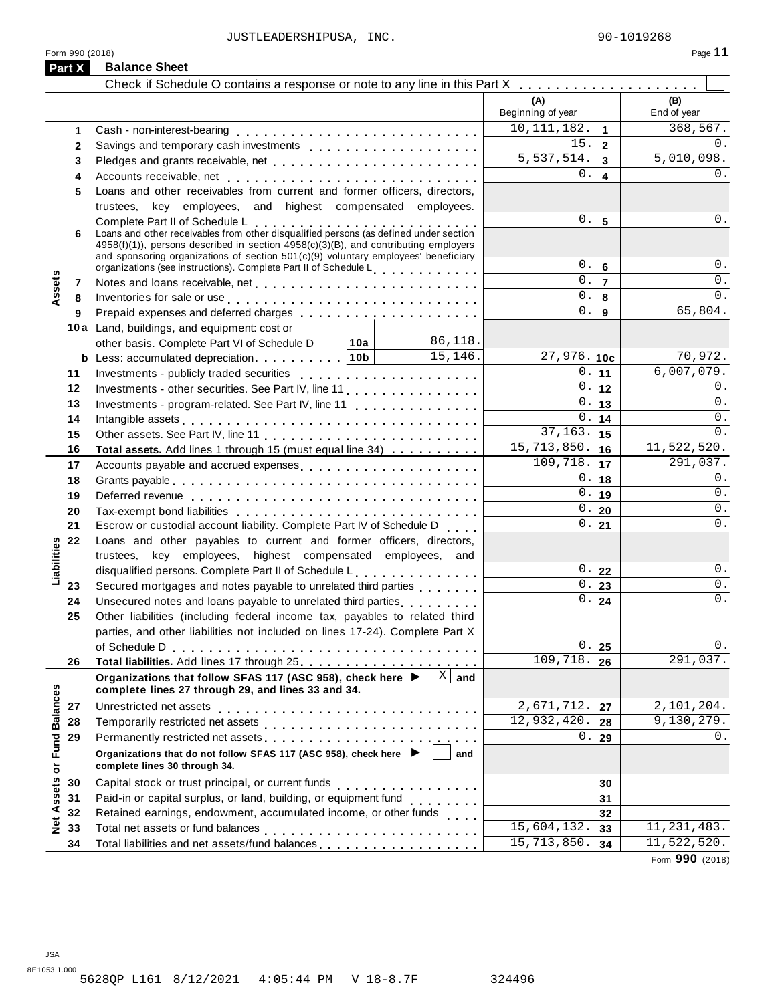|--|--|--|

| Part X       | <b>Balance Sheet</b>                                                                                                                                                                                                                                             |                                          |                         |                    |
|--------------|------------------------------------------------------------------------------------------------------------------------------------------------------------------------------------------------------------------------------------------------------------------|------------------------------------------|-------------------------|--------------------|
|              | Check if Schedule O contains a response or note to any line in this Part X                                                                                                                                                                                       |                                          |                         |                    |
|              |                                                                                                                                                                                                                                                                  | (A)<br>Beginning of year                 |                         | (B)<br>End of year |
| 1            |                                                                                                                                                                                                                                                                  | 10, 111, 182.                            | $\mathbf{1}$            | 368,567.           |
| $\mathbf{2}$ |                                                                                                                                                                                                                                                                  | 15.                                      | $\overline{2}$          | $0$ .              |
| 3            |                                                                                                                                                                                                                                                                  | 5,537,514.                               | $\overline{3}$          | 5,010,098.         |
| 4            |                                                                                                                                                                                                                                                                  | 0.                                       | $\overline{\mathbf{4}}$ | $0$ .              |
| 5            | Loans and other receivables from current and former officers, directors,                                                                                                                                                                                         |                                          |                         |                    |
|              | trustees, key employees, and highest compensated employees.                                                                                                                                                                                                      |                                          |                         |                    |
|              |                                                                                                                                                                                                                                                                  | 0.                                       | $5\phantom{1}$          | 0.                 |
| 6            | Complete Part II of Schedule L<br>Loans and other receivables from other disqualified persons (as defined under section                                                                                                                                          |                                          |                         |                    |
|              | 4958(f)(1)), persons described in section 4958(c)(3)(B), and contributing employers                                                                                                                                                                              |                                          |                         |                    |
|              | and sponsoring organizations of section 501(c)(9) voluntary employees' beneficiary<br>organizations (see instructions). Complete Part II of Schedule L.                                                                                                          | 0.                                       | $6\phantom{1}$          | 0.                 |
| 7            |                                                                                                                                                                                                                                                                  | 0.                                       | $\overline{7}$          | $0$ .              |
| 8            | Inventories for sale or use enterpreteration of the contract of the sale or use of the contract of the contract of the contract of the contract of the contract of the contract of the contract of the contract of the contrac                                   | 0.                                       | 8                       | 0.                 |
| 9            |                                                                                                                                                                                                                                                                  | 0.                                       | 9                       | 65,804.            |
|              | 10a Land, buildings, and equipment: cost or                                                                                                                                                                                                                      |                                          |                         |                    |
|              | 86,118.<br>∣10a  <br>other basis. Complete Part VI of Schedule D                                                                                                                                                                                                 |                                          |                         |                    |
|              | 15,146.<br><b>b</b> Less: accumulated depreciation. $ 10b $                                                                                                                                                                                                      | $27,976.$ 10c                            |                         | 70,972.            |
|              |                                                                                                                                                                                                                                                                  | 0.1                                      | 11                      | 6,007,079.         |
| 11           |                                                                                                                                                                                                                                                                  | and the control of the control of<br>0.1 | 12                      | $0$ .              |
| 12           |                                                                                                                                                                                                                                                                  | 0.1                                      |                         | $0$ .              |
| 13           | Investments - program-related. See Part IV, line 11                                                                                                                                                                                                              | 0.1                                      | 13                      | $0$ .              |
| 14           | Intangible assets enterpreteration of the contract of the contract of the contract of the contract of the contract of the contract of the contract of the contract of the contract of the contract of the contract of the cont                                   |                                          | 14                      | $0$ .              |
| 15           |                                                                                                                                                                                                                                                                  | 37,163.                                  | 15                      |                    |
| 16           | Total assets. Add lines 1 through 15 (must equal line 34)                                                                                                                                                                                                        | 15,713,850.<br>109,718.                  | 16                      | 11,522,520.        |
| 17           | Accounts payable and accrued expenses entitled and accrued expenses                                                                                                                                                                                              |                                          | 17                      | 291,037.           |
| 18           |                                                                                                                                                                                                                                                                  | 0.                                       | 18                      | 0.                 |
| 19           |                                                                                                                                                                                                                                                                  | 0.                                       | 19                      | $0$ .              |
| 20           |                                                                                                                                                                                                                                                                  | 0.                                       | 20                      | 0.                 |
| 21           | Escrow or custodial account liability. Complete Part IV of Schedule D                                                                                                                                                                                            | $\overline{0}$ .                         | 21                      | 0.                 |
| 22           | Loans and other payables to current and former officers, directors,                                                                                                                                                                                              |                                          |                         |                    |
|              | trustees, key employees, highest compensated employees, and                                                                                                                                                                                                      |                                          |                         |                    |
|              | disqualified persons. Complete Part II of Schedule L.                                                                                                                                                                                                            | 0.1                                      | 22                      | 0.                 |
| 23           | Secured mortgages and notes payable to unrelated third parties                                                                                                                                                                                                   | 0.                                       | 23                      | 0.                 |
| 24           | Unsecured notes and loans payable to unrelated third parties                                                                                                                                                                                                     | 0.                                       | 24                      | $0$ .              |
| 25           | Other liabilities (including federal income tax, payables to related third                                                                                                                                                                                       |                                          |                         |                    |
|              | parties, and other liabilities not included on lines 17-24). Complete Part X                                                                                                                                                                                     |                                          |                         |                    |
|              |                                                                                                                                                                                                                                                                  | 0.                                       | 25                      | 0.                 |
| 26           |                                                                                                                                                                                                                                                                  | 109,718.                                 | 26                      | 291,037.           |
|              | Organizations that follow SFAS 117 (ASC 958), check here ▶<br>$ X $ and<br>complete lines 27 through 29, and lines 33 and 34.                                                                                                                                    |                                          |                         |                    |
| 27           | Unrestricted net assets                                                                                                                                                                                                                                          | 2,671,712.                               | 27                      | 2,101,204.         |
| 28           |                                                                                                                                                                                                                                                                  | 12,932,420.                              | 28                      | 9,130,279.         |
| 29           | Permanently restricted net assets<br>included: increases<br>increases<br>increases<br>increases<br>increases<br>increases<br>increases<br>increases<br>increases<br>increases<br>increases<br>increases<br>increases<br>increases<br>increases<br>increases<br>i | 0.                                       | 29                      | 0.                 |
|              | Organizations that do not follow SFAS 117 (ASC 958), check here ▶<br>and<br>complete lines 30 through 34.                                                                                                                                                        |                                          |                         |                    |
| 30           |                                                                                                                                                                                                                                                                  |                                          | 30                      |                    |
| 31           | Paid-in or capital surplus, or land, building, or equipment fund<br>                                                                                                                                                                                             |                                          | 31                      |                    |
| 32           | Retained earnings, endowment, accumulated income, or other funds                                                                                                                                                                                                 |                                          | 32                      |                    |
| 33           |                                                                                                                                                                                                                                                                  | 15,604,132.                              | 33                      | 11, 231, 483.      |
| 34           | Total liabilities and net assets/fund balances                                                                                                                                                                                                                   | 15,713,850.                              | 34                      | 11,522,520.        |
|              |                                                                                                                                                                                                                                                                  |                                          |                         | Form 990 (2018)    |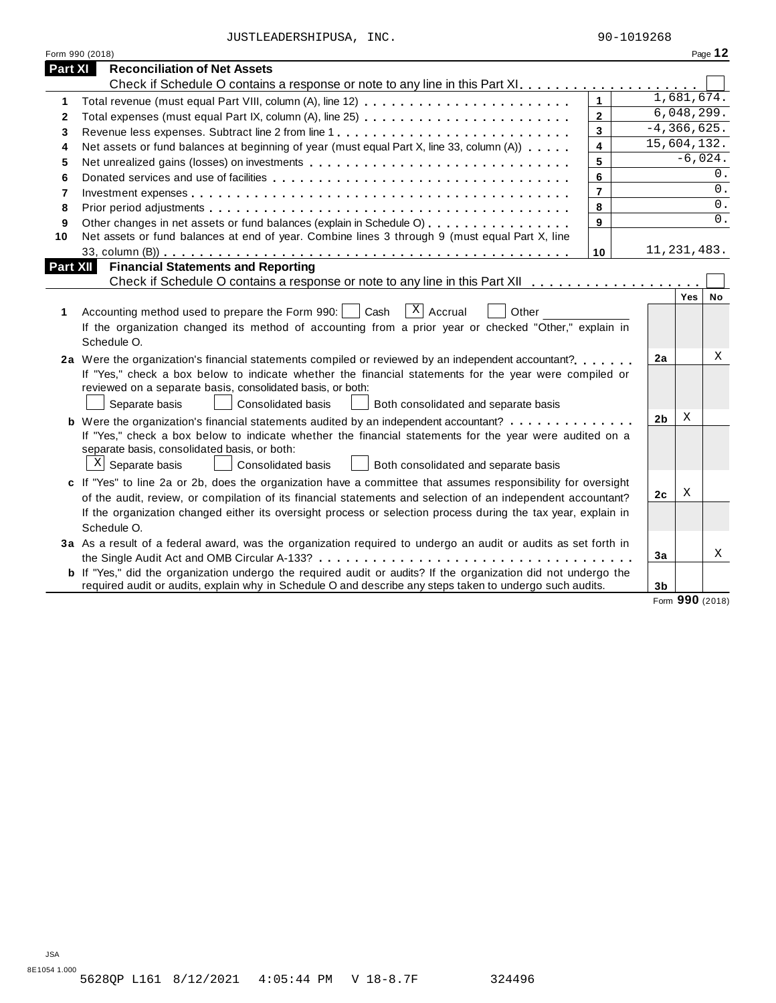|                | Form 990 (2018)                                                                                                                                                                                        |                     |  |                |                          | Page 12   |
|----------------|--------------------------------------------------------------------------------------------------------------------------------------------------------------------------------------------------------|---------------------|--|----------------|--------------------------|-----------|
| <b>Part XI</b> | <b>Reconciliation of Net Assets</b>                                                                                                                                                                    |                     |  |                |                          |           |
|                |                                                                                                                                                                                                        | $\mathbf{1}$        |  |                | 1,681,674.               |           |
| 1              |                                                                                                                                                                                                        |                     |  |                | 6,048,299.               |           |
| 2              | Total expenses (must equal Part IX, column (A), line 25)                                                                                                                                               | $\mathbf{2}$        |  |                | $-4, 366, 625.$          |           |
| 3              | $\mathbf{3}$                                                                                                                                                                                           |                     |  |                |                          |           |
| 4              | Net assets or fund balances at beginning of year (must equal Part X, line 33, column (A))                                                                                                              | $\overline{4}$<br>5 |  |                | 15,604,132.<br>$-6,024.$ |           |
| 5              |                                                                                                                                                                                                        | 6                   |  |                |                          | 0.        |
| 6              |                                                                                                                                                                                                        | $\overline{7}$      |  |                |                          | 0.        |
| 7              |                                                                                                                                                                                                        | 8                   |  |                |                          | 0.        |
| 8              |                                                                                                                                                                                                        | 9                   |  |                |                          | 0.        |
| 9<br>10        | Other changes in net assets or fund balances (explain in Schedule O)<br>Net assets or fund balances at end of year. Combine lines 3 through 9 (must equal Part X, line                                 |                     |  |                |                          |           |
|                |                                                                                                                                                                                                        | 10                  |  |                | 11, 231, 483.            |           |
|                | <b>Financial Statements and Reporting</b><br>Part XII                                                                                                                                                  |                     |  |                |                          |           |
|                |                                                                                                                                                                                                        |                     |  |                |                          |           |
|                |                                                                                                                                                                                                        |                     |  |                | Yes                      | <b>No</b> |
| 1              | $\sqrt{x}$ Accrual<br>Accounting method used to prepare the Form 990:     Cash<br>Other                                                                                                                |                     |  |                |                          |           |
|                | If the organization changed its method of accounting from a prior year or checked "Other," explain in                                                                                                  |                     |  |                |                          |           |
|                | Schedule O.                                                                                                                                                                                            |                     |  |                |                          |           |
|                | 2a Were the organization's financial statements compiled or reviewed by an independent accountant?                                                                                                     |                     |  | 2a             |                          | Χ         |
|                | If "Yes," check a box below to indicate whether the financial statements for the year were compiled or                                                                                                 |                     |  |                |                          |           |
|                | reviewed on a separate basis, consolidated basis, or both:                                                                                                                                             |                     |  |                |                          |           |
|                | Separate basis<br><b>Consolidated basis</b><br>Both consolidated and separate basis                                                                                                                    |                     |  |                |                          |           |
|                |                                                                                                                                                                                                        |                     |  | 2 <sub>b</sub> | X                        |           |
|                | <b>b</b> Were the organization's financial statements audited by an independent accountant?<br>If "Yes," check a box below to indicate whether the financial statements for the year were audited on a |                     |  |                |                          |           |
|                | separate basis, consolidated basis, or both:                                                                                                                                                           |                     |  |                |                          |           |
|                | $X$ Separate basis<br>Consolidated basis<br>Both consolidated and separate basis                                                                                                                       |                     |  |                |                          |           |
|                |                                                                                                                                                                                                        |                     |  |                |                          |           |
|                | c If "Yes" to line 2a or 2b, does the organization have a committee that assumes responsibility for oversight                                                                                          |                     |  | 2c             | Χ                        |           |
|                | of the audit, review, or compilation of its financial statements and selection of an independent accountant?                                                                                           |                     |  |                |                          |           |
|                | If the organization changed either its oversight process or selection process during the tax year, explain in                                                                                          |                     |  |                |                          |           |
|                | Schedule O.                                                                                                                                                                                            |                     |  |                |                          |           |
|                | 3a As a result of a federal award, was the organization required to undergo an audit or audits as set forth in                                                                                         |                     |  | 3a             |                          | Χ         |
|                |                                                                                                                                                                                                        |                     |  |                |                          |           |
|                | b If "Yes," did the organization undergo the required audit or audits? If the organization did not undergo the                                                                                         |                     |  | 3 <sub>b</sub> |                          |           |
|                | required audit or audits, explain why in Schedule O and describe any steps taken to undergo such audits.                                                                                               |                     |  |                | $000$ (2010)             |           |

Form **990** (2018)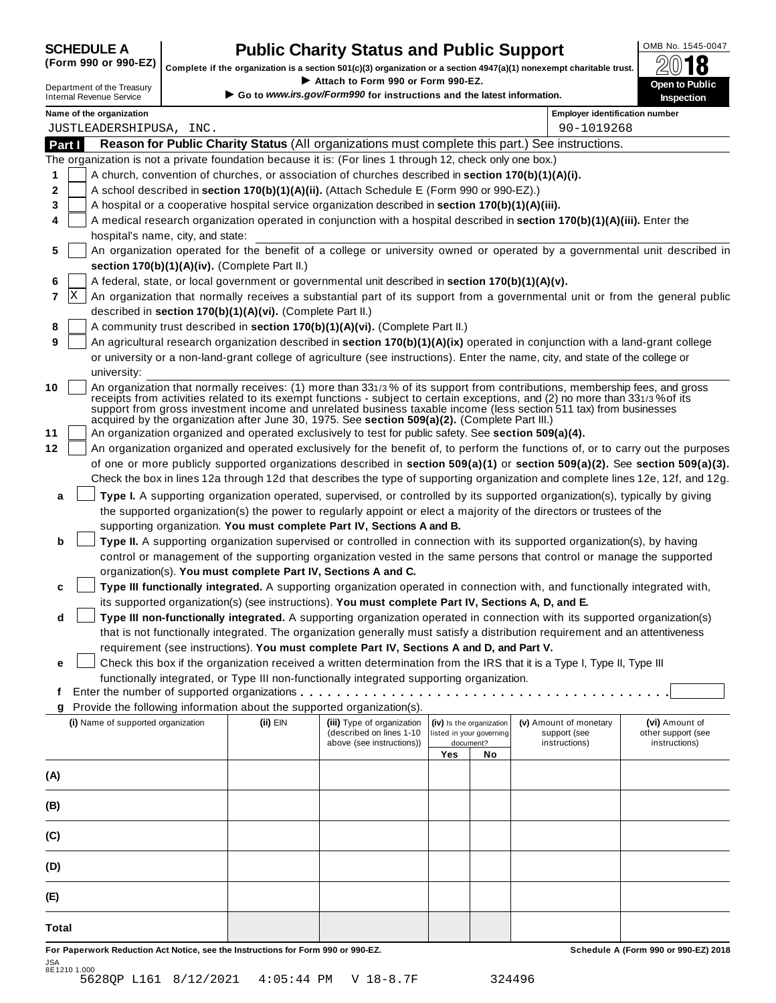## **CHEDULE A Public Charity Status and Public Support**  $\frac{\text{OMB No. 1545-0047}}{\text{OMB}}$

(Form 990 or 990-EZ) complete if the organization is a section 501(c)(3) organization or a section 4947(a)(1) nonexempt charitable trust.  $2018$ 

|                                                                                                                                                                                                 |                                    |  |                                                            |                                                                                                           |     |                                                      | Complete if the organization is a section 501(c)(3) organization or a section $4947(a)(1)$ nonexempt charitable trust.                                                                                                                            | ZW IO                                                                                                                            |
|-------------------------------------------------------------------------------------------------------------------------------------------------------------------------------------------------|------------------------------------|--|------------------------------------------------------------|-----------------------------------------------------------------------------------------------------------|-----|------------------------------------------------------|---------------------------------------------------------------------------------------------------------------------------------------------------------------------------------------------------------------------------------------------------|----------------------------------------------------------------------------------------------------------------------------------|
| Attach to Form 990 or Form 990-EZ.<br>Open to Public<br>Department of the Treasury<br>Go to www.irs.gov/Form990 for instructions and the latest information.<br><b>Internal Revenue Service</b> |                                    |  |                                                            |                                                                                                           |     |                                                      | Inspection                                                                                                                                                                                                                                        |                                                                                                                                  |
| Name of the organization<br><b>Employer identification number</b>                                                                                                                               |                                    |  |                                                            |                                                                                                           |     |                                                      |                                                                                                                                                                                                                                                   |                                                                                                                                  |
|                                                                                                                                                                                                 | JUSTLEADERSHIPUSA, INC.            |  |                                                            |                                                                                                           |     |                                                      | 90-1019268                                                                                                                                                                                                                                        |                                                                                                                                  |
|                                                                                                                                                                                                 | Part I                             |  |                                                            |                                                                                                           |     |                                                      | Reason for Public Charity Status (All organizations must complete this part.) See instructions.                                                                                                                                                   |                                                                                                                                  |
|                                                                                                                                                                                                 |                                    |  |                                                            | The organization is not a private foundation because it is: (For lines 1 through 12, check only one box.) |     |                                                      |                                                                                                                                                                                                                                                   |                                                                                                                                  |
| 1                                                                                                                                                                                               |                                    |  |                                                            | A church, convention of churches, or association of churches described in section 170(b)(1)(A)(i).        |     |                                                      |                                                                                                                                                                                                                                                   |                                                                                                                                  |
| 2                                                                                                                                                                                               |                                    |  |                                                            | A school described in section 170(b)(1)(A)(ii). (Attach Schedule E (Form 990 or 990-EZ).)                 |     |                                                      |                                                                                                                                                                                                                                                   |                                                                                                                                  |
| 3                                                                                                                                                                                               |                                    |  |                                                            | A hospital or a cooperative hospital service organization described in section 170(b)(1)(A)(iii).         |     |                                                      |                                                                                                                                                                                                                                                   |                                                                                                                                  |
| 4                                                                                                                                                                                               | hospital's name, city, and state:  |  |                                                            |                                                                                                           |     |                                                      | A medical research organization operated in conjunction with a hospital described in section 170(b)(1)(A)(iii). Enter the                                                                                                                         |                                                                                                                                  |
| 5                                                                                                                                                                                               |                                    |  |                                                            |                                                                                                           |     |                                                      |                                                                                                                                                                                                                                                   | An organization operated for the benefit of a college or university owned or operated by a governmental unit described in        |
|                                                                                                                                                                                                 |                                    |  | section 170(b)(1)(A)(iv). (Complete Part II.)              |                                                                                                           |     |                                                      |                                                                                                                                                                                                                                                   |                                                                                                                                  |
| 6                                                                                                                                                                                               |                                    |  |                                                            | A federal, state, or local government or governmental unit described in section 170(b)(1)(A)(v).          |     |                                                      |                                                                                                                                                                                                                                                   |                                                                                                                                  |
| 7                                                                                                                                                                                               | X                                  |  |                                                            |                                                                                                           |     |                                                      |                                                                                                                                                                                                                                                   | An organization that normally receives a substantial part of its support from a governmental unit or from the general public     |
|                                                                                                                                                                                                 |                                    |  | described in section 170(b)(1)(A)(vi). (Complete Part II.) |                                                                                                           |     |                                                      |                                                                                                                                                                                                                                                   |                                                                                                                                  |
| 8                                                                                                                                                                                               |                                    |  |                                                            | A community trust described in section 170(b)(1)(A)(vi). (Complete Part II.)                              |     |                                                      |                                                                                                                                                                                                                                                   |                                                                                                                                  |
| 9                                                                                                                                                                                               |                                    |  |                                                            |                                                                                                           |     |                                                      | An agricultural research organization described in section 170(b)(1)(A)(ix) operated in conjunction with a land-grant college                                                                                                                     |                                                                                                                                  |
|                                                                                                                                                                                                 |                                    |  |                                                            |                                                                                                           |     |                                                      | or university or a non-land-grant college of agriculture (see instructions). Enter the name, city, and state of the college or                                                                                                                    |                                                                                                                                  |
|                                                                                                                                                                                                 | university:                        |  |                                                            |                                                                                                           |     |                                                      |                                                                                                                                                                                                                                                   |                                                                                                                                  |
| 10                                                                                                                                                                                              |                                    |  |                                                            |                                                                                                           |     |                                                      | An organization that normally receives: (1) more than 331/3% of its support from contributions, membership fees, and gross                                                                                                                        |                                                                                                                                  |
|                                                                                                                                                                                                 |                                    |  |                                                            | acquired by the organization after June 30, 1975. See section 509(a)(2). (Complete Part III.)             |     |                                                      | receipts from activities related to its exempt functions - subject to certain exceptions, and (2) no more than 331/3% of its<br>support from gross investment income and unrelated business taxable income (less section 511 tax) from businesses |                                                                                                                                  |
| 11                                                                                                                                                                                              |                                    |  |                                                            | An organization organized and operated exclusively to test for public safety. See section 509(a)(4).      |     |                                                      |                                                                                                                                                                                                                                                   |                                                                                                                                  |
| 12                                                                                                                                                                                              |                                    |  |                                                            |                                                                                                           |     |                                                      |                                                                                                                                                                                                                                                   | An organization organized and operated exclusively for the benefit of, to perform the functions of, or to carry out the purposes |
|                                                                                                                                                                                                 |                                    |  |                                                            |                                                                                                           |     |                                                      |                                                                                                                                                                                                                                                   | of one or more publicly supported organizations described in section 509(a)(1) or section 509(a)(2). See section 509(a)(3).      |
|                                                                                                                                                                                                 |                                    |  |                                                            |                                                                                                           |     |                                                      |                                                                                                                                                                                                                                                   | Check the box in lines 12a through 12d that describes the type of supporting organization and complete lines 12e, 12f, and 12g.  |
|                                                                                                                                                                                                 |                                    |  |                                                            |                                                                                                           |     |                                                      |                                                                                                                                                                                                                                                   |                                                                                                                                  |
| a                                                                                                                                                                                               |                                    |  |                                                            |                                                                                                           |     |                                                      | Type I. A supporting organization operated, supervised, or controlled by its supported organization(s), typically by giving                                                                                                                       |                                                                                                                                  |
|                                                                                                                                                                                                 |                                    |  |                                                            |                                                                                                           |     |                                                      | the supported organization(s) the power to regularly appoint or elect a majority of the directors or trustees of the                                                                                                                              |                                                                                                                                  |
|                                                                                                                                                                                                 |                                    |  |                                                            | supporting organization. You must complete Part IV, Sections A and B.                                     |     |                                                      |                                                                                                                                                                                                                                                   |                                                                                                                                  |
| b                                                                                                                                                                                               |                                    |  |                                                            |                                                                                                           |     |                                                      | Type II. A supporting organization supervised or controlled in connection with its supported organization(s), by having                                                                                                                           |                                                                                                                                  |
|                                                                                                                                                                                                 |                                    |  |                                                            |                                                                                                           |     |                                                      | control or management of the supporting organization vested in the same persons that control or manage the supported                                                                                                                              |                                                                                                                                  |
|                                                                                                                                                                                                 |                                    |  |                                                            | organization(s). You must complete Part IV, Sections A and C.                                             |     |                                                      |                                                                                                                                                                                                                                                   |                                                                                                                                  |
| c                                                                                                                                                                                               |                                    |  |                                                            |                                                                                                           |     |                                                      | Type III functionally integrated. A supporting organization operated in connection with, and functionally integrated with,                                                                                                                        |                                                                                                                                  |
|                                                                                                                                                                                                 |                                    |  |                                                            | its supported organization(s) (see instructions). You must complete Part IV, Sections A, D, and E.        |     |                                                      |                                                                                                                                                                                                                                                   |                                                                                                                                  |
| d                                                                                                                                                                                               |                                    |  |                                                            |                                                                                                           |     |                                                      | Type III non-functionally integrated. A supporting organization operated in connection with its supported organization(s)                                                                                                                         |                                                                                                                                  |
|                                                                                                                                                                                                 |                                    |  |                                                            |                                                                                                           |     |                                                      | that is not functionally integrated. The organization generally must satisfy a distribution requirement and an attentiveness                                                                                                                      |                                                                                                                                  |
|                                                                                                                                                                                                 |                                    |  |                                                            | requirement (see instructions). You must complete Part IV, Sections A and D, and Part V.                  |     |                                                      |                                                                                                                                                                                                                                                   |                                                                                                                                  |
| е                                                                                                                                                                                               |                                    |  |                                                            |                                                                                                           |     |                                                      | Check this box if the organization received a written determination from the IRS that it is a Type I, Type II, Type III                                                                                                                           |                                                                                                                                  |
|                                                                                                                                                                                                 |                                    |  |                                                            | functionally integrated, or Type III non-functionally integrated supporting organization.                 |     |                                                      |                                                                                                                                                                                                                                                   |                                                                                                                                  |
| t                                                                                                                                                                                               |                                    |  |                                                            |                                                                                                           |     |                                                      |                                                                                                                                                                                                                                                   |                                                                                                                                  |
| g                                                                                                                                                                                               |                                    |  |                                                            | Provide the following information about the supported organization(s).                                    |     |                                                      |                                                                                                                                                                                                                                                   |                                                                                                                                  |
|                                                                                                                                                                                                 | (i) Name of supported organization |  | (ii) EIN                                                   | (iii) Type of organization<br>(described on lines 1-10                                                    |     | (iv) Is the organization<br>listed in your governing | (v) Amount of monetary<br>support (see                                                                                                                                                                                                            | (vi) Amount of<br>other support (see                                                                                             |
|                                                                                                                                                                                                 |                                    |  |                                                            | above (see instructions))                                                                                 |     | document?                                            | instructions)                                                                                                                                                                                                                                     | instructions)                                                                                                                    |
|                                                                                                                                                                                                 |                                    |  |                                                            |                                                                                                           | Yes | No                                                   |                                                                                                                                                                                                                                                   |                                                                                                                                  |
| (A)                                                                                                                                                                                             |                                    |  |                                                            |                                                                                                           |     |                                                      |                                                                                                                                                                                                                                                   |                                                                                                                                  |
|                                                                                                                                                                                                 |                                    |  |                                                            |                                                                                                           |     |                                                      |                                                                                                                                                                                                                                                   |                                                                                                                                  |
| (B)                                                                                                                                                                                             |                                    |  |                                                            |                                                                                                           |     |                                                      |                                                                                                                                                                                                                                                   |                                                                                                                                  |
| (C)                                                                                                                                                                                             |                                    |  |                                                            |                                                                                                           |     |                                                      |                                                                                                                                                                                                                                                   |                                                                                                                                  |
| (D)                                                                                                                                                                                             |                                    |  |                                                            |                                                                                                           |     |                                                      |                                                                                                                                                                                                                                                   |                                                                                                                                  |
| (E)                                                                                                                                                                                             |                                    |  |                                                            |                                                                                                           |     |                                                      |                                                                                                                                                                                                                                                   |                                                                                                                                  |
|                                                                                                                                                                                                 |                                    |  |                                                            |                                                                                                           |     |                                                      |                                                                                                                                                                                                                                                   |                                                                                                                                  |
| Total                                                                                                                                                                                           |                                    |  |                                                            |                                                                                                           |     |                                                      |                                                                                                                                                                                                                                                   |                                                                                                                                  |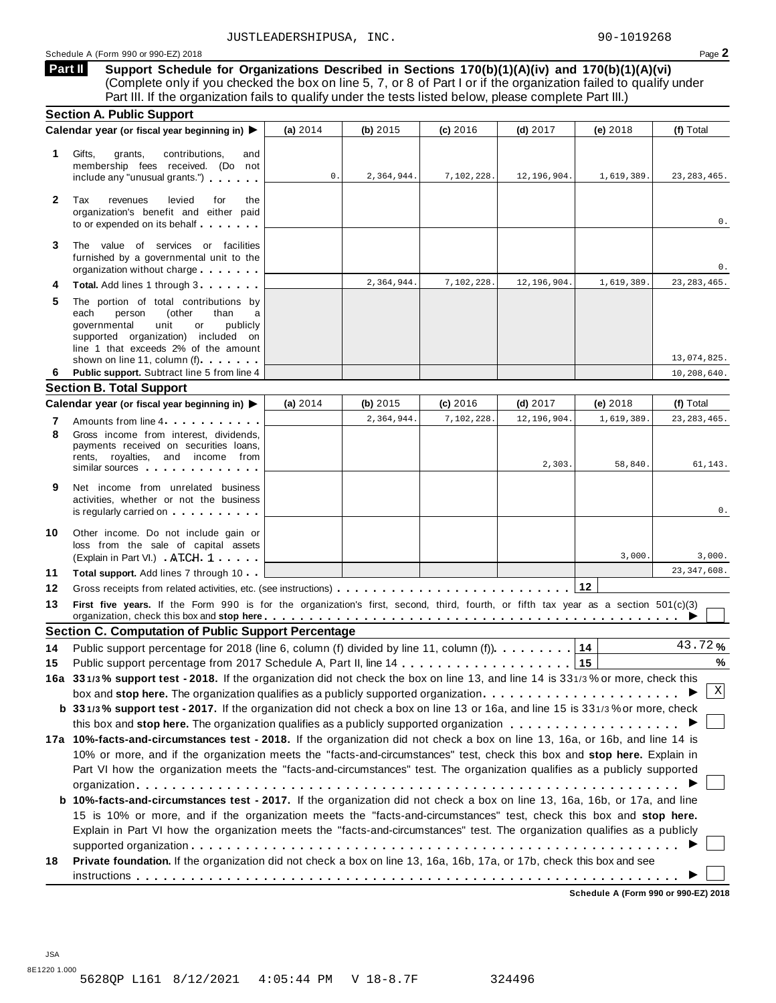Schedule <sup>A</sup> (Form <sup>990</sup> or 990-EZ) <sup>2018</sup> Page **2**

**Support Schedule for Organizations Described in Sections 170(b)(1)(A)(iv) and 170(b)(1)(A)(vi)** Complete only if you checked the box on line 5, 7, or 8 of Part I or if the organization failed to qualify under Part III. If the organization fails to qualify under the tests listed below, please complete Part III.) **Part II**

|              | <b>Section A. Public Support</b>                                                                                                                                                                                                                                                                                |            |            |            |             |            |               |
|--------------|-----------------------------------------------------------------------------------------------------------------------------------------------------------------------------------------------------------------------------------------------------------------------------------------------------------------|------------|------------|------------|-------------|------------|---------------|
|              | Calendar year (or fiscal year beginning in) ▶                                                                                                                                                                                                                                                                   | (a) $2014$ | (b) $2015$ | $(c)$ 2016 | $(d)$ 2017  | (e) 2018   | (f) Total     |
| 1            | Gifts,<br>grants,<br>contributions,<br>and<br>membership fees received. (Do not<br>include any "unusual grants.")                                                                                                                                                                                               | $0$ .      | 2,364,944. | 7,102,228. | 12,196,904. | 1,619,389. | 23, 283, 465. |
| $\mathbf{2}$ | Tax<br>revenues<br>levied<br>for<br>the<br>organization's benefit and either paid<br>to or expended on its behalf                                                                                                                                                                                               |            |            |            |             |            | 0.            |
| 3            | The value of services or facilities<br>furnished by a governmental unit to the<br>organization without charge                                                                                                                                                                                                   |            |            |            |             |            | 0.            |
| 4            | <b>Total.</b> Add lines 1 through 3                                                                                                                                                                                                                                                                             |            | 2,364,944. | 7,102,228. | 12,196,904. | 1,619,389  | 23, 283, 465. |
| 5            | The portion of total contributions by<br>person<br>(other<br>than<br>each<br>a<br>governmental<br>unit<br>publicly<br>or<br>supported organization) included on<br>line 1 that exceeds 2% of the amount<br>shown on line 11, column (f).                                                                        |            |            |            |             |            | 13,074,825.   |
| 6            | Public support. Subtract line 5 from line 4                                                                                                                                                                                                                                                                     |            |            |            |             |            | 10, 208, 640. |
|              | <b>Section B. Total Support</b>                                                                                                                                                                                                                                                                                 |            |            |            |             |            |               |
|              | Calendar year (or fiscal year beginning in)                                                                                                                                                                                                                                                                     | (a) $2014$ | (b) 2015   | $(c)$ 2016 | $(d)$ 2017  | (e) $2018$ | (f) Total     |
| 7            | Amounts from line 4                                                                                                                                                                                                                                                                                             |            | 2,364,944. | 7,102,228  | 12,196,904  | 1,619,389  | 23, 283, 465. |
| 8            | Gross income from interest, dividends,<br>payments received on securities loans,<br>rents, royalties, and income from<br>similar sources experiences                                                                                                                                                            |            |            |            | 2,303.      | 58,840.    | 61, 143.      |
| 9            | Net income from unrelated business<br>activities, whether or not the business<br>is regularly carried on the control of the state of the state of the state of the state of the state of the state of the state of the state of the state of the state of the state of the state of the state of the state of t |            |            |            |             |            | 0.            |
| 10           | Other income. Do not include gain or<br>loss from the sale of capital assets<br>(Explain in Part VI.) ATCH 1                                                                                                                                                                                                    |            |            |            |             | 3,000.     | 3,000.        |
| 11           | <b>Total support.</b> Add lines 7 through 10                                                                                                                                                                                                                                                                    |            |            |            |             |            | 23, 347, 608. |
| 12           |                                                                                                                                                                                                                                                                                                                 |            |            |            |             | 12         |               |
| 13           | First five years. If the Form 990 is for the organization's first, second, third, fourth, or fifth tax year as a section 501(c)(3)<br>organization, check this box and stop here $\ldots \ldots \ldots \ldots \ldots \ldots \ldots \ldots \ldots \ldots \ldots \ldots \ldots$                                   |            |            |            |             |            |               |
|              | <b>Section C. Computation of Public Support Percentage</b>                                                                                                                                                                                                                                                      |            |            |            |             |            |               |
| 14<br>15     | Public support percentage for 2018 (line 6, column (f) divided by line 11, column (f)).                                                                                                                                                                                                                         |            |            |            |             | 14         | 43.72%<br>%   |
|              | 16a 331/3% support test - 2018. If the organization did not check the box on line 13, and line 14 is 331/3% or more, check this                                                                                                                                                                                 |            |            |            |             |            |               |
|              | box and stop here. The organization qualifies as a publicly supported organization                                                                                                                                                                                                                              |            |            |            |             |            | Χ             |
|              | b 331/3% support test - 2017. If the organization did not check a box on line 13 or 16a, and line 15 is 331/3% or more, check                                                                                                                                                                                   |            |            |            |             |            |               |
|              |                                                                                                                                                                                                                                                                                                                 |            |            |            |             |            |               |
|              | 17a 10%-facts-and-circumstances test - 2018. If the organization did not check a box on line 13, 16a, or 16b, and line 14 is                                                                                                                                                                                    |            |            |            |             |            |               |
|              | 10% or more, and if the organization meets the "facts-and-circumstances" test, check this box and stop here. Explain in                                                                                                                                                                                         |            |            |            |             |            |               |
|              | Part VI how the organization meets the "facts-and-circumstances" test. The organization qualifies as a publicly supported                                                                                                                                                                                       |            |            |            |             |            |               |
|              |                                                                                                                                                                                                                                                                                                                 |            |            |            |             |            |               |
|              | b 10%-facts-and-circumstances test - 2017. If the organization did not check a box on line 13, 16a, 16b, or 17a, and line                                                                                                                                                                                       |            |            |            |             |            |               |
|              | 15 is 10% or more, and if the organization meets the "facts-and-circumstances" test, check this box and stop here.                                                                                                                                                                                              |            |            |            |             |            |               |
|              | Explain in Part VI how the organization meets the "facts-and-circumstances" test. The organization qualifies as a publicly                                                                                                                                                                                      |            |            |            |             |            |               |
| 18           | Private foundation. If the organization did not check a box on line 13, 16a, 16b, 17a, or 17b, check this box and see                                                                                                                                                                                           |            |            |            |             |            |               |
|              |                                                                                                                                                                                                                                                                                                                 |            |            |            |             |            |               |

**Schedule A (Form 990 or 990-EZ) 2018**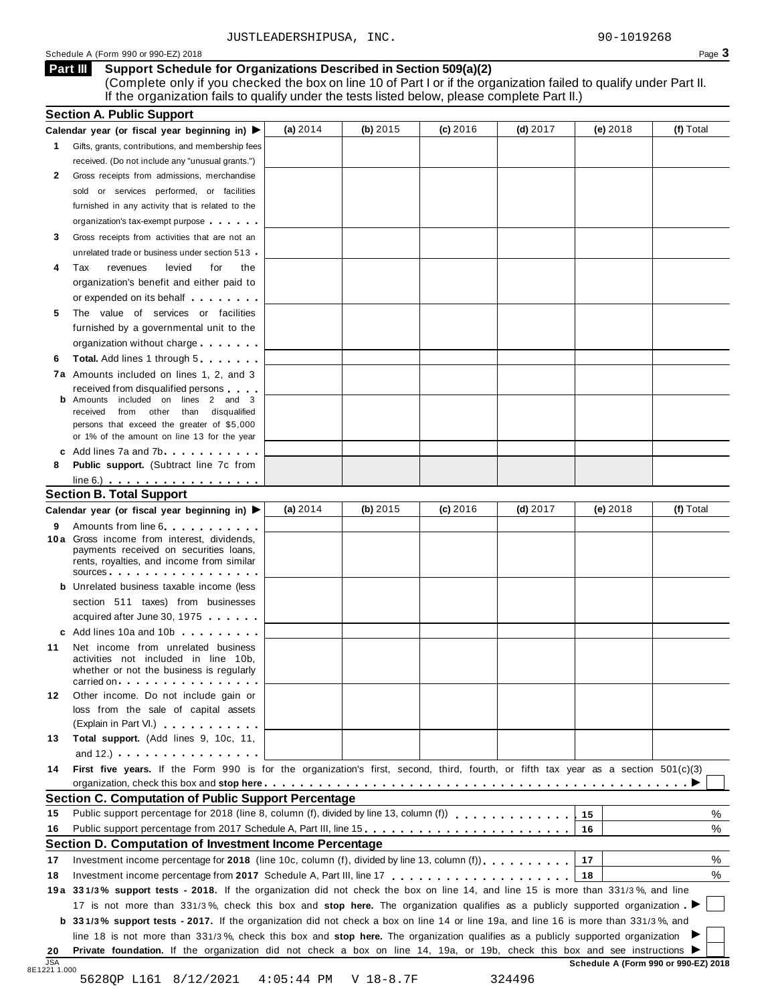#### Schedule <sup>A</sup> (Form <sup>990</sup> or 990-EZ) <sup>2018</sup> Page **3**

#### **Support Schedule for Organizations Described in Section 509(a)(2) Part III**

(Complete only if you checked the box on line 10 of Part I or if the organization failed to qualify under Part II. If the organization fails to qualify under the tests listed below, please complete Part II.)

|    | Calendar year (or fiscal year beginning in) $\blacktriangleright$                                                                                                                                                                   | (a) 2014   | (b) $2015$ | (c) 2016   | $(d)$ 2017 | $(e)$ 2018 | (f) Total |
|----|-------------------------------------------------------------------------------------------------------------------------------------------------------------------------------------------------------------------------------------|------------|------------|------------|------------|------------|-----------|
|    | 1 Gifts, grants, contributions, and membership fees                                                                                                                                                                                 |            |            |            |            |            |           |
|    | received. (Do not include any "unusual grants.")                                                                                                                                                                                    |            |            |            |            |            |           |
| 2  | Gross receipts from admissions, merchandise                                                                                                                                                                                         |            |            |            |            |            |           |
|    | sold or services performed, or facilities                                                                                                                                                                                           |            |            |            |            |            |           |
|    | furnished in any activity that is related to the                                                                                                                                                                                    |            |            |            |            |            |           |
|    | organization's tax-exempt purpose                                                                                                                                                                                                   |            |            |            |            |            |           |
| 3  | Gross receipts from activities that are not an                                                                                                                                                                                      |            |            |            |            |            |           |
|    | unrelated trade or business under section 513 -                                                                                                                                                                                     |            |            |            |            |            |           |
| 4  | Tax<br>revenues<br>levied<br>for<br>the                                                                                                                                                                                             |            |            |            |            |            |           |
|    | organization's benefit and either paid to                                                                                                                                                                                           |            |            |            |            |            |           |
|    | or expended on its behalf <b>contained</b> by the set of the set of the set of the set of the set of the set of the set of the set of the set of the set of the set of the set of the set of the set of the set of the set of the s |            |            |            |            |            |           |
| 5  | The value of services or facilities                                                                                                                                                                                                 |            |            |            |            |            |           |
|    | furnished by a governmental unit to the                                                                                                                                                                                             |            |            |            |            |            |           |
|    | organization without charge                                                                                                                                                                                                         |            |            |            |            |            |           |
| 6  | <b>Total.</b> Add lines 1 through 5                                                                                                                                                                                                 |            |            |            |            |            |           |
|    | 7a Amounts included on lines 1, 2, and 3                                                                                                                                                                                            |            |            |            |            |            |           |
|    | received from disqualified persons                                                                                                                                                                                                  |            |            |            |            |            |           |
|    | Amounts included on lines 2 and 3<br>received from other than disqualified                                                                                                                                                          |            |            |            |            |            |           |
|    | persons that exceed the greater of \$5,000                                                                                                                                                                                          |            |            |            |            |            |           |
|    | or 1% of the amount on line 13 for the year                                                                                                                                                                                         |            |            |            |            |            |           |
|    | c Add lines $7a$ and $7b$                                                                                                                                                                                                           |            |            |            |            |            |           |
| 8  | <b>Public support.</b> (Subtract line 7c from                                                                                                                                                                                       |            |            |            |            |            |           |
|    | $line 6.)$ $\ldots$ $\ldots$ $\ldots$ $\ldots$ $\ldots$                                                                                                                                                                             |            |            |            |            |            |           |
|    | <b>Section B. Total Support</b>                                                                                                                                                                                                     |            |            |            |            |            |           |
|    | Calendar year (or fiscal year beginning in) ▶                                                                                                                                                                                       | (a) $2014$ | (b) 2015   | $(c)$ 2016 | (d) $2017$ | $(e)$ 2018 | (f) Total |
| 9  | Amounts from line 6.                                                                                                                                                                                                                |            |            |            |            |            |           |
|    | 10a Gross income from interest, dividends,<br>payments received on securities loans,                                                                                                                                                |            |            |            |            |            |           |
|    | rents, royalties, and income from similar                                                                                                                                                                                           |            |            |            |            |            |           |
|    | $sources$                                                                                                                                                                                                                           |            |            |            |            |            |           |
|    | <b>b</b> Unrelated business taxable income (less                                                                                                                                                                                    |            |            |            |            |            |           |
|    | section 511 taxes) from businesses                                                                                                                                                                                                  |            |            |            |            |            |           |
|    | acquired after June 30, 1975                                                                                                                                                                                                        |            |            |            |            |            |           |
|    | c Add lines 10a and 10b                                                                                                                                                                                                             |            |            |            |            |            |           |
| 11 | Net income from unrelated business<br>activities not included in line 10b,                                                                                                                                                          |            |            |            |            |            |           |
|    | whether or not the business is regularly                                                                                                                                                                                            |            |            |            |            |            |           |
|    | carried on each contract to the carried on                                                                                                                                                                                          |            |            |            |            |            |           |
| 12 | Other income. Do not include gain or                                                                                                                                                                                                |            |            |            |            |            |           |
|    | loss from the sale of capital assets                                                                                                                                                                                                |            |            |            |            |            |           |
|    | (Explain in Part VI.) <b>All Accords</b>                                                                                                                                                                                            |            |            |            |            |            |           |
| 13 | Total support. (Add lines 9, 10c, 11,                                                                                                                                                                                               |            |            |            |            |            |           |
|    | and $12.$ ) $\cdots$ $\cdots$ $\cdots$ $\cdots$ $\cdots$                                                                                                                                                                            |            |            |            |            |            |           |
| 14 | First five years. If the Form 990 is for the organization's first, second, third, fourth, or fifth tax year as a section 501(c)(3)                                                                                                  |            |            |            |            |            |           |
|    | <b>Section C. Computation of Public Support Percentage</b>                                                                                                                                                                          |            |            |            |            |            |           |
| 15 | Public support percentage for 2018 (line 8, column (f), divided by line 13, column (f))                                                                                                                                             |            |            |            |            | 15         | %         |
| 16 | Public support percentage from 2017 Schedule A, Part III, line 15                                                                                                                                                                   |            |            |            |            | 16         | %         |
|    | Section D. Computation of Investment Income Percentage                                                                                                                                                                              |            |            |            |            |            |           |
|    | Investment income percentage for 2018 (line 10c, column (f), divided by line 13, column (f)), $\ldots$ , , , , , , ,                                                                                                                |            |            |            |            | 17         | %         |
| 17 |                                                                                                                                                                                                                                     |            |            |            |            | 18         | %         |
| 18 | 19a 331/3% support tests - 2018. If the organization did not check the box on line 14, and line 15 is more than 331/3%, and line                                                                                                    |            |            |            |            |            |           |
|    |                                                                                                                                                                                                                                     |            |            |            |            |            |           |
|    | 17 is not more than 331/3%, check this box and stop here. The organization qualifies as a publicly supported organization                                                                                                           |            |            |            |            |            |           |
|    | b 331/3% support tests - 2017. If the organization did not check a box on line 14 or line 19a, and line 16 is more than 331/3%, and                                                                                                 |            |            |            |            |            |           |
|    | line 18 is not more than 331/3%, check this box and stop here. The organization qualifies as a publicly supported organization                                                                                                      |            |            |            |            |            |           |
| 20 | Private foundation. If the organization did not check a box on line 14, 19a, or 19b, check this box and see instructions ▶                                                                                                          |            |            |            |            |            |           |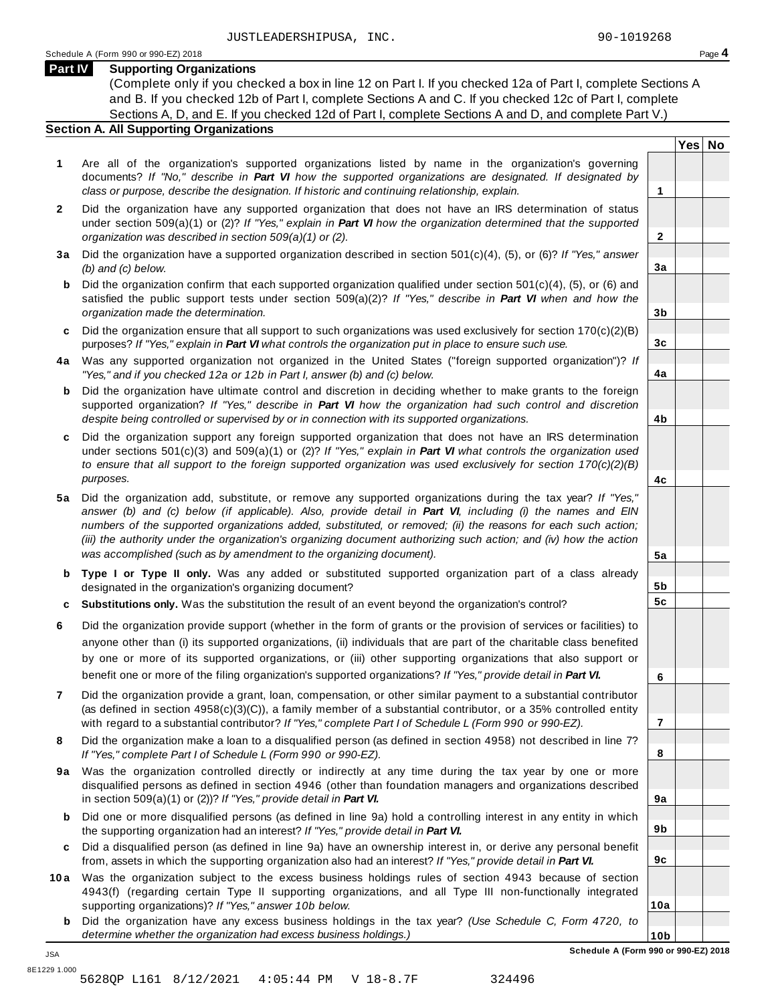#### **Part IV Supporting Organizations**

(Complete only if you checked a box in line 12 on Part I. If you checked 12a of Part I, complete Sections A and B. If you checked 12b of Part I, complete Sections A and C. If you checked 12c of Part I, complete Sections A, D, and E. If you checked 12d of Part I, complete Sections A and D, and complete Part V.)

#### **Section A. All Supporting Organizations**

- **1** Are all of the organization's supported organizations listed by name in the organization's governing documents? *If "No," describe in Part VI how the supported organizations are designated. If designated by class or purpose, describe the designation. If historic and continuing relationship, explain.* **1**
- **2** Did the organization have any supported organization that does not have an IRS determination of status under section 509(a)(1) or (2)? *If"Yes," explain in Part VI how the organization determined that the supported organization was described in section 509(a)(1) or (2).*
- **3 a** Did the organization have a supported organization described in section 501(c)(4), (5), or (6)? *If "Yes," answer (b) and (c) below.*
- **b** Did the organization confirm that each supported organization qualified under section 501(c)(4), (5), or (6) and | satisfied the public support tests under section 509(a)(2)? *If "Yes," describe in Part VI when and how the organization made the determination.*
- **c** Did the organization ensure that all support to such organizations was used exclusively for section 170(c)(2)(B) purposes? *If"Yes," explain in Part VI what controls the organization put in place to ensure such use.*
- **4 a** Was any supported organization not organized in the United States ("foreign supported organization")? *If "Yes," and if you checked 12a or 12b in Part I, answer (b) and (c) below.*
- **b** Did the organization have ultimate control and discretion in deciding whether to make grants to the foreign | supported organization? *If "Yes," describe in Part VI how the organization had such control and discretion despite being controlled or supervised by or in connection with its supported organizations.*
- **c** Did the organization support any foreign supported organization that does not have an IRS determination | under sections 501(c)(3) and 509(a)(1) or (2)? *If "Yes," explain in Part VI what controls the organization used to ensure that all support to the foreign supported organization was used exclusively for section 170(c)(2)(B) purposes.*
- **5 a** Did the organization add, substitute, or remove any supported organizations during the tax year? *If "Yes,"* answer (b) and (c) below (if applicable). Also, provide detail in Part VI, including (i) the names and EIN *numbers of the supported organizations added, substituted, or removed; (ii) the reasons for each such action;* (iii) the authority under the organization's organizing document authorizing such action; and (iv) how the action *was accomplished (such as by amendment to the organizing document).*
- **b Type I or Type II only.** Was any added or substituted supported organization part of a class already designated in the organization's organizing document?
- **c Substitutions only.** Was the substitution the result of an event beyond the organization's control?
- **6** Did the organization provide support (whether in the form of grants or the provision of services or facilities) to anyone other than (i) its supported organizations, (ii) individuals that are part of the charitable class benefited by one or more of its supported organizations, or (iii) other supporting organizations that also support or benefit one or more of the filing organization's supported organizations? *If"Yes," provide detail in Part VI.*
- **7** Did the organization provide a grant, loan, compensation, or other similar payment to a substantial contributor (as defined in section 4958(c)(3)(C)), a family member of a substantial contributor, or a 35% controlled entity with regard to a substantial contributor? *If"Yes," complete Part I of Schedule L (Form 990 or 990-EZ).*
- **8** Did the organization make a loan to a disqualified person (as defined in section 4958) not described in line 7? *If "Yes," complete Part I of Schedule L (Form 990 or 990-EZ).*
- **9a** Was the organization controlled directly or indirectly at any time during the tax year by one or more | disqualified persons as defined in section 4946 (other than foundation managers and organizations described in section 509(a)(1) or (2))? *If"Yes," provide detail in Part VI.*
- **b** Did one or more disqualified persons (as defined in line 9a) hold a controlling interest in any entity in which | the supporting organization had an interest? *If"Yes," provide detail in Part VI.*
- **c** Did a disqualified person (as defined in line 9a) have an ownership interest in, or derive any personal benefit from, assets in which the supporting organization also had an interest? *If"Yes," provide detail in Part VI.*
- **10a** Was the organization subject to the excess business holdings rules of section 4943 because of section | 4943(f) (regarding certain Type II supporting organizations, and all Type III non-functionally integrated supporting organizations)? *If"Yes," answer 10b below.*
	- **b** Did the organization have any excess business holdings in the tax year? *(Use Schedule C, Form 4720, to determine whether the organization had excess business holdings.)*

**Yes No**

**2**

**3a**

**3b**

**3c**

**4a**

**4b**

**4c**

**5a**

**5b 5c**

**6**

**7**

**8**

**9a**

**9b**

**9c**

**10a**

JSA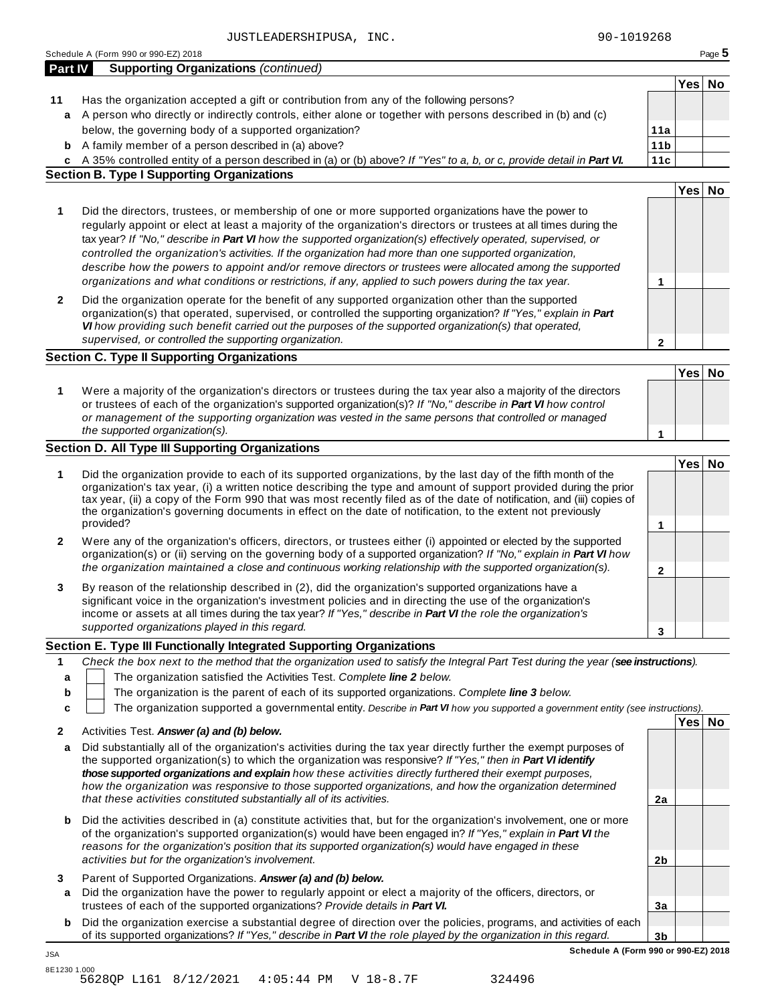|              | Schedule A (Form 990 or 990-EZ) 2018                                                                                                                                                                                                     |                 |        | Page 5 |
|--------------|------------------------------------------------------------------------------------------------------------------------------------------------------------------------------------------------------------------------------------------|-----------------|--------|--------|
| Part IV      | <b>Supporting Organizations (continued)</b>                                                                                                                                                                                              |                 |        |        |
|              |                                                                                                                                                                                                                                          |                 | Yes No |        |
| 11           | Has the organization accepted a gift or contribution from any of the following persons?                                                                                                                                                  |                 |        |        |
| a            | A person who directly or indirectly controls, either alone or together with persons described in (b) and (c)                                                                                                                             |                 |        |        |
|              | below, the governing body of a supported organization?                                                                                                                                                                                   | 11a             |        |        |
| b            | A family member of a person described in (a) above?                                                                                                                                                                                      | 11 <sub>b</sub> |        |        |
| c            | A 35% controlled entity of a person described in (a) or (b) above? If "Yes" to a, b, or c, provide detail in Part VI.                                                                                                                    | 11c             |        |        |
|              | <b>Section B. Type I Supporting Organizations</b>                                                                                                                                                                                        |                 |        |        |
|              |                                                                                                                                                                                                                                          |                 | Yes No |        |
| 1            | Did the directors, trustees, or membership of one or more supported organizations have the power to                                                                                                                                      |                 |        |        |
|              | regularly appoint or elect at least a majority of the organization's directors or trustees at all times during the                                                                                                                       |                 |        |        |
|              | tax year? If "No," describe in Part VI how the supported organization(s) effectively operated, supervised, or                                                                                                                            |                 |        |        |
|              | controlled the organization's activities. If the organization had more than one supported organization,                                                                                                                                  |                 |        |        |
|              | describe how the powers to appoint and/or remove directors or trustees were allocated among the supported                                                                                                                                |                 |        |        |
|              | organizations and what conditions or restrictions, if any, applied to such powers during the tax year.                                                                                                                                   | 1               |        |        |
| $\mathbf{2}$ | Did the organization operate for the benefit of any supported organization other than the supported                                                                                                                                      |                 |        |        |
|              | organization(s) that operated, supervised, or controlled the supporting organization? If "Yes," explain in Part                                                                                                                          |                 |        |        |
|              | VI how providing such benefit carried out the purposes of the supported organization(s) that operated,                                                                                                                                   |                 |        |        |
|              | supervised, or controlled the supporting organization.                                                                                                                                                                                   | 2               |        |        |
|              | <b>Section C. Type II Supporting Organizations</b>                                                                                                                                                                                       |                 |        |        |
|              |                                                                                                                                                                                                                                          |                 | Yes No |        |
| 1            | Were a majority of the organization's directors or trustees during the tax year also a majority of the directors                                                                                                                         |                 |        |        |
|              | or trustees of each of the organization's supported organization(s)? If "No," describe in Part VI how control                                                                                                                            |                 |        |        |
|              | or management of the supporting organization was vested in the same persons that controlled or managed                                                                                                                                   |                 |        |        |
|              | the supported organization(s).                                                                                                                                                                                                           | 1               |        |        |
|              | <b>Section D. All Type III Supporting Organizations</b>                                                                                                                                                                                  |                 |        |        |
|              |                                                                                                                                                                                                                                          |                 | Yes No |        |
| 1            | Did the organization provide to each of its supported organizations, by the last day of the fifth month of the<br>organization's tax year, (i) a written notice describing the type and amount of support provided during the prior      |                 |        |        |
|              | tax year, (ii) a copy of the Form 990 that was most recently filed as of the date of notification, and (iii) copies of                                                                                                                   |                 |        |        |
|              | the organization's governing documents in effect on the date of notification, to the extent not previously                                                                                                                               |                 |        |        |
|              | provided?                                                                                                                                                                                                                                | 1               |        |        |
| $\mathbf{2}$ | Were any of the organization's officers, directors, or trustees either (i) appointed or elected by the supported                                                                                                                         |                 |        |        |
|              | organization(s) or (ii) serving on the governing body of a supported organization? If "No," explain in Part VI how                                                                                                                       |                 |        |        |
|              | the organization maintained a close and continuous working relationship with the supported organization(s).                                                                                                                              | 2               |        |        |
| 3            | By reason of the relationship described in (2), did the organization's supported organizations have a                                                                                                                                    |                 |        |        |
|              | significant voice in the organization's investment policies and in directing the use of the organization's                                                                                                                               |                 |        |        |
|              | income or assets at all times during the tax year? If "Yes," describe in Part VI the role the organization's                                                                                                                             |                 |        |        |
|              | supported organizations played in this regard.                                                                                                                                                                                           | 3               |        |        |
|              | Section E. Type III Functionally Integrated Supporting Organizations                                                                                                                                                                     |                 |        |        |
| 1            | Check the box next to the method that the organization used to satisfy the Integral Part Test during the year (see instructions).                                                                                                        |                 |        |        |
| a            | The organization satisfied the Activities Test. Complete line 2 below.                                                                                                                                                                   |                 |        |        |
|              |                                                                                                                                                                                                                                          |                 |        |        |
| b            | The organization is the parent of each of its supported organizations. Complete line 3 below.                                                                                                                                            |                 |        |        |
| c            | The organization supported a governmental entity. Describe in Part VI how you supported a government entity (see instructions).                                                                                                          |                 |        |        |
|              |                                                                                                                                                                                                                                          |                 | Yes No |        |
| 2            | Activities Test. Answer (a) and (b) below.                                                                                                                                                                                               |                 |        |        |
| a            | Did substantially all of the organization's activities during the tax year directly further the exempt purposes of                                                                                                                       |                 |        |        |
|              | the supported organization(s) to which the organization was responsive? If "Yes," then in Part VI identify                                                                                                                               |                 |        |        |
|              | those supported organizations and explain how these activities directly furthered their exempt purposes,                                                                                                                                 |                 |        |        |
|              | how the organization was responsive to those supported organizations, and how the organization determined                                                                                                                                |                 |        |        |
|              | that these activities constituted substantially all of its activities.                                                                                                                                                                   | 2a              |        |        |
| b            | Did the activities described in (a) constitute activities that, but for the organization's involvement, one or more                                                                                                                      |                 |        |        |
|              | of the organization's supported organization(s) would have been engaged in? If "Yes," explain in Part VI the                                                                                                                             |                 |        |        |
|              | reasons for the organization's position that its supported organization(s) would have engaged in these                                                                                                                                   |                 |        |        |
|              | activities but for the organization's involvement.                                                                                                                                                                                       | 2 <sub>b</sub>  |        |        |
| 3            | Parent of Supported Organizations. Answer (a) and (b) below.                                                                                                                                                                             |                 |        |        |
| a            | Did the organization have the power to regularly appoint or elect a majority of the officers, directors, or                                                                                                                              |                 |        |        |
|              | trustees of each of the supported organizations? Provide details in Part VI.                                                                                                                                                             | 3a              |        |        |
| b            | Did the organization exercise a substantial degree of direction over the policies, programs, and activities of each<br>of its supported organizations? If "Yes," describe in Part VI the role played by the organization in this regard. | 3b              |        |        |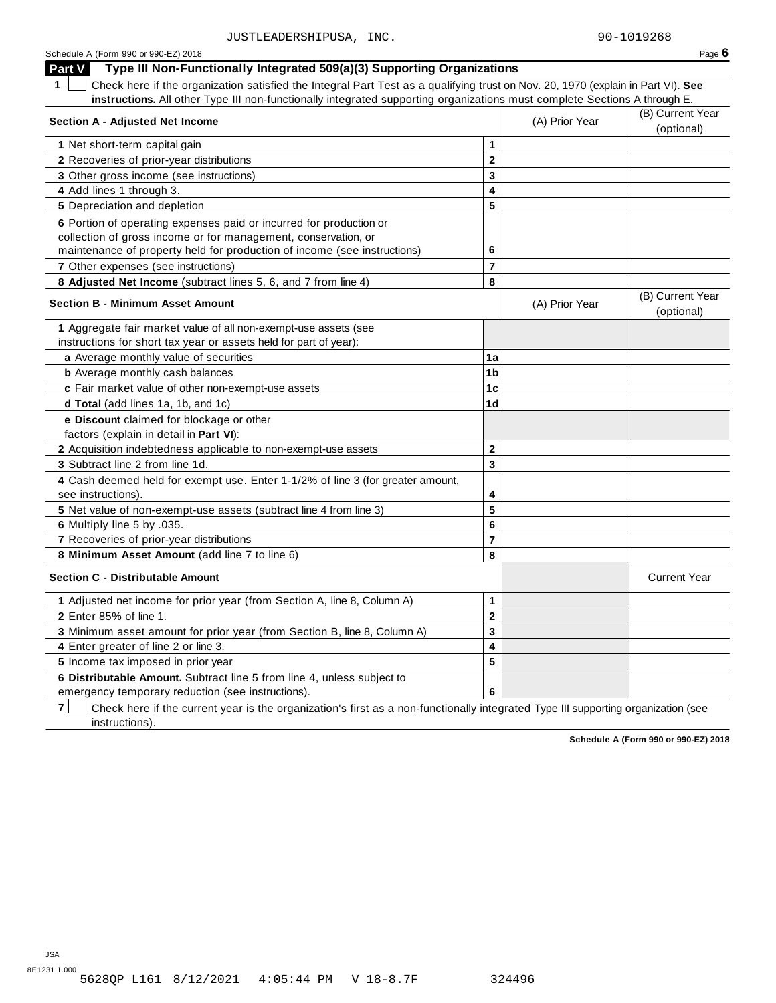| Schedule A (Form 990 or 990-EZ) 2018                                                                                                            |                         |                | Page $6$                       |
|-------------------------------------------------------------------------------------------------------------------------------------------------|-------------------------|----------------|--------------------------------|
| Type III Non-Functionally Integrated 509(a)(3) Supporting Organizations<br><b>Part V</b>                                                        |                         |                |                                |
| $\mathbf 1$<br>Check here if the organization satisfied the Integral Part Test as a qualifying trust on Nov. 20, 1970 (explain in Part VI). See |                         |                |                                |
| instructions. All other Type III non-functionally integrated supporting organizations must complete Sections A through E.                       |                         |                |                                |
| <b>Section A - Adjusted Net Income</b>                                                                                                          |                         | (A) Prior Year | (B) Current Year               |
|                                                                                                                                                 |                         |                | (optional)                     |
| 1 Net short-term capital gain                                                                                                                   | 1                       |                |                                |
| 2 Recoveries of prior-year distributions                                                                                                        | $\overline{\mathbf{2}}$ |                |                                |
| 3 Other gross income (see instructions)                                                                                                         | 3                       |                |                                |
| 4 Add lines 1 through 3.                                                                                                                        | 4                       |                |                                |
| 5 Depreciation and depletion                                                                                                                    | 5                       |                |                                |
| 6 Portion of operating expenses paid or incurred for production or                                                                              |                         |                |                                |
| collection of gross income or for management, conservation, or                                                                                  |                         |                |                                |
| maintenance of property held for production of income (see instructions)                                                                        | 6                       |                |                                |
| 7 Other expenses (see instructions)                                                                                                             | $\overline{7}$          |                |                                |
| 8 Adjusted Net Income (subtract lines 5, 6, and 7 from line 4)                                                                                  | 8                       |                |                                |
| <b>Section B - Minimum Asset Amount</b>                                                                                                         |                         | (A) Prior Year | (B) Current Year<br>(optional) |
| 1 Aggregate fair market value of all non-exempt-use assets (see                                                                                 |                         |                |                                |
| instructions for short tax year or assets held for part of year):                                                                               |                         |                |                                |
| a Average monthly value of securities                                                                                                           | 1a                      |                |                                |
| <b>b</b> Average monthly cash balances                                                                                                          | 1 <sub>b</sub>          |                |                                |
| c Fair market value of other non-exempt-use assets                                                                                              | 1c                      |                |                                |
| d Total (add lines 1a, 1b, and 1c)                                                                                                              | 1d                      |                |                                |
| e Discount claimed for blockage or other                                                                                                        |                         |                |                                |
| factors (explain in detail in Part VI):                                                                                                         |                         |                |                                |
| 2 Acquisition indebtedness applicable to non-exempt-use assets                                                                                  | $\mathbf{2}$            |                |                                |
| 3 Subtract line 2 from line 1d.                                                                                                                 | 3                       |                |                                |
| 4 Cash deemed held for exempt use. Enter 1-1/2% of line 3 (for greater amount,<br>see instructions).                                            | 4                       |                |                                |
| 5 Net value of non-exempt-use assets (subtract line 4 from line 3)                                                                              | 5                       |                |                                |
| 6 Multiply line 5 by .035.                                                                                                                      | 6                       |                |                                |
| 7 Recoveries of prior-year distributions                                                                                                        | $\overline{7}$          |                |                                |
| 8 Minimum Asset Amount (add line 7 to line 6)                                                                                                   | 8                       |                |                                |
| <b>Section C - Distributable Amount</b>                                                                                                         |                         |                | <b>Current Year</b>            |
| 1 Adjusted net income for prior year (from Section A, line 8, Column A)                                                                         | $\mathbf{1}$            |                |                                |
| 2 Enter 85% of line 1.                                                                                                                          | $\mathbf{2}$            |                |                                |
| 3 Minimum asset amount for prior year (from Section B, line 8, Column A)                                                                        | 3                       |                |                                |
| 4 Enter greater of line 2 or line 3.                                                                                                            | 4                       |                |                                |
| 5 Income tax imposed in prior year                                                                                                              | 5                       |                |                                |
| 6 Distributable Amount. Subtract line 5 from line 4, unless subject to                                                                          |                         |                |                                |
| emergency temporary reduction (see instructions).                                                                                               | 6                       |                |                                |

**7** | Check here if the current year is the organization's first as a non-functionally integrated Type III supporting organization (see instructions).

**Schedule A (Form 990 or 990-EZ) 2018**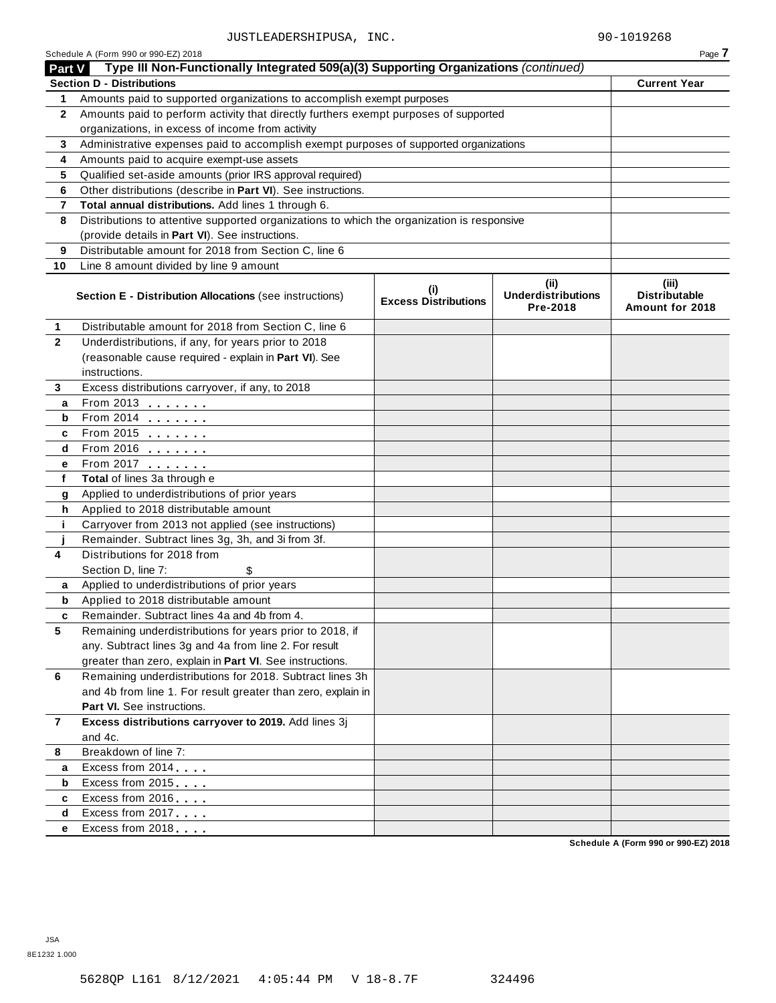|                    | Schedule A (Form 990 or 990-EZ) 2018                                                                                                                          |                                    |                                               | Page 7                                           |
|--------------------|---------------------------------------------------------------------------------------------------------------------------------------------------------------|------------------------------------|-----------------------------------------------|--------------------------------------------------|
| <b>Part V</b>      | Type III Non-Functionally Integrated 509(a)(3) Supporting Organizations (continued)<br><b>Section D - Distributions</b>                                       |                                    |                                               | <b>Current Year</b>                              |
|                    |                                                                                                                                                               |                                    |                                               |                                                  |
| 1.<br>$\mathbf{2}$ | Amounts paid to supported organizations to accomplish exempt purposes<br>Amounts paid to perform activity that directly furthers exempt purposes of supported |                                    |                                               |                                                  |
|                    | organizations, in excess of income from activity                                                                                                              |                                    |                                               |                                                  |
|                    |                                                                                                                                                               |                                    |                                               |                                                  |
| 3                  | Administrative expenses paid to accomplish exempt purposes of supported organizations                                                                         |                                    |                                               |                                                  |
| 4<br>5             | Amounts paid to acquire exempt-use assets<br>Qualified set-aside amounts (prior IRS approval required)                                                        |                                    |                                               |                                                  |
|                    |                                                                                                                                                               |                                    |                                               |                                                  |
| 6                  | Other distributions (describe in Part VI). See instructions.                                                                                                  |                                    |                                               |                                                  |
| 7                  | Total annual distributions. Add lines 1 through 6.<br>Distributions to attentive supported organizations to which the organization is responsive              |                                    |                                               |                                                  |
| 8                  | (provide details in Part VI). See instructions.                                                                                                               |                                    |                                               |                                                  |
|                    | Distributable amount for 2018 from Section C, line 6                                                                                                          |                                    |                                               |                                                  |
| 9                  |                                                                                                                                                               |                                    |                                               |                                                  |
| 10                 | Line 8 amount divided by line 9 amount                                                                                                                        |                                    |                                               |                                                  |
|                    | <b>Section E - Distribution Allocations (see instructions)</b>                                                                                                | (i)<br><b>Excess Distributions</b> | (ii)<br><b>Underdistributions</b><br>Pre-2018 | (iii)<br><b>Distributable</b><br>Amount for 2018 |
| 1                  | Distributable amount for 2018 from Section C, line 6                                                                                                          |                                    |                                               |                                                  |
| $\mathbf{2}$       | Underdistributions, if any, for years prior to 2018                                                                                                           |                                    |                                               |                                                  |
|                    | (reasonable cause required - explain in Part VI). See                                                                                                         |                                    |                                               |                                                  |
|                    | instructions.                                                                                                                                                 |                                    |                                               |                                                  |
| 3                  | Excess distributions carryover, if any, to 2018                                                                                                               |                                    |                                               |                                                  |
| a                  | From 2013                                                                                                                                                     |                                    |                                               |                                                  |
| b                  | From 2014 $\frac{1}{\sqrt{2}}$                                                                                                                                |                                    |                                               |                                                  |
| c                  | From 2015 $\frac{1}{2}$                                                                                                                                       |                                    |                                               |                                                  |
| d                  | From 2016                                                                                                                                                     |                                    |                                               |                                                  |
| е                  | From 2017 <b>Canadian Prompt 2017</b>                                                                                                                         |                                    |                                               |                                                  |
| f                  | Total of lines 3a through e                                                                                                                                   |                                    |                                               |                                                  |
| g                  | Applied to underdistributions of prior years                                                                                                                  |                                    |                                               |                                                  |
| h                  | Applied to 2018 distributable amount                                                                                                                          |                                    |                                               |                                                  |
| j.                 | Carryover from 2013 not applied (see instructions)                                                                                                            |                                    |                                               |                                                  |
|                    | Remainder. Subtract lines 3g, 3h, and 3i from 3f.                                                                                                             |                                    |                                               |                                                  |
| 4                  | Distributions for 2018 from                                                                                                                                   |                                    |                                               |                                                  |
|                    | Section D, line 7:<br>\$                                                                                                                                      |                                    |                                               |                                                  |
| a                  | Applied to underdistributions of prior years                                                                                                                  |                                    |                                               |                                                  |
| b                  | Applied to 2018 distributable amount                                                                                                                          |                                    |                                               |                                                  |
| c                  | Remainder. Subtract lines 4a and 4b from 4.                                                                                                                   |                                    |                                               |                                                  |
| 5                  | Remaining underdistributions for years prior to 2018, if                                                                                                      |                                    |                                               |                                                  |
|                    | any. Subtract lines 3g and 4a from line 2. For result                                                                                                         |                                    |                                               |                                                  |
|                    | greater than zero, explain in Part VI. See instructions.                                                                                                      |                                    |                                               |                                                  |
| 6                  | Remaining underdistributions for 2018. Subtract lines 3h                                                                                                      |                                    |                                               |                                                  |
|                    | and 4b from line 1. For result greater than zero, explain in                                                                                                  |                                    |                                               |                                                  |
|                    | Part VI. See instructions.                                                                                                                                    |                                    |                                               |                                                  |
| 7                  | Excess distributions carryover to 2019. Add lines 3j                                                                                                          |                                    |                                               |                                                  |
|                    | and 4c.                                                                                                                                                       |                                    |                                               |                                                  |
| 8                  | Breakdown of line 7:                                                                                                                                          |                                    |                                               |                                                  |
| a                  | Excess from 2014                                                                                                                                              |                                    |                                               |                                                  |
| b                  | Excess from 2015                                                                                                                                              |                                    |                                               |                                                  |
| c                  | Excess from 2016                                                                                                                                              |                                    |                                               |                                                  |
| d                  | Excess from 2017                                                                                                                                              |                                    |                                               |                                                  |
| е                  | Excess from 2018                                                                                                                                              |                                    |                                               |                                                  |

**Schedule A (Form 990 or 990-EZ) 2018**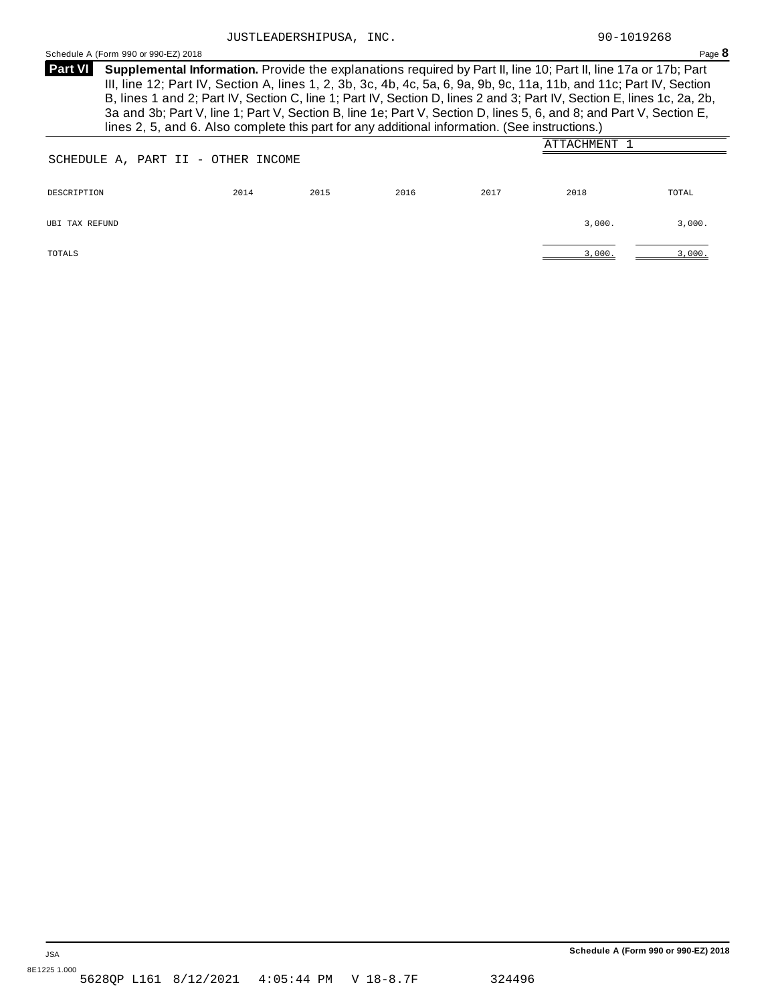<span id="page-19-0"></span>

| Schedule A (Form 990 or 990-EZ) 2018 | Page <b>o</b> |
|--------------------------------------|---------------|
|--------------------------------------|---------------|

**Supplemental Information.** Provide the explanations required by Part II, line 10; Part II, line 17a or 17b; Part III, line 12; Part IV, Section A, lines 1, 2, 3b, 3c, 4b, 4c, 5a, 6, 9a, 9b, 9c, 11a, 11b, and 11c; Part IV, Section B, lines 1 and 2; Part IV, Section C, line 1; Part IV, Section D, lines 2 and 3; Part IV, Section E, lines 1c, 2a, 2b, 3a and 3b; Part V, line 1; Part V, Section B, line 1e; Part V, Section D, lines 5, 6, and 8; and Part V, Section E, lines 2, 5, and 6. Also complete this part for any additional information. (See instructions.) **Part VI**

|                                    |      |      |      |      | ATTACHMENT |        |
|------------------------------------|------|------|------|------|------------|--------|
| SCHEDULE A, PART II - OTHER INCOME |      |      |      |      |            |        |
| DESCRIPTION                        | 2014 | 2015 | 2016 | 2017 | 2018       | TOTAL  |
| UBI TAX REFUND                     |      |      |      |      | 3,000.     | 3,000. |
| TOTALS                             |      |      |      |      | 3,000.     | 3,000. |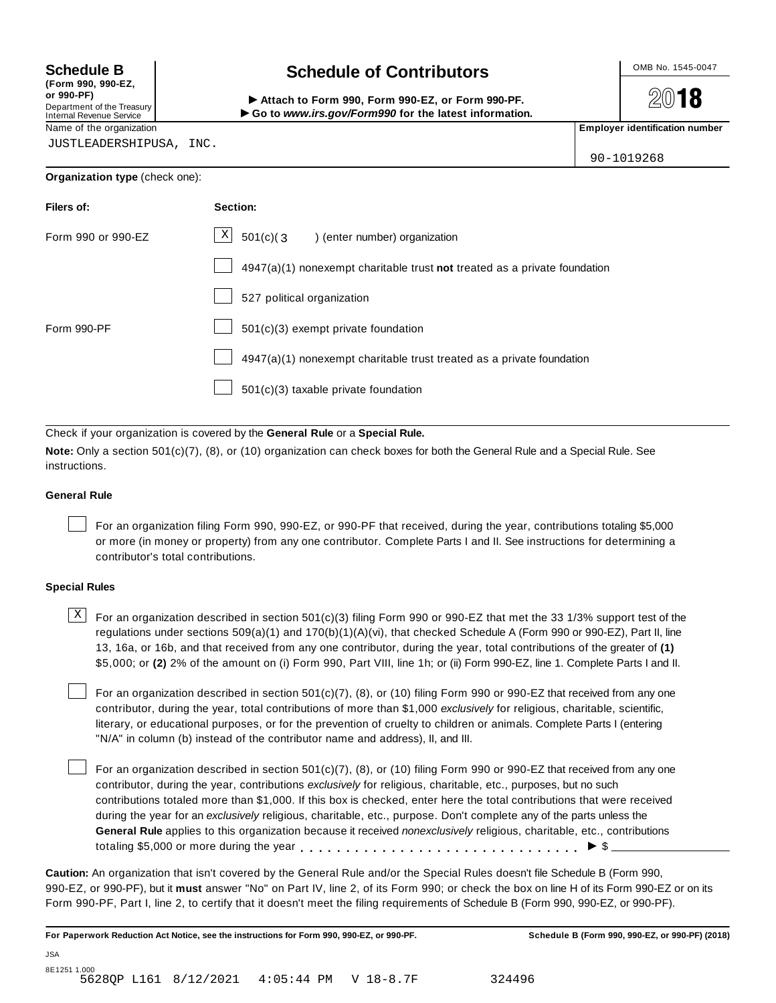## **(Form 990, 990-EZ,**

| $(1 \cup 1111 \cup 300, 300 - 14,$ |
|------------------------------------|
| or 990-PF)                         |
| Department of the Treasury         |
| <b>Internal Revenue Service</b>    |

## **Schedule B chedule of Contributors**

(Point issue, sub-Ez,<br>Department of the Treasury internal Revenue Service<br>Department of the Treasury internal Revenue Service internal Revenue Service internal Revenue Service internal<br>Name of the organization internal Re

**2018** 

90-1019268

JUSTLEADERSHIPUSA, INC.

#### **Organization type** (check one):

| Filers of:         | Section:                                                                    |
|--------------------|-----------------------------------------------------------------------------|
| Form 990 or 990-EZ | $\mathbf{X}$<br>$501(c)$ (3<br>) (enter number) organization                |
|                    | $4947(a)(1)$ nonexempt charitable trust not treated as a private foundation |
|                    | 527 political organization                                                  |
| Form 990-PF        | $501(c)(3)$ exempt private foundation                                       |
|                    | 4947(a)(1) nonexempt charitable trust treated as a private foundation       |
|                    | $501(c)(3)$ taxable private foundation                                      |

Check if your organization is covered by the **General Rule** or a **Special Rule.**

**Note:** Only a section 501(c)(7), (8), or (10) organization can check boxes for both the General Rule and a Special Rule. See instructions.

#### **General Rule**

For an organization filing Form 990, 990-EZ, or 990-PF that received, during the year, contributions totaling \$5,000 or more (in money or property) from any one contributor. Complete Parts I and II. See instructions for determining a contributor's total contributions.

#### **Special Rules**

 $\text{X}$  For an organization described in section 501(c)(3) filing Form 990 or 990-EZ that met the 33 1/3% support test of the regulations under sections 509(a)(1) and 170(b)(1)(A)(vi), that checked Schedule A (Form 990 or 990-EZ), Part II, line 13, 16a, or 16b, and that received from any one contributor, during the year, total contributions of the greater of **(1)** \$5,000; or **(2)** 2% of the amount on (i) Form 990, Part VIII, line 1h; or (ii) Form 990-EZ, line 1. Complete Parts I and II.

For an organization described in section 501(c)(7), (8), or (10) filing Form 990 or 990-EZ that received from any one contributor, during the year, total contributions of more than \$1,000 *exclusively* for religious, charitable, scientific, literary, or educational purposes, or for the prevention of cruelty to children or animals. Complete Parts I (entering "N/A" in column (b) instead of the contributor name and address), II, and III.

For an organization described in section 501(c)(7), (8), or (10) filing Form 990 or 990-EZ that received from any one contributor, during the year, contributions *exclusively* for religious, charitable, etc., purposes, but no such contributions totaled more than \$1,000. If this box is checked, enter here the total contributions that were received during the year for an *exclusively* religious, charitable, etc., purpose. Don't complete any of the parts unless the **General Rule** applies to this organization because it received *nonexclusively* religious, charitable, etc., contributions totaling \$5,000 or more during the year m m m m m m m m m m m m m m m m m m m m m m m m m m m m m m m I \$

**Caution:** An organization that isn't covered by the General Rule and/or the Special Rules doesn't file Schedule B (Form 990, 990-EZ, or 990-PF), but it **must** answer "No" on Part IV, line 2, of its Form 990; or check the box on line H of its Form 990-EZ or on its Form 990-PF, Part I, line 2, to certify that it doesn't meet the filing requirements of Schedule B (Form 990, 990-EZ, or 990-PF).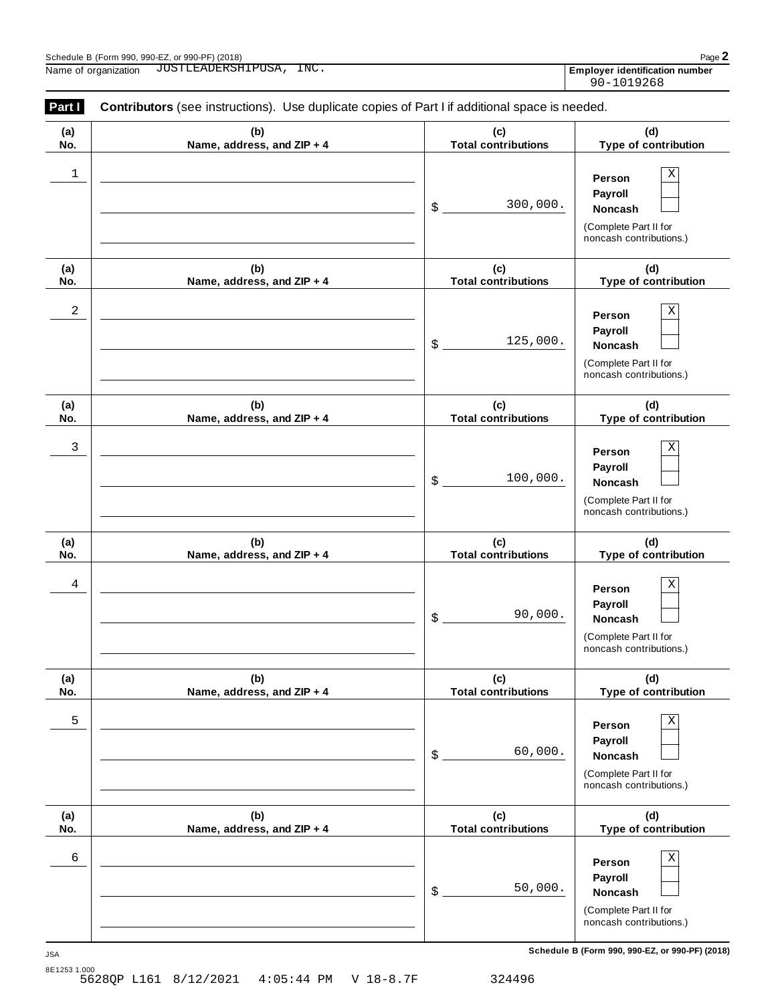| Schedule B (Form 990, 990-EZ, or 990-PF) (2018) |                            | $P$ age $\blacktriangle$                           |
|-------------------------------------------------|----------------------------|----------------------------------------------------|
| Name of organization                            | INC.<br>JUSTLEADERSHIPUSA, | <b>Employer identification number</b><br>00.101000 |

| <b>Employer identification number</b> |
|---------------------------------------|
| 90-1019268                            |

| Part I     | Contributors (see instructions). Use duplicate copies of Part I if additional space is needed. |                                   |                                                                                       |
|------------|------------------------------------------------------------------------------------------------|-----------------------------------|---------------------------------------------------------------------------------------|
| (a)<br>No. | (b)<br>Name, address, and ZIP + 4                                                              | (c)<br><b>Total contributions</b> | (d)<br>Type of contribution                                                           |
| 1          |                                                                                                | 300,000.<br>\$                    | X<br>Person<br>Payroll<br>Noncash<br>(Complete Part II for<br>noncash contributions.) |
| (a)<br>No. | (b)<br>Name, address, and ZIP + 4                                                              | (c)<br><b>Total contributions</b> | (d)<br>Type of contribution                                                           |
| 2          |                                                                                                | 125,000.<br>\$                    | X<br>Person<br>Payroll<br>Noncash<br>(Complete Part II for<br>noncash contributions.) |
| (a)<br>No. | (b)<br>Name, address, and ZIP + 4                                                              | (c)<br><b>Total contributions</b> | (d)<br>Type of contribution                                                           |
| 3          |                                                                                                | 100,000.<br>\$                    | X<br>Person<br>Payroll<br>Noncash<br>(Complete Part II for<br>noncash contributions.) |
| (a)<br>No. | (b)<br>Name, address, and ZIP + 4                                                              | (c)<br><b>Total contributions</b> | (d)<br>Type of contribution                                                           |
| 4          |                                                                                                | 90,000.<br>\$                     | X<br>Person<br>Payroll<br>Noncash<br>(Complete Part II for<br>noncash contributions.) |
| (a)<br>No. | (b)<br>Name, address, and ZIP + 4                                                              | (c)<br><b>Total contributions</b> | (d)<br><b>Type of contribution</b>                                                    |
| 5          |                                                                                                | 60,000.<br>\$                     | Χ<br>Person<br>Payroll<br>Noncash<br>(Complete Part II for<br>noncash contributions.) |
| (a)<br>No. | (b)<br>Name, address, and ZIP + 4                                                              | (c)<br><b>Total contributions</b> | (d)<br>Type of contribution                                                           |
| 6          |                                                                                                | 50,000.<br>\$                     | X<br>Person<br>Payroll<br>Noncash<br>(Complete Part II for<br>noncash contributions.) |

**Schedule B (Form 990, 990-EZ, or 990-PF) (2018)** JSA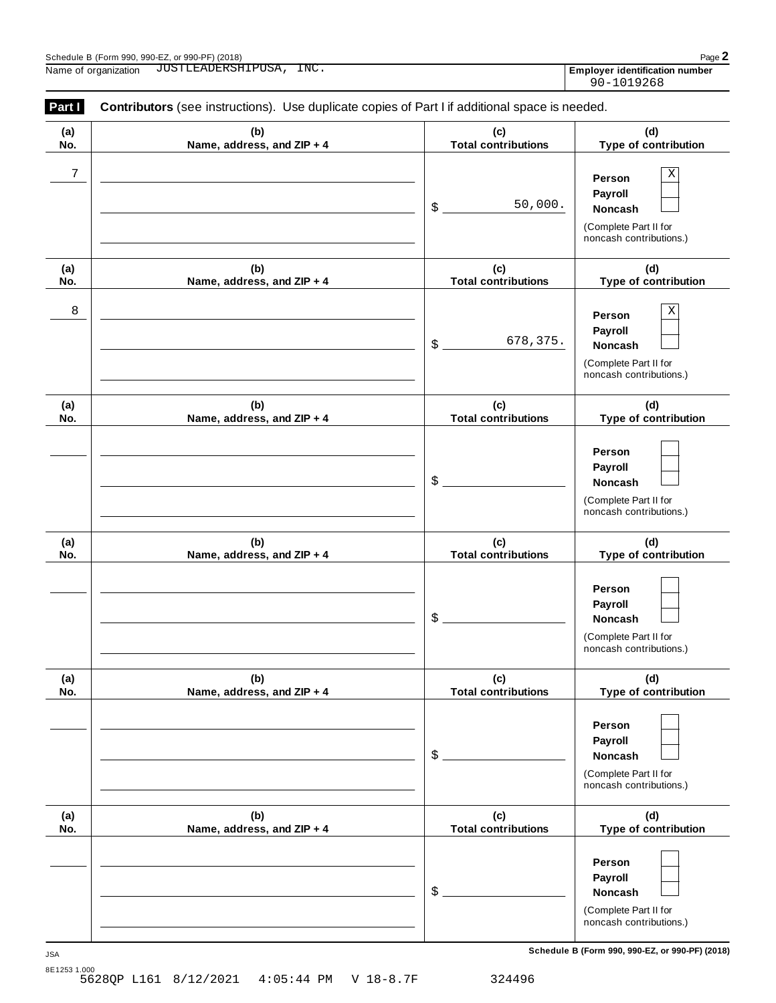|              |  |                                            | \$              |
|--------------|--|--------------------------------------------|-----------------|
|              |  |                                            |                 |
| <b>JSA</b>   |  |                                            | <b>Schedule</b> |
| 8E1253 1.000 |  | 5628QP L161 8/12/2021 4:05:44 PM V 18-8.7F | 324496          |

| (a)        | (b)                               | (c)                               | (d)                                                                                                    |
|------------|-----------------------------------|-----------------------------------|--------------------------------------------------------------------------------------------------------|
| No.        | Name, address, and ZIP + 4        | <b>Total contributions</b>        | Type of contribution                                                                                   |
| 7          |                                   | 50,000.<br>\$                     | $\mathbf X$<br>Person<br>Payroll<br><b>Noncash</b><br>(Complete Part II for<br>noncash contributions.) |
| (a)<br>No. | (b)<br>Name, address, and ZIP + 4 | (c)<br><b>Total contributions</b> | (d)<br>Type of contribution                                                                            |
| 8          |                                   | 678, 375.<br>$\frac{1}{2}$        | $\mathbf X$<br>Person<br>Payroll<br><b>Noncash</b><br>(Complete Part II for<br>noncash contributions.) |
| (a)<br>No. | (b)<br>Name, address, and ZIP + 4 | (c)<br><b>Total contributions</b> | (d)<br>Type of contribution                                                                            |
|            |                                   | \$                                | Person<br>Payroll<br><b>Noncash</b><br>(Complete Part II for<br>noncash contributions.)                |
| (a)<br>No. | (b)<br>Name, address, and ZIP + 4 | (c)<br><b>Total contributions</b> | (d)<br>Type of contribution                                                                            |
|            |                                   | \$                                | Person<br>Payroll<br><b>Noncash</b><br>(Complete Part II for<br>noncash contributions.)                |
| (a)<br>No. | (b)<br>Name, address, and ZIP + 4 | (c)<br><b>Total contributions</b> | (d)<br>Type of contribution                                                                            |
|            |                                   | \$                                | Person<br>Payroll<br><b>Noncash</b><br>(Complete Part II for<br>noncash contributions.)                |
| (a)<br>No. | (b)<br>Name, address, and ZIP + 4 | (c)<br><b>Total contributions</b> | (d)<br>Type of contribution                                                                            |
|            |                                   | \$                                | Person<br>Payroll<br><b>Noncash</b><br>(Complete Part II for<br>noncash contributions.)                |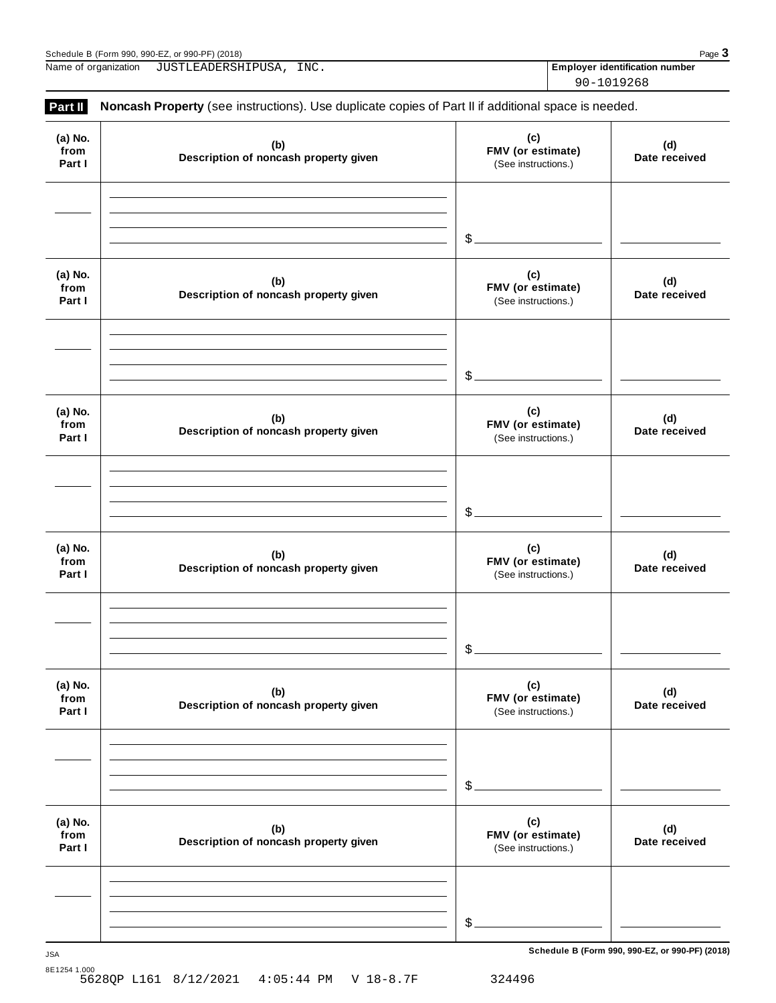| or 990-PF) (2018)<br>Schedule B<br>990-EZ<br>le B (Form 990.<br>Page | - - |
|----------------------------------------------------------------------|-----|
|----------------------------------------------------------------------|-----|

| Name of organization | JUSTLEADERSHIPUSA, INC. |  |
|----------------------|-------------------------|--|
|                      |                         |  |

Name of organization **JUSTLEADERSHIPUSA**, INC. 90-1019268

| Part II                   | Noncash Property (see instructions). Use duplicate copies of Part II if additional space is needed. |                                                 |                      |
|---------------------------|-----------------------------------------------------------------------------------------------------|-------------------------------------------------|----------------------|
| (a) No.<br>from<br>Part I | (b)<br>Description of noncash property given                                                        | (c)<br>FMV (or estimate)<br>(See instructions.) | (d)<br>Date received |
|                           |                                                                                                     | $\frac{1}{2}$                                   |                      |
| (a) No.<br>from<br>Part I | (b)<br>Description of noncash property given                                                        | (c)<br>FMV (or estimate)<br>(See instructions.) | (d)<br>Date received |
|                           |                                                                                                     | $\mathcal{L}$                                   |                      |
| (a) No.<br>from<br>Part I | (b)<br>Description of noncash property given                                                        | (c)<br>FMV (or estimate)<br>(See instructions.) | (d)<br>Date received |
|                           |                                                                                                     | $\mathcal{L}$                                   |                      |
| (a) No.<br>from<br>Part I | (b)<br>Description of noncash property given                                                        | (c)<br>FMV (or estimate)<br>(See instructions.) | (d)<br>Date received |
|                           |                                                                                                     | \$                                              |                      |
| (a) No.<br>from<br>Part I | (b)<br>Description of noncash property given                                                        | (c)<br>FMV (or estimate)<br>(See instructions.) | (d)<br>Date received |
|                           |                                                                                                     | \$                                              |                      |
| (a) No.<br>from<br>Part I | (b)<br>Description of noncash property given                                                        | (c)<br>FMV (or estimate)<br>(See instructions.) | (d)<br>Date received |
|                           |                                                                                                     | $$$ .                                           |                      |

**Schedule B (Form 990, 990-EZ, or 990-PF) (2018)** JSA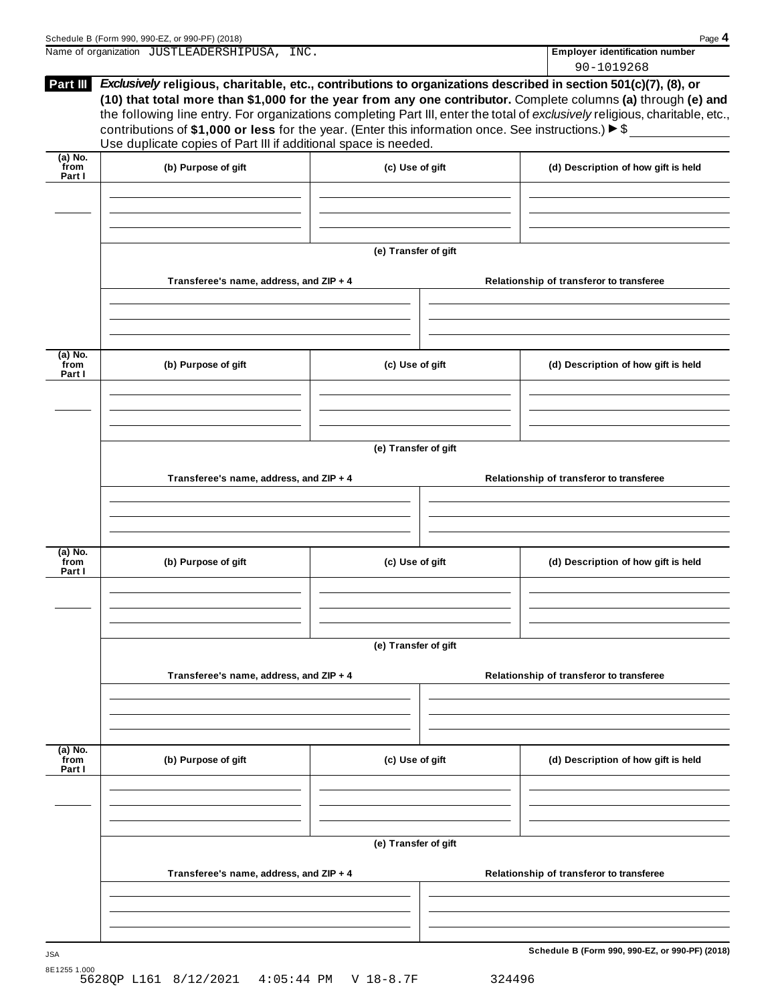|                            | Schedule B (Form 990, 990-EZ, or 990-PF) (2018)                                                                                                                                                                                                                                                           |                      | Page 4                                                                                                                                                                                                                                        |
|----------------------------|-----------------------------------------------------------------------------------------------------------------------------------------------------------------------------------------------------------------------------------------------------------------------------------------------------------|----------------------|-----------------------------------------------------------------------------------------------------------------------------------------------------------------------------------------------------------------------------------------------|
|                            | Name of organization JUSTLEADERSHIPUSA, INC.                                                                                                                                                                                                                                                              |                      | Employer identification number<br>90-1019268                                                                                                                                                                                                  |
| Part III                   | Exclusively religious, charitable, etc., contributions to organizations described in section 501(c)(7), (8), or<br>contributions of \$1,000 or less for the year. (Enter this information once. See instructions.) $\triangleright$ \$<br>Use duplicate copies of Part III if additional space is needed. |                      | (10) that total more than \$1,000 for the year from any one contributor. Complete columns (a) through (e) and<br>the following line entry. For organizations completing Part III, enter the total of exclusively religious, charitable, etc., |
| (a) No.<br>from<br>Part I  | (b) Purpose of gift                                                                                                                                                                                                                                                                                       | (c) Use of gift      | (d) Description of how gift is held                                                                                                                                                                                                           |
|                            |                                                                                                                                                                                                                                                                                                           | (e) Transfer of gift |                                                                                                                                                                                                                                               |
|                            | Transferee's name, address, and ZIP + 4                                                                                                                                                                                                                                                                   |                      | Relationship of transferor to transferee                                                                                                                                                                                                      |
| (a) No.<br>from<br>Part I  | (b) Purpose of gift                                                                                                                                                                                                                                                                                       | (c) Use of gift      | (d) Description of how gift is held                                                                                                                                                                                                           |
|                            |                                                                                                                                                                                                                                                                                                           | (e) Transfer of gift |                                                                                                                                                                                                                                               |
|                            | Transferee's name, address, and ZIP + 4                                                                                                                                                                                                                                                                   |                      | Relationship of transferor to transferee                                                                                                                                                                                                      |
| (a) No.<br>from<br>Part I  | (b) Purpose of gift                                                                                                                                                                                                                                                                                       | (c) Use of gift      | (d) Description of how gift is held                                                                                                                                                                                                           |
|                            |                                                                                                                                                                                                                                                                                                           | (e) Transfer of gift |                                                                                                                                                                                                                                               |
|                            | Transferee's name, address, and ZIP + 4                                                                                                                                                                                                                                                                   |                      | Relationship of transferor to transferee                                                                                                                                                                                                      |
| (a) No.<br>`from<br>Part I | (b) Purpose of gift                                                                                                                                                                                                                                                                                       | (c) Use of gift      | (d) Description of how gift is held                                                                                                                                                                                                           |
|                            |                                                                                                                                                                                                                                                                                                           | (e) Transfer of gift |                                                                                                                                                                                                                                               |
|                            | Transferee's name, address, and ZIP + 4                                                                                                                                                                                                                                                                   |                      | Relationship of transferor to transferee                                                                                                                                                                                                      |
|                            |                                                                                                                                                                                                                                                                                                           |                      |                                                                                                                                                                                                                                               |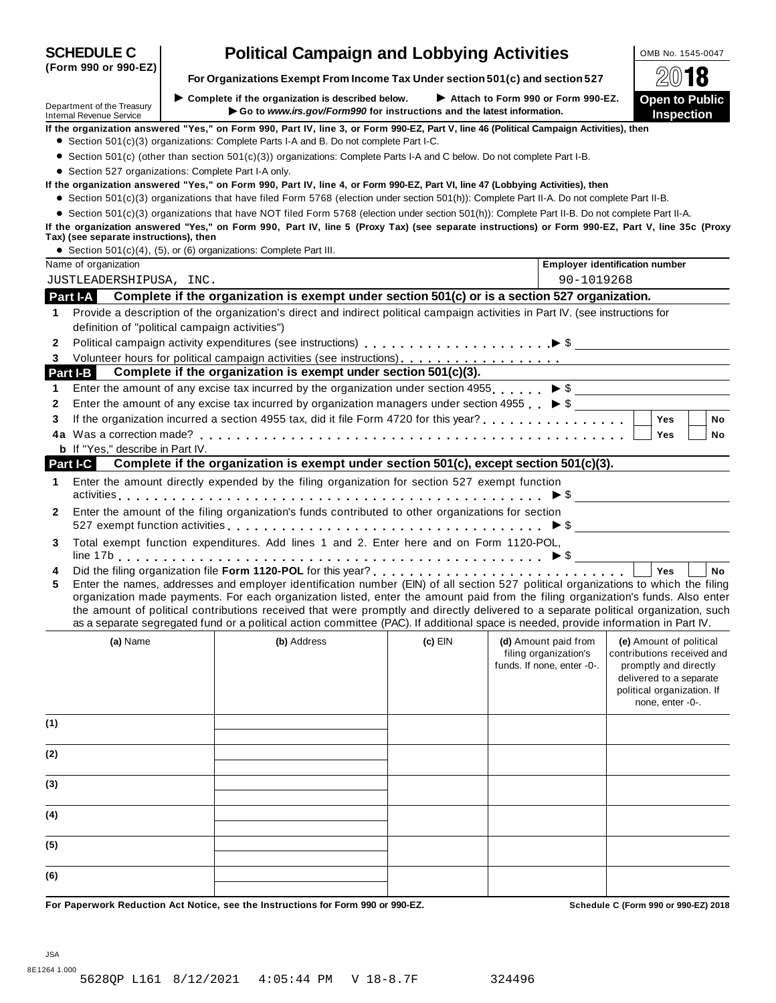| (Form 990 or 990-EZ)                                          | For Organizations Exempt From Income Tax Under section 501(c) and section 527                                                                                                                                                                                                                                                                                                                                                                                                                                                                        |           |                                                                             |                                                                                                                                                             |
|---------------------------------------------------------------|------------------------------------------------------------------------------------------------------------------------------------------------------------------------------------------------------------------------------------------------------------------------------------------------------------------------------------------------------------------------------------------------------------------------------------------------------------------------------------------------------------------------------------------------------|-----------|-----------------------------------------------------------------------------|-------------------------------------------------------------------------------------------------------------------------------------------------------------|
| Department of the Treasury<br><b>Internal Revenue Service</b> | $\triangleright$ Complete if the organization is described below.<br>Go to www.irs.gov/Form990 for instructions and the latest information.                                                                                                                                                                                                                                                                                                                                                                                                          |           | Attach to Form 990 or Form 990-EZ.                                          | Open to Public<br><b>Inspection</b>                                                                                                                         |
|                                                               | If the organization answered "Yes," on Form 990, Part IV, line 3, or Form 990-EZ, Part V, line 46 (Political Campaign Activities), then                                                                                                                                                                                                                                                                                                                                                                                                              |           |                                                                             |                                                                                                                                                             |
|                                                               | • Section 501(c)(3) organizations: Complete Parts I-A and B. Do not complete Part I-C.                                                                                                                                                                                                                                                                                                                                                                                                                                                               |           |                                                                             |                                                                                                                                                             |
|                                                               | ● Section 501(c) (other than section 501(c)(3)) organizations: Complete Parts I-A and C below. Do not complete Part I-B.                                                                                                                                                                                                                                                                                                                                                                                                                             |           |                                                                             |                                                                                                                                                             |
|                                                               | • Section 527 organizations: Complete Part I-A only.                                                                                                                                                                                                                                                                                                                                                                                                                                                                                                 |           |                                                                             |                                                                                                                                                             |
|                                                               | If the organization answered "Yes," on Form 990, Part IV, line 4, or Form 990-EZ, Part VI, line 47 (Lobbying Activities), then<br>• Section 501(c)(3) organizations that have filed Form 5768 (election under section 501(h)): Complete Part II-A. Do not complete Part II-B.                                                                                                                                                                                                                                                                        |           |                                                                             |                                                                                                                                                             |
|                                                               | • Section 501(c)(3) organizations that have NOT filed Form 5768 (election under section 501(h)): Complete Part II-B. Do not complete Part II-A.                                                                                                                                                                                                                                                                                                                                                                                                      |           |                                                                             |                                                                                                                                                             |
| Tax) (see separate instructions), then                        | If the organization answered "Yes," on Form 990, Part IV, line 5 (Proxy Tax) (see separate instructions) or Form 990-EZ, Part V, line 35c (Proxy                                                                                                                                                                                                                                                                                                                                                                                                     |           |                                                                             |                                                                                                                                                             |
|                                                               | • Section 501(c)(4), (5), or (6) organizations: Complete Part III.                                                                                                                                                                                                                                                                                                                                                                                                                                                                                   |           |                                                                             |                                                                                                                                                             |
| Name of organization                                          |                                                                                                                                                                                                                                                                                                                                                                                                                                                                                                                                                      |           |                                                                             | <b>Employer identification number</b>                                                                                                                       |
| JUSTLEADERSHIPUSA, INC.                                       |                                                                                                                                                                                                                                                                                                                                                                                                                                                                                                                                                      |           | 90-1019268                                                                  |                                                                                                                                                             |
| Part I-A                                                      | Complete if the organization is exempt under section 501(c) or is a section 527 organization.                                                                                                                                                                                                                                                                                                                                                                                                                                                        |           |                                                                             |                                                                                                                                                             |
| 1                                                             | Provide a description of the organization's direct and indirect political campaign activities in Part IV. (see instructions for                                                                                                                                                                                                                                                                                                                                                                                                                      |           |                                                                             |                                                                                                                                                             |
|                                                               | definition of "political campaign activities")                                                                                                                                                                                                                                                                                                                                                                                                                                                                                                       |           |                                                                             |                                                                                                                                                             |
| $\mathbf{2}$                                                  |                                                                                                                                                                                                                                                                                                                                                                                                                                                                                                                                                      |           |                                                                             |                                                                                                                                                             |
| 3                                                             |                                                                                                                                                                                                                                                                                                                                                                                                                                                                                                                                                      |           |                                                                             |                                                                                                                                                             |
| Part I-B                                                      | Complete if the organization is exempt under section 501(c)(3).                                                                                                                                                                                                                                                                                                                                                                                                                                                                                      |           |                                                                             |                                                                                                                                                             |
| 1                                                             | Enter the amount of any excise tax incurred by the organization under section 4955. $\triangleright$ \$                                                                                                                                                                                                                                                                                                                                                                                                                                              |           |                                                                             |                                                                                                                                                             |
| 2                                                             | Enter the amount of any excise tax incurred by organization managers under section 4955 $\triangleright$ \$                                                                                                                                                                                                                                                                                                                                                                                                                                          |           |                                                                             |                                                                                                                                                             |
| 3                                                             |                                                                                                                                                                                                                                                                                                                                                                                                                                                                                                                                                      |           |                                                                             | No<br>Yes                                                                                                                                                   |
|                                                               |                                                                                                                                                                                                                                                                                                                                                                                                                                                                                                                                                      |           |                                                                             | Yes<br>No                                                                                                                                                   |
| <b>b</b> If "Yes," describe in Part IV.                       |                                                                                                                                                                                                                                                                                                                                                                                                                                                                                                                                                      |           |                                                                             |                                                                                                                                                             |
| Part I-C I                                                    | Complete if the organization is exempt under section 501(c), except section 501(c)(3).                                                                                                                                                                                                                                                                                                                                                                                                                                                               |           |                                                                             |                                                                                                                                                             |
| 1                                                             | Enter the amount directly expended by the filing organization for section 527 exempt function                                                                                                                                                                                                                                                                                                                                                                                                                                                        |           |                                                                             | $\triangleright$ \$                                                                                                                                         |
| 2                                                             | Enter the amount of the filing organization's funds contributed to other organizations for section                                                                                                                                                                                                                                                                                                                                                                                                                                                   |           |                                                                             |                                                                                                                                                             |
| 3                                                             | Total exempt function expenditures. Add lines 1 and 2. Enter here and on Form 1120-POL,                                                                                                                                                                                                                                                                                                                                                                                                                                                              |           |                                                                             |                                                                                                                                                             |
| 4<br>5                                                        | Enter the names, addresses and employer identification number (EIN) of all section 527 political organizations to which the filing<br>organization made payments. For each organization listed, enter the amount paid from the filing organization's funds. Also enter<br>the amount of political contributions received that were promptly and directly delivered to a separate political organization, such<br>as a separate segregated fund or a political action committee (PAC). If additional space is needed, provide information in Part IV. |           |                                                                             | <b>No</b><br>Yes                                                                                                                                            |
| (a) Name                                                      | (b) Address                                                                                                                                                                                                                                                                                                                                                                                                                                                                                                                                          | $(c)$ EIN | (d) Amount paid from<br>filing organization's<br>funds. If none, enter -0-. | (e) Amount of political<br>contributions received and<br>promptly and directly<br>delivered to a separate<br>political organization. If<br>none, enter -0-. |
| (1)                                                           |                                                                                                                                                                                                                                                                                                                                                                                                                                                                                                                                                      |           |                                                                             |                                                                                                                                                             |
| (2)                                                           |                                                                                                                                                                                                                                                                                                                                                                                                                                                                                                                                                      |           |                                                                             |                                                                                                                                                             |
| (3)                                                           |                                                                                                                                                                                                                                                                                                                                                                                                                                                                                                                                                      |           |                                                                             |                                                                                                                                                             |
| (4)                                                           |                                                                                                                                                                                                                                                                                                                                                                                                                                                                                                                                                      |           |                                                                             |                                                                                                                                                             |
|                                                               |                                                                                                                                                                                                                                                                                                                                                                                                                                                                                                                                                      |           |                                                                             |                                                                                                                                                             |
| (5)                                                           |                                                                                                                                                                                                                                                                                                                                                                                                                                                                                                                                                      |           |                                                                             |                                                                                                                                                             |

**SCHEDULE COMB No. 1545-0047 CONDULA CAMPAIGN AND <b>CONDUCT CONDUCT CONDUCT CONDUCT CONDUCT CONDUCT CONDUCT CONDUCT CONDUCT CONDUCT CONDUCT CONDUCT CONDUCT CONDUCT CONDUCT CONDUCT CONDUCT** 

**(Form 990 or 990-EZ)**

| <b>JSA</b>   |  |                                            |  |        |
|--------------|--|--------------------------------------------|--|--------|
| 8E1264 1.000 |  | 56280P L161 8/12/2021 4:05:44 PM V 18-8.7F |  | 324496 |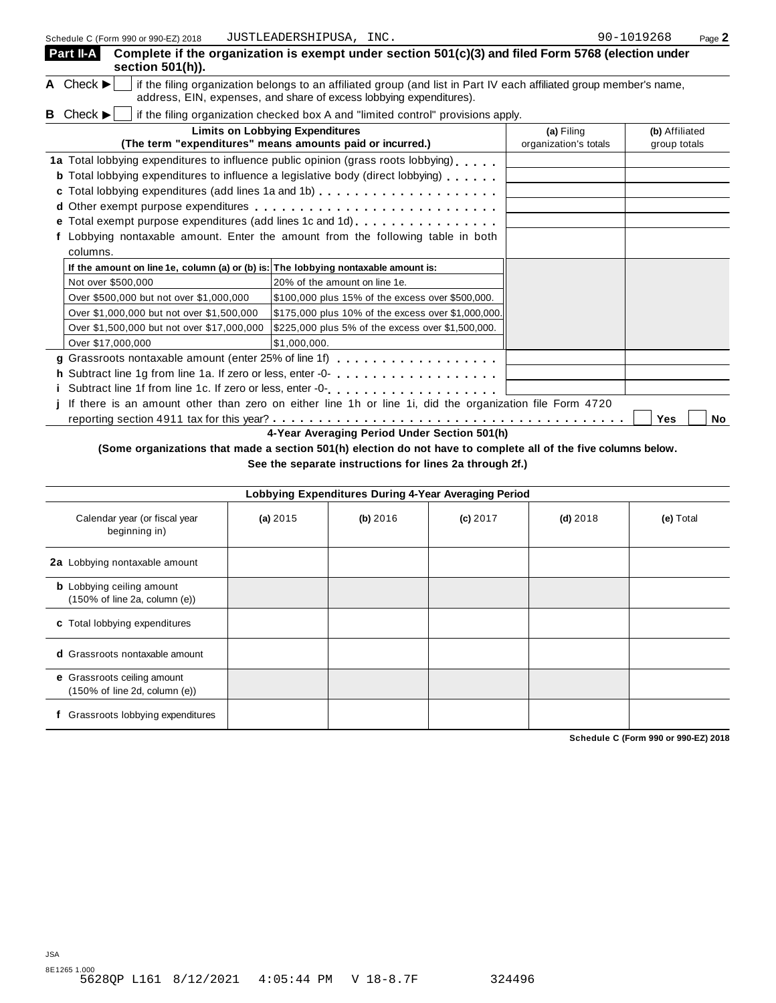| Part II-A<br>section 501(h)).                                                      | Complete if the organization is exempt under section 501(c)(3) and filed Form 5768 (election under                                                                                                                                 |                                     |                                |
|------------------------------------------------------------------------------------|------------------------------------------------------------------------------------------------------------------------------------------------------------------------------------------------------------------------------------|-------------------------------------|--------------------------------|
| A Check $\blacktriangleright$                                                      | if the filing organization belongs to an affiliated group (and list in Part IV each affiliated group member's name,<br>address, EIN, expenses, and share of excess lobbying expenditures).                                         |                                     |                                |
| <b>B</b> Check $\blacktriangleright$                                               | if the filing organization checked box A and "limited control" provisions apply.                                                                                                                                                   |                                     |                                |
|                                                                                    | <b>Limits on Lobbying Expenditures</b><br>(The term "expenditures" means amounts paid or incurred.)                                                                                                                                | (a) Filing<br>organization's totals | (b) Affiliated<br>group totals |
|                                                                                    | 1a Total lobbying expenditures to influence public opinion (grass roots lobbying)<br><b>b</b> Total lobbying expenditures to influence a legislative body (direct lobbying)<br>c Total lobbying expenditures (add lines 1a and 1b) |                                     |                                |
|                                                                                    | e Total exempt purpose expenditures (add lines 1c and 1d)<br>Lobbying nontaxable amount. Enter the amount from the following table in both                                                                                         |                                     |                                |
| columns.                                                                           |                                                                                                                                                                                                                                    |                                     |                                |
| If the amount on line 1e, column (a) or (b) is: The lobbying nontaxable amount is: |                                                                                                                                                                                                                                    |                                     |                                |
| Not over \$500,000                                                                 | 20% of the amount on line 1e.                                                                                                                                                                                                      |                                     |                                |
| Over \$500,000 but not over \$1,000,000                                            | \$100,000 plus 15% of the excess over \$500,000.                                                                                                                                                                                   |                                     |                                |
| Over \$1,000,000 but not over \$1,500,000                                          | \$175,000 plus 10% of the excess over \$1,000,000.                                                                                                                                                                                 |                                     |                                |
| Over \$1,500,000 but not over \$17,000,000                                         | \$225,000 plus 5% of the excess over \$1,500,000.                                                                                                                                                                                  |                                     |                                |
| Over \$17,000,000                                                                  | \$1.000.000.                                                                                                                                                                                                                       |                                     |                                |
|                                                                                    | g Grassroots nontaxable amount (enter 25% of line 1f)                                                                                                                                                                              |                                     |                                |
|                                                                                    | h Subtract line 1g from line 1a. If zero or less, enter -0- <b>contract and report in the Subtract in</b>                                                                                                                          |                                     |                                |
|                                                                                    |                                                                                                                                                                                                                                    |                                     |                                |
|                                                                                    | If there is an amount other than zero on either line 1h or line 1i, did the organization file Form 4720                                                                                                                            |                                     |                                |
|                                                                                    |                                                                                                                                                                                                                                    |                                     | Yes<br>No                      |
|                                                                                    | 4-Year Averaging Period Under Section 501(h)                                                                                                                                                                                       |                                     |                                |

# (Some organizations that made a section 501(h) election do not have to complete all of the five columns below.

**See the separate instructions for lines 2a through 2f.)**

| Lobbying Expenditures During 4-Year Averaging Period                                   |            |          |            |            |           |  |  |  |  |
|----------------------------------------------------------------------------------------|------------|----------|------------|------------|-----------|--|--|--|--|
| Calendar year (or fiscal year<br>beginning in)                                         | (a) $2015$ | (b) 2016 | $(c)$ 2017 | $(d)$ 2018 | (e) Total |  |  |  |  |
| 2a Lobbying nontaxable amount                                                          |            |          |            |            |           |  |  |  |  |
| <b>b</b> Lobbying ceiling amount<br>$(150\% \text{ of line } 2a, \text{ column } (e))$ |            |          |            |            |           |  |  |  |  |
| c Total lobbying expenditures                                                          |            |          |            |            |           |  |  |  |  |
| <b>d</b> Grassroots nontaxable amount                                                  |            |          |            |            |           |  |  |  |  |
| e Grassroots ceiling amount<br>$(150\% \text{ of line } 2d, \text{ column } (e))$      |            |          |            |            |           |  |  |  |  |
| Grassroots lobbying expenditures                                                       |            |          |            |            |           |  |  |  |  |

**Schedule C (Form 990 or 990-EZ) 2018**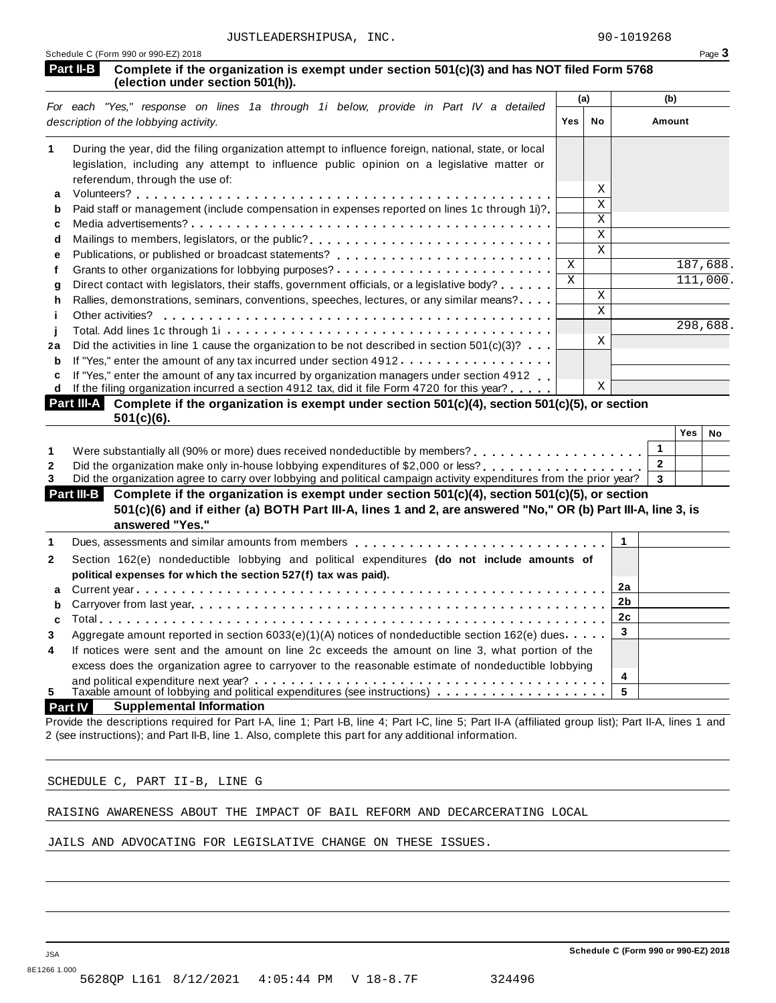| Schedule C (Form 990 or 990-EZ) 2018<br>Part II-B<br>Complete if the organization is exempt under section 501(c)(3) and has NOT filed Form 5768<br>(election under section 501(h)).<br>(a)<br>(b)<br>For each "Yes," response on lines 1a through 1i below, provide in Part IV a detailed<br>Yes<br>No<br>Amount<br>description of the lobbying activity.<br>During the year, did the filing organization attempt to influence foreign, national, state, or local<br>1<br>legislation, including any attempt to influence public opinion on a legislative matter or<br>referendum, through the use of:<br>Χ<br>a<br>$\mathbf X$<br>Paid staff or management (include compensation in expenses reported on lines 1c through 1i)?<br>b<br>$\mathbf X$<br>c<br>$\mathbf X$<br>d<br>$\mathbf{X}$<br>Publications, or published or broadcast statements?<br>$\ldots, \ldots, \ldots, \ldots, \ldots, \ldots, \ldots, \ldots$<br>е<br>$\mathbf X$<br>187,688.<br>f<br>$\mathbf{x}$<br>111,000.<br>Direct contact with legislators, their staffs, government officials, or a legislative body?<br>g<br>X<br>Rallies, demonstrations, seminars, conventions, speeches, lectures, or any similar means?<br>h<br>X<br>j.<br>298,688.<br>j<br>X<br>Did the activities in line 1 cause the organization to be not described in section $501(c)(3)? \ldots$<br>2a<br>If "Yes," enter the amount of any tax incurred under section 4912.<br>b<br>If "Yes," enter the amount of any tax incurred by organization managers under section 4912<br>c<br>X<br>If the filing organization incurred a section 4912 tax, did it file Form 4720 for this year?<br>d<br>Part III-A Complete if the organization is exempt under section 501(c)(4), section 501(c)(5), or section<br>$501(c)(6)$ .<br>Yes<br>$\blacktriangleleft$<br>1<br>$\overline{2}$<br>Did the organization make only in-house lobbying expenditures of \$2,000 or less?<br><br>2<br>Did the organization agree to carry over lobbying and political campaign activity expenditures from the prior year?<br>3<br>3<br><b>Part III-B</b><br>Complete if the organization is exempt under section 501(c)(4), section 501(c)(5), or section<br>501(c)(6) and if either (a) BOTH Part III-A, lines 1 and 2, are answered "No," OR (b) Part III-A, line 3, is<br>answered "Yes."<br>$\mathbf{1}$<br>Dues, assessments and similar amounts from members entitled vinces of the series of the series of the series o<br>1<br>Section 162(e) nondeductible lobbying and political expenditures (do not include amounts of<br>2<br>political expenses for which the section 527(f) tax was paid).<br>2a<br>a<br>2b<br>b<br>2c<br>c<br>3<br>Aggregate amount reported in section $6033(e)(1)(A)$ notices of nondeductible section $162(e)$ dues $\cdots$<br>3<br>If notices were sent and the amount on line 2c exceeds the amount on line 3, what portion of the<br>4<br>excess does the organization agree to carryover to the reasonable estimate of nondeductible lobbying | JUSTLEADERSHIPUSA, INC. |  | 90-1019268 |        |
|------------------------------------------------------------------------------------------------------------------------------------------------------------------------------------------------------------------------------------------------------------------------------------------------------------------------------------------------------------------------------------------------------------------------------------------------------------------------------------------------------------------------------------------------------------------------------------------------------------------------------------------------------------------------------------------------------------------------------------------------------------------------------------------------------------------------------------------------------------------------------------------------------------------------------------------------------------------------------------------------------------------------------------------------------------------------------------------------------------------------------------------------------------------------------------------------------------------------------------------------------------------------------------------------------------------------------------------------------------------------------------------------------------------------------------------------------------------------------------------------------------------------------------------------------------------------------------------------------------------------------------------------------------------------------------------------------------------------------------------------------------------------------------------------------------------------------------------------------------------------------------------------------------------------------------------------------------------------------------------------------------------------------------------------------------------------------------------------------------------------------------------------------------------------------------------------------------------------------------------------------------------------------------------------------------------------------------------------------------------------------------------------------------------------------------------------------------------------------------------------------------------------------------------------------------------------------------------------------------------------------------------------------------------------------------------------------------------------------------------------------------------------------------------------------------------------------------------------------------------------------------------------------------------------------------------------------------------------------------------------------------------|-------------------------|--|------------|--------|
|                                                                                                                                                                                                                                                                                                                                                                                                                                                                                                                                                                                                                                                                                                                                                                                                                                                                                                                                                                                                                                                                                                                                                                                                                                                                                                                                                                                                                                                                                                                                                                                                                                                                                                                                                                                                                                                                                                                                                                                                                                                                                                                                                                                                                                                                                                                                                                                                                                                                                                                                                                                                                                                                                                                                                                                                                                                                                                                                                                                                                  |                         |  |            | Page 3 |
|                                                                                                                                                                                                                                                                                                                                                                                                                                                                                                                                                                                                                                                                                                                                                                                                                                                                                                                                                                                                                                                                                                                                                                                                                                                                                                                                                                                                                                                                                                                                                                                                                                                                                                                                                                                                                                                                                                                                                                                                                                                                                                                                                                                                                                                                                                                                                                                                                                                                                                                                                                                                                                                                                                                                                                                                                                                                                                                                                                                                                  |                         |  |            |        |
|                                                                                                                                                                                                                                                                                                                                                                                                                                                                                                                                                                                                                                                                                                                                                                                                                                                                                                                                                                                                                                                                                                                                                                                                                                                                                                                                                                                                                                                                                                                                                                                                                                                                                                                                                                                                                                                                                                                                                                                                                                                                                                                                                                                                                                                                                                                                                                                                                                                                                                                                                                                                                                                                                                                                                                                                                                                                                                                                                                                                                  |                         |  |            |        |
|                                                                                                                                                                                                                                                                                                                                                                                                                                                                                                                                                                                                                                                                                                                                                                                                                                                                                                                                                                                                                                                                                                                                                                                                                                                                                                                                                                                                                                                                                                                                                                                                                                                                                                                                                                                                                                                                                                                                                                                                                                                                                                                                                                                                                                                                                                                                                                                                                                                                                                                                                                                                                                                                                                                                                                                                                                                                                                                                                                                                                  |                         |  |            |        |
|                                                                                                                                                                                                                                                                                                                                                                                                                                                                                                                                                                                                                                                                                                                                                                                                                                                                                                                                                                                                                                                                                                                                                                                                                                                                                                                                                                                                                                                                                                                                                                                                                                                                                                                                                                                                                                                                                                                                                                                                                                                                                                                                                                                                                                                                                                                                                                                                                                                                                                                                                                                                                                                                                                                                                                                                                                                                                                                                                                                                                  |                         |  |            |        |
|                                                                                                                                                                                                                                                                                                                                                                                                                                                                                                                                                                                                                                                                                                                                                                                                                                                                                                                                                                                                                                                                                                                                                                                                                                                                                                                                                                                                                                                                                                                                                                                                                                                                                                                                                                                                                                                                                                                                                                                                                                                                                                                                                                                                                                                                                                                                                                                                                                                                                                                                                                                                                                                                                                                                                                                                                                                                                                                                                                                                                  |                         |  |            |        |
|                                                                                                                                                                                                                                                                                                                                                                                                                                                                                                                                                                                                                                                                                                                                                                                                                                                                                                                                                                                                                                                                                                                                                                                                                                                                                                                                                                                                                                                                                                                                                                                                                                                                                                                                                                                                                                                                                                                                                                                                                                                                                                                                                                                                                                                                                                                                                                                                                                                                                                                                                                                                                                                                                                                                                                                                                                                                                                                                                                                                                  |                         |  |            |        |
|                                                                                                                                                                                                                                                                                                                                                                                                                                                                                                                                                                                                                                                                                                                                                                                                                                                                                                                                                                                                                                                                                                                                                                                                                                                                                                                                                                                                                                                                                                                                                                                                                                                                                                                                                                                                                                                                                                                                                                                                                                                                                                                                                                                                                                                                                                                                                                                                                                                                                                                                                                                                                                                                                                                                                                                                                                                                                                                                                                                                                  |                         |  |            |        |
|                                                                                                                                                                                                                                                                                                                                                                                                                                                                                                                                                                                                                                                                                                                                                                                                                                                                                                                                                                                                                                                                                                                                                                                                                                                                                                                                                                                                                                                                                                                                                                                                                                                                                                                                                                                                                                                                                                                                                                                                                                                                                                                                                                                                                                                                                                                                                                                                                                                                                                                                                                                                                                                                                                                                                                                                                                                                                                                                                                                                                  |                         |  |            |        |
|                                                                                                                                                                                                                                                                                                                                                                                                                                                                                                                                                                                                                                                                                                                                                                                                                                                                                                                                                                                                                                                                                                                                                                                                                                                                                                                                                                                                                                                                                                                                                                                                                                                                                                                                                                                                                                                                                                                                                                                                                                                                                                                                                                                                                                                                                                                                                                                                                                                                                                                                                                                                                                                                                                                                                                                                                                                                                                                                                                                                                  |                         |  |            |        |
|                                                                                                                                                                                                                                                                                                                                                                                                                                                                                                                                                                                                                                                                                                                                                                                                                                                                                                                                                                                                                                                                                                                                                                                                                                                                                                                                                                                                                                                                                                                                                                                                                                                                                                                                                                                                                                                                                                                                                                                                                                                                                                                                                                                                                                                                                                                                                                                                                                                                                                                                                                                                                                                                                                                                                                                                                                                                                                                                                                                                                  |                         |  |            |        |
|                                                                                                                                                                                                                                                                                                                                                                                                                                                                                                                                                                                                                                                                                                                                                                                                                                                                                                                                                                                                                                                                                                                                                                                                                                                                                                                                                                                                                                                                                                                                                                                                                                                                                                                                                                                                                                                                                                                                                                                                                                                                                                                                                                                                                                                                                                                                                                                                                                                                                                                                                                                                                                                                                                                                                                                                                                                                                                                                                                                                                  |                         |  |            |        |
|                                                                                                                                                                                                                                                                                                                                                                                                                                                                                                                                                                                                                                                                                                                                                                                                                                                                                                                                                                                                                                                                                                                                                                                                                                                                                                                                                                                                                                                                                                                                                                                                                                                                                                                                                                                                                                                                                                                                                                                                                                                                                                                                                                                                                                                                                                                                                                                                                                                                                                                                                                                                                                                                                                                                                                                                                                                                                                                                                                                                                  |                         |  |            |        |
|                                                                                                                                                                                                                                                                                                                                                                                                                                                                                                                                                                                                                                                                                                                                                                                                                                                                                                                                                                                                                                                                                                                                                                                                                                                                                                                                                                                                                                                                                                                                                                                                                                                                                                                                                                                                                                                                                                                                                                                                                                                                                                                                                                                                                                                                                                                                                                                                                                                                                                                                                                                                                                                                                                                                                                                                                                                                                                                                                                                                                  |                         |  |            |        |
|                                                                                                                                                                                                                                                                                                                                                                                                                                                                                                                                                                                                                                                                                                                                                                                                                                                                                                                                                                                                                                                                                                                                                                                                                                                                                                                                                                                                                                                                                                                                                                                                                                                                                                                                                                                                                                                                                                                                                                                                                                                                                                                                                                                                                                                                                                                                                                                                                                                                                                                                                                                                                                                                                                                                                                                                                                                                                                                                                                                                                  |                         |  |            |        |
|                                                                                                                                                                                                                                                                                                                                                                                                                                                                                                                                                                                                                                                                                                                                                                                                                                                                                                                                                                                                                                                                                                                                                                                                                                                                                                                                                                                                                                                                                                                                                                                                                                                                                                                                                                                                                                                                                                                                                                                                                                                                                                                                                                                                                                                                                                                                                                                                                                                                                                                                                                                                                                                                                                                                                                                                                                                                                                                                                                                                                  |                         |  |            |        |
|                                                                                                                                                                                                                                                                                                                                                                                                                                                                                                                                                                                                                                                                                                                                                                                                                                                                                                                                                                                                                                                                                                                                                                                                                                                                                                                                                                                                                                                                                                                                                                                                                                                                                                                                                                                                                                                                                                                                                                                                                                                                                                                                                                                                                                                                                                                                                                                                                                                                                                                                                                                                                                                                                                                                                                                                                                                                                                                                                                                                                  |                         |  |            |        |
|                                                                                                                                                                                                                                                                                                                                                                                                                                                                                                                                                                                                                                                                                                                                                                                                                                                                                                                                                                                                                                                                                                                                                                                                                                                                                                                                                                                                                                                                                                                                                                                                                                                                                                                                                                                                                                                                                                                                                                                                                                                                                                                                                                                                                                                                                                                                                                                                                                                                                                                                                                                                                                                                                                                                                                                                                                                                                                                                                                                                                  |                         |  |            |        |
|                                                                                                                                                                                                                                                                                                                                                                                                                                                                                                                                                                                                                                                                                                                                                                                                                                                                                                                                                                                                                                                                                                                                                                                                                                                                                                                                                                                                                                                                                                                                                                                                                                                                                                                                                                                                                                                                                                                                                                                                                                                                                                                                                                                                                                                                                                                                                                                                                                                                                                                                                                                                                                                                                                                                                                                                                                                                                                                                                                                                                  |                         |  |            |        |
|                                                                                                                                                                                                                                                                                                                                                                                                                                                                                                                                                                                                                                                                                                                                                                                                                                                                                                                                                                                                                                                                                                                                                                                                                                                                                                                                                                                                                                                                                                                                                                                                                                                                                                                                                                                                                                                                                                                                                                                                                                                                                                                                                                                                                                                                                                                                                                                                                                                                                                                                                                                                                                                                                                                                                                                                                                                                                                                                                                                                                  |                         |  |            |        |
|                                                                                                                                                                                                                                                                                                                                                                                                                                                                                                                                                                                                                                                                                                                                                                                                                                                                                                                                                                                                                                                                                                                                                                                                                                                                                                                                                                                                                                                                                                                                                                                                                                                                                                                                                                                                                                                                                                                                                                                                                                                                                                                                                                                                                                                                                                                                                                                                                                                                                                                                                                                                                                                                                                                                                                                                                                                                                                                                                                                                                  |                         |  |            |        |
|                                                                                                                                                                                                                                                                                                                                                                                                                                                                                                                                                                                                                                                                                                                                                                                                                                                                                                                                                                                                                                                                                                                                                                                                                                                                                                                                                                                                                                                                                                                                                                                                                                                                                                                                                                                                                                                                                                                                                                                                                                                                                                                                                                                                                                                                                                                                                                                                                                                                                                                                                                                                                                                                                                                                                                                                                                                                                                                                                                                                                  |                         |  |            | No     |
|                                                                                                                                                                                                                                                                                                                                                                                                                                                                                                                                                                                                                                                                                                                                                                                                                                                                                                                                                                                                                                                                                                                                                                                                                                                                                                                                                                                                                                                                                                                                                                                                                                                                                                                                                                                                                                                                                                                                                                                                                                                                                                                                                                                                                                                                                                                                                                                                                                                                                                                                                                                                                                                                                                                                                                                                                                                                                                                                                                                                                  |                         |  |            |        |
|                                                                                                                                                                                                                                                                                                                                                                                                                                                                                                                                                                                                                                                                                                                                                                                                                                                                                                                                                                                                                                                                                                                                                                                                                                                                                                                                                                                                                                                                                                                                                                                                                                                                                                                                                                                                                                                                                                                                                                                                                                                                                                                                                                                                                                                                                                                                                                                                                                                                                                                                                                                                                                                                                                                                                                                                                                                                                                                                                                                                                  |                         |  |            |        |
|                                                                                                                                                                                                                                                                                                                                                                                                                                                                                                                                                                                                                                                                                                                                                                                                                                                                                                                                                                                                                                                                                                                                                                                                                                                                                                                                                                                                                                                                                                                                                                                                                                                                                                                                                                                                                                                                                                                                                                                                                                                                                                                                                                                                                                                                                                                                                                                                                                                                                                                                                                                                                                                                                                                                                                                                                                                                                                                                                                                                                  |                         |  |            |        |
|                                                                                                                                                                                                                                                                                                                                                                                                                                                                                                                                                                                                                                                                                                                                                                                                                                                                                                                                                                                                                                                                                                                                                                                                                                                                                                                                                                                                                                                                                                                                                                                                                                                                                                                                                                                                                                                                                                                                                                                                                                                                                                                                                                                                                                                                                                                                                                                                                                                                                                                                                                                                                                                                                                                                                                                                                                                                                                                                                                                                                  |                         |  |            |        |
|                                                                                                                                                                                                                                                                                                                                                                                                                                                                                                                                                                                                                                                                                                                                                                                                                                                                                                                                                                                                                                                                                                                                                                                                                                                                                                                                                                                                                                                                                                                                                                                                                                                                                                                                                                                                                                                                                                                                                                                                                                                                                                                                                                                                                                                                                                                                                                                                                                                                                                                                                                                                                                                                                                                                                                                                                                                                                                                                                                                                                  |                         |  |            |        |
|                                                                                                                                                                                                                                                                                                                                                                                                                                                                                                                                                                                                                                                                                                                                                                                                                                                                                                                                                                                                                                                                                                                                                                                                                                                                                                                                                                                                                                                                                                                                                                                                                                                                                                                                                                                                                                                                                                                                                                                                                                                                                                                                                                                                                                                                                                                                                                                                                                                                                                                                                                                                                                                                                                                                                                                                                                                                                                                                                                                                                  |                         |  |            |        |
|                                                                                                                                                                                                                                                                                                                                                                                                                                                                                                                                                                                                                                                                                                                                                                                                                                                                                                                                                                                                                                                                                                                                                                                                                                                                                                                                                                                                                                                                                                                                                                                                                                                                                                                                                                                                                                                                                                                                                                                                                                                                                                                                                                                                                                                                                                                                                                                                                                                                                                                                                                                                                                                                                                                                                                                                                                                                                                                                                                                                                  |                         |  |            |        |
|                                                                                                                                                                                                                                                                                                                                                                                                                                                                                                                                                                                                                                                                                                                                                                                                                                                                                                                                                                                                                                                                                                                                                                                                                                                                                                                                                                                                                                                                                                                                                                                                                                                                                                                                                                                                                                                                                                                                                                                                                                                                                                                                                                                                                                                                                                                                                                                                                                                                                                                                                                                                                                                                                                                                                                                                                                                                                                                                                                                                                  |                         |  |            |        |
|                                                                                                                                                                                                                                                                                                                                                                                                                                                                                                                                                                                                                                                                                                                                                                                                                                                                                                                                                                                                                                                                                                                                                                                                                                                                                                                                                                                                                                                                                                                                                                                                                                                                                                                                                                                                                                                                                                                                                                                                                                                                                                                                                                                                                                                                                                                                                                                                                                                                                                                                                                                                                                                                                                                                                                                                                                                                                                                                                                                                                  |                         |  |            |        |
|                                                                                                                                                                                                                                                                                                                                                                                                                                                                                                                                                                                                                                                                                                                                                                                                                                                                                                                                                                                                                                                                                                                                                                                                                                                                                                                                                                                                                                                                                                                                                                                                                                                                                                                                                                                                                                                                                                                                                                                                                                                                                                                                                                                                                                                                                                                                                                                                                                                                                                                                                                                                                                                                                                                                                                                                                                                                                                                                                                                                                  |                         |  |            |        |
|                                                                                                                                                                                                                                                                                                                                                                                                                                                                                                                                                                                                                                                                                                                                                                                                                                                                                                                                                                                                                                                                                                                                                                                                                                                                                                                                                                                                                                                                                                                                                                                                                                                                                                                                                                                                                                                                                                                                                                                                                                                                                                                                                                                                                                                                                                                                                                                                                                                                                                                                                                                                                                                                                                                                                                                                                                                                                                                                                                                                                  |                         |  |            |        |
| 4                                                                                                                                                                                                                                                                                                                                                                                                                                                                                                                                                                                                                                                                                                                                                                                                                                                                                                                                                                                                                                                                                                                                                                                                                                                                                                                                                                                                                                                                                                                                                                                                                                                                                                                                                                                                                                                                                                                                                                                                                                                                                                                                                                                                                                                                                                                                                                                                                                                                                                                                                                                                                                                                                                                                                                                                                                                                                                                                                                                                                |                         |  |            |        |
| 5<br>5                                                                                                                                                                                                                                                                                                                                                                                                                                                                                                                                                                                                                                                                                                                                                                                                                                                                                                                                                                                                                                                                                                                                                                                                                                                                                                                                                                                                                                                                                                                                                                                                                                                                                                                                                                                                                                                                                                                                                                                                                                                                                                                                                                                                                                                                                                                                                                                                                                                                                                                                                                                                                                                                                                                                                                                                                                                                                                                                                                                                           |                         |  |            |        |

### SCHEDULE C, PART II-B, LINE G

JSA

RAISING AWARENESS ABOUT THE IMPACT OF BAIL REFORM AND DECARCERATING LOCAL

JAILS AND ADVOCATING FOR LEGISLATIVE CHANGE ON THESE ISSUES.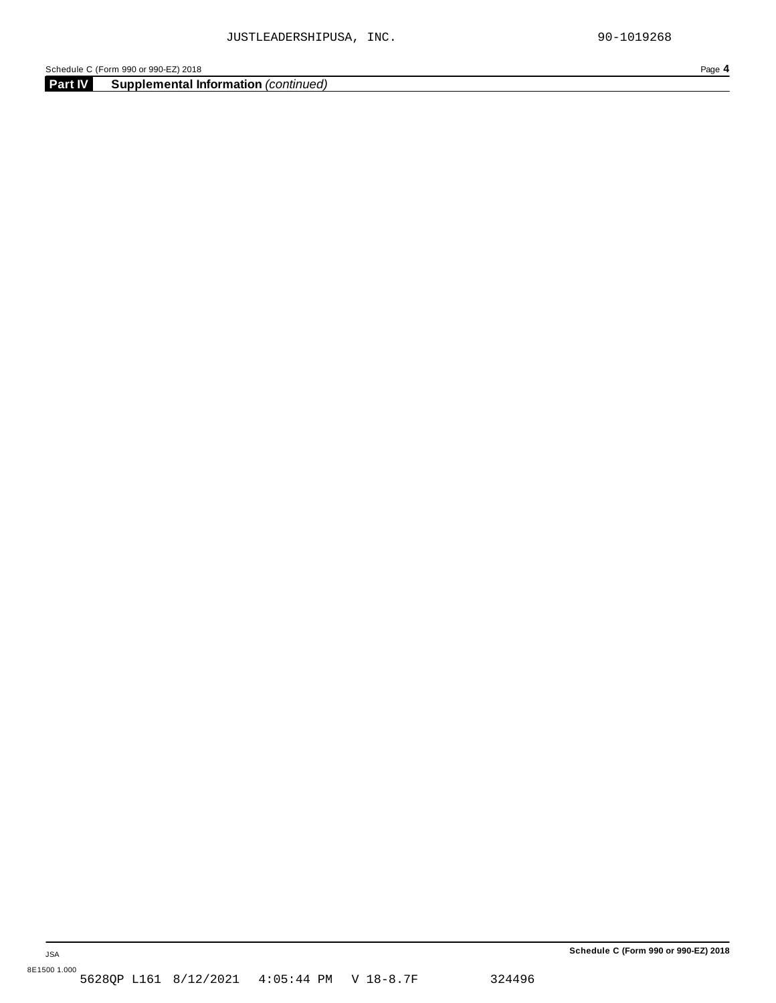**Part IV Supplemental Information** *(continued)*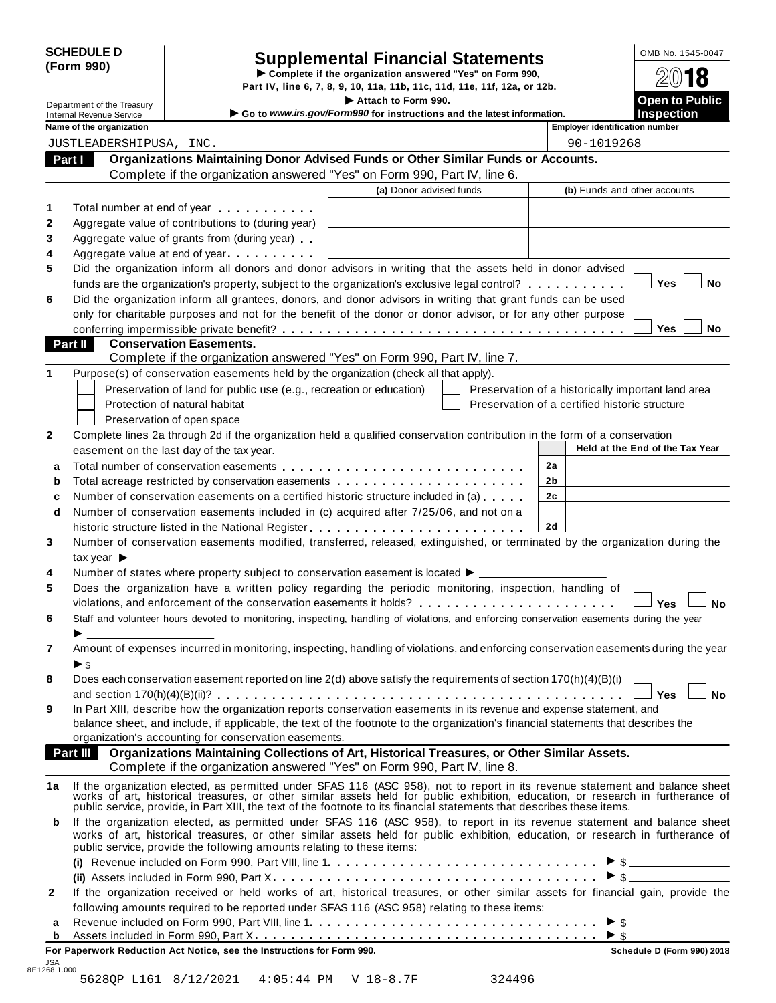| <b>SCHEDULE D</b> |  |
|-------------------|--|
| (Form 990)        |  |

# SCHEDULE D<br>
Supplemental Financial Statements<br>
Form 990)<br>
Part IV, line 6, 7, 8, 9, 10, 11a, 11b, 11c, 11d, 11e, 11f, 12a, or 12b.<br>
Part IV, line 6, 7, 8, 9, 10, 11a, 11b, 11c, 11d, 11e, 11f, 12a, or 12b.

|                |                                                               |                                                                                                                                           | Part IV, line 6, 7, 8, 9, 10, 11a, 11b, 11c, 11d, 11e, 11f, 12a, or 12b.                      |                |                                                                                                                                                                                                                                                              |
|----------------|---------------------------------------------------------------|-------------------------------------------------------------------------------------------------------------------------------------------|-----------------------------------------------------------------------------------------------|----------------|--------------------------------------------------------------------------------------------------------------------------------------------------------------------------------------------------------------------------------------------------------------|
|                | Department of the Treasury<br><b>Internal Revenue Service</b> |                                                                                                                                           | Attach to Form 990.<br>Go to www.irs.gov/Form990 for instructions and the latest information. |                | <b>Open to Public</b><br><b>Inspection</b>                                                                                                                                                                                                                   |
|                | Name of the organization                                      |                                                                                                                                           |                                                                                               |                | <b>Employer identification number</b>                                                                                                                                                                                                                        |
|                | JUSTLEADERSHIPUSA, INC.                                       |                                                                                                                                           |                                                                                               |                | 90-1019268                                                                                                                                                                                                                                                   |
| Part I         |                                                               | Organizations Maintaining Donor Advised Funds or Other Similar Funds or Accounts.                                                         |                                                                                               |                |                                                                                                                                                                                                                                                              |
|                |                                                               | Complete if the organization answered "Yes" on Form 990, Part IV, line 6.                                                                 |                                                                                               |                |                                                                                                                                                                                                                                                              |
|                |                                                               |                                                                                                                                           | (a) Donor advised funds                                                                       |                | (b) Funds and other accounts                                                                                                                                                                                                                                 |
| 1              |                                                               | Total number at end of year example.                                                                                                      |                                                                                               |                |                                                                                                                                                                                                                                                              |
| $\mathbf{2}$   |                                                               | Aggregate value of contributions to (during year)                                                                                         |                                                                                               |                |                                                                                                                                                                                                                                                              |
| 3              |                                                               | Aggregate value of grants from (during year)                                                                                              |                                                                                               |                |                                                                                                                                                                                                                                                              |
| 4              |                                                               | Aggregate value at end of year                                                                                                            |                                                                                               |                |                                                                                                                                                                                                                                                              |
| 5              |                                                               | Did the organization inform all donors and donor advisors in writing that the assets held in donor advised                                |                                                                                               |                |                                                                                                                                                                                                                                                              |
|                |                                                               | funds are the organization's property, subject to the organization's exclusive legal control?                                             |                                                                                               |                | Yes<br>No                                                                                                                                                                                                                                                    |
| 6              |                                                               | Did the organization inform all grantees, donors, and donor advisors in writing that grant funds can be used                              |                                                                                               |                |                                                                                                                                                                                                                                                              |
|                |                                                               | only for charitable purposes and not for the benefit of the donor or donor advisor, or for any other purpose                              |                                                                                               |                |                                                                                                                                                                                                                                                              |
|                |                                                               |                                                                                                                                           |                                                                                               |                | Yes<br>No                                                                                                                                                                                                                                                    |
| Part II        |                                                               | <b>Conservation Easements.</b>                                                                                                            |                                                                                               |                |                                                                                                                                                                                                                                                              |
|                |                                                               | Complete if the organization answered "Yes" on Form 990, Part IV, line 7.                                                                 |                                                                                               |                |                                                                                                                                                                                                                                                              |
| 1              |                                                               | Purpose(s) of conservation easements held by the organization (check all that apply).                                                     |                                                                                               |                |                                                                                                                                                                                                                                                              |
|                |                                                               | Preservation of land for public use (e.g., recreation or education)                                                                       |                                                                                               |                | Preservation of a historically important land area                                                                                                                                                                                                           |
|                |                                                               | Protection of natural habitat                                                                                                             |                                                                                               |                | Preservation of a certified historic structure                                                                                                                                                                                                               |
|                |                                                               | Preservation of open space                                                                                                                |                                                                                               |                |                                                                                                                                                                                                                                                              |
| $\mathbf{2}$   |                                                               | Complete lines 2a through 2d if the organization held a qualified conservation contribution in the form of a conservation                 |                                                                                               |                | Held at the End of the Tax Year                                                                                                                                                                                                                              |
|                |                                                               | easement on the last day of the tax year.                                                                                                 |                                                                                               |                |                                                                                                                                                                                                                                                              |
| a              |                                                               |                                                                                                                                           |                                                                                               | 2a             |                                                                                                                                                                                                                                                              |
| b              |                                                               | Total acreage restricted by conservation easements                                                                                        |                                                                                               | 2b             |                                                                                                                                                                                                                                                              |
| c              |                                                               | Number of conservation easements on a certified historic structure included in (a)                                                        |                                                                                               | 2 <sub>c</sub> |                                                                                                                                                                                                                                                              |
| d              |                                                               | Number of conservation easements included in (c) acquired after 7/25/06, and not on a                                                     |                                                                                               |                |                                                                                                                                                                                                                                                              |
|                |                                                               |                                                                                                                                           |                                                                                               | <b>2d</b>      |                                                                                                                                                                                                                                                              |
| 3              |                                                               | Number of conservation easements modified, transferred, released, extinguished, or terminated by the organization during the              |                                                                                               |                |                                                                                                                                                                                                                                                              |
|                | tax year                                                      |                                                                                                                                           |                                                                                               |                |                                                                                                                                                                                                                                                              |
| 4              |                                                               | Number of states where property subject to conservation easement is located >                                                             |                                                                                               |                |                                                                                                                                                                                                                                                              |
| 5              |                                                               | Does the organization have a written policy regarding the periodic monitoring, inspection, handling of                                    |                                                                                               |                |                                                                                                                                                                                                                                                              |
|                |                                                               | violations, and enforcement of the conservation easements it holds?                                                                       |                                                                                               |                | Yes<br><b>No</b>                                                                                                                                                                                                                                             |
| 6              |                                                               | Staff and volunteer hours devoted to monitoring, inspecting, handling of violations, and enforcing conservation easements during the year |                                                                                               |                |                                                                                                                                                                                                                                                              |
| $\overline{7}$ |                                                               |                                                                                                                                           |                                                                                               |                | Amount of expenses incurred in monitoring, inspecting, handling of violations, and enforcing conservation easements during the year                                                                                                                          |
|                |                                                               |                                                                                                                                           |                                                                                               |                |                                                                                                                                                                                                                                                              |
| 8              |                                                               | Does each conservation easement reported on line 2(d) above satisfy the requirements of section 170(h)(4)(B)(i)                           |                                                                                               |                |                                                                                                                                                                                                                                                              |
|                |                                                               |                                                                                                                                           |                                                                                               |                | <b>No</b><br><b>Yes</b>                                                                                                                                                                                                                                      |
| 9              |                                                               | In Part XIII, describe how the organization reports conservation easements in its revenue and expense statement, and                      |                                                                                               |                |                                                                                                                                                                                                                                                              |
|                |                                                               | balance sheet, and include, if applicable, the text of the footnote to the organization's financial statements that describes the         |                                                                                               |                |                                                                                                                                                                                                                                                              |
|                |                                                               | organization's accounting for conservation easements.                                                                                     |                                                                                               |                |                                                                                                                                                                                                                                                              |
| Part III       |                                                               | Organizations Maintaining Collections of Art, Historical Treasures, or Other Similar Assets.                                              |                                                                                               |                |                                                                                                                                                                                                                                                              |
|                |                                                               | Complete if the organization answered "Yes" on Form 990, Part IV, line 8.                                                                 |                                                                                               |                |                                                                                                                                                                                                                                                              |
| 1а             |                                                               | public service, provide, in Part XIII, the text of the footnote to its financial statements that describes these items.                   |                                                                                               |                | If the organization elected, as permitted under SFAS 116 (ASC 958), not to report in its revenue statement and balance sheet works of art, historical treasures, or other similar assets held for public exhibition, education                               |
| b              |                                                               | public service, provide the following amounts relating to these items:                                                                    |                                                                                               |                | If the organization elected, as permitted under SFAS 116 (ASC 958), to report in its revenue statement and balance sheet<br>works of art, historical treasures, or other similar assets held for public exhibition, education, or research in furtherance of |
|                |                                                               |                                                                                                                                           |                                                                                               |                |                                                                                                                                                                                                                                                              |
|                |                                                               |                                                                                                                                           |                                                                                               |                |                                                                                                                                                                                                                                                              |
| $\mathbf{2}$   |                                                               |                                                                                                                                           |                                                                                               |                | If the organization received or held works of art, historical treasures, or other similar assets for financial gain, provide the                                                                                                                             |
|                |                                                               | following amounts required to be reported under SFAS 116 (ASC 958) relating to these items:                                               |                                                                                               |                |                                                                                                                                                                                                                                                              |
|                |                                                               |                                                                                                                                           |                                                                                               |                |                                                                                                                                                                                                                                                              |
| а              |                                                               |                                                                                                                                           |                                                                                               |                |                                                                                                                                                                                                                                                              |

**For Paperwork Reduction Act Notice, see the Instructions for Form 990. Schedule D (Form 990) 2018**

| . JSA<br>8E1268 1.000 |  |                                            |  |        |
|-----------------------|--|--------------------------------------------|--|--------|
|                       |  | 56280P L161 8/12/2021 4:05:44 PM V 18-8.7F |  | 324496 |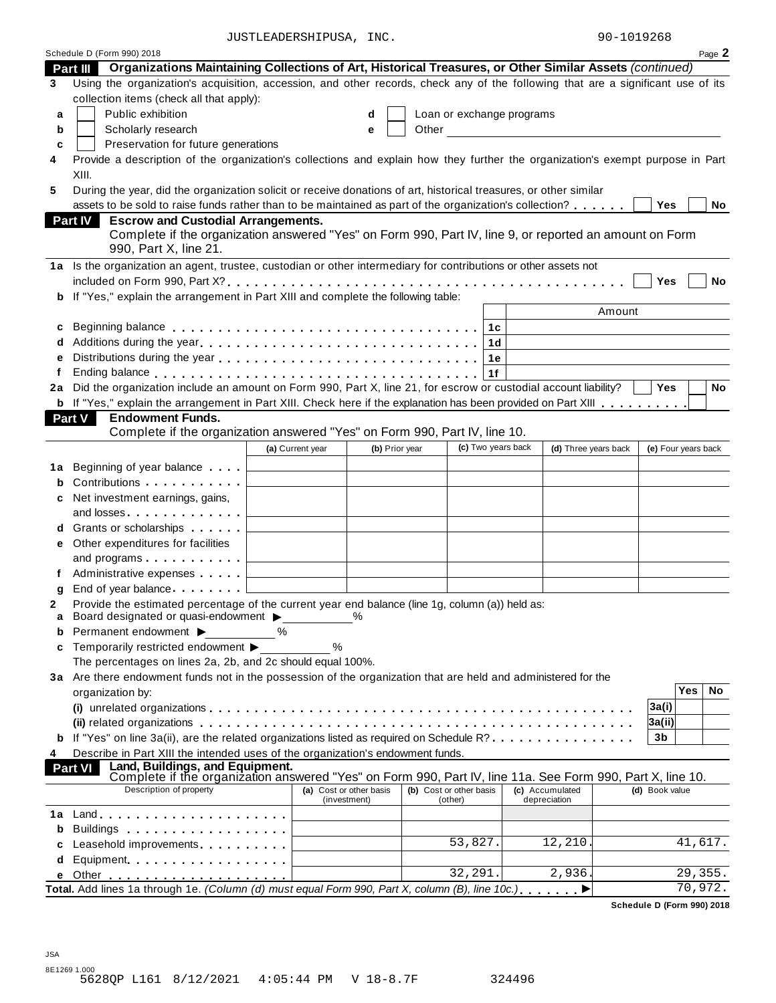|      | Schedule D (Form 990) 2018                                                                                                                                      | UILLENDERUILLEUUA,                           |                         |                |                         |                           |                                                 |                            |            | Page 2    |
|------|-----------------------------------------------------------------------------------------------------------------------------------------------------------------|----------------------------------------------|-------------------------|----------------|-------------------------|---------------------------|-------------------------------------------------|----------------------------|------------|-----------|
|      | Part III Organizations Maintaining Collections of Art, Historical Treasures, or Other Similar Assets (continued)                                                |                                              |                         |                |                         |                           |                                                 |                            |            |           |
| 3    | Using the organization's acquisition, accession, and other records, check any of the following that are a significant use of its                                |                                              |                         |                |                         |                           |                                                 |                            |            |           |
|      | collection items (check all that apply):                                                                                                                        |                                              |                         |                |                         |                           |                                                 |                            |            |           |
| a    | Public exhibition                                                                                                                                               |                                              | d                       |                |                         | Loan or exchange programs |                                                 |                            |            |           |
| b    | Scholarly research                                                                                                                                              |                                              | e                       | Other          |                         |                           | <u> 1980 - Jan Stein Berlin, amerikan bisan</u> |                            |            |           |
| c    | Preservation for future generations                                                                                                                             |                                              |                         |                |                         |                           |                                                 |                            |            |           |
| 4    | Provide a description of the organization's collections and explain how they further the organization's exempt purpose in Part                                  |                                              |                         |                |                         |                           |                                                 |                            |            |           |
|      | XIII.                                                                                                                                                           |                                              |                         |                |                         |                           |                                                 |                            |            |           |
| 5    | During the year, did the organization solicit or receive donations of art, historical treasures, or other similar                                               |                                              |                         |                |                         |                           |                                                 |                            |            |           |
|      | assets to be sold to raise funds rather than to be maintained as part of the organization's collection?                                                         |                                              |                         |                |                         |                           |                                                 | <b>Yes</b>                 |            | No        |
|      | <b>Escrow and Custodial Arrangements.</b><br><b>Part IV</b>                                                                                                     |                                              |                         |                |                         |                           |                                                 |                            |            |           |
|      | Complete if the organization answered "Yes" on Form 990, Part IV, line 9, or reported an amount on Form                                                         |                                              |                         |                |                         |                           |                                                 |                            |            |           |
|      | 990, Part X, line 21.                                                                                                                                           |                                              |                         |                |                         |                           |                                                 |                            |            |           |
|      | 1a Is the organization an agent, trustee, custodian or other intermediary for contributions or other assets not                                                 |                                              |                         |                |                         |                           |                                                 |                            |            |           |
|      |                                                                                                                                                                 |                                              |                         |                |                         |                           |                                                 | Yes                        |            | <b>No</b> |
|      | b If "Yes," explain the arrangement in Part XIII and complete the following table:                                                                              |                                              |                         |                |                         |                           |                                                 |                            |            |           |
|      |                                                                                                                                                                 |                                              |                         |                |                         |                           | Amount                                          |                            |            |           |
| c    |                                                                                                                                                                 |                                              |                         |                |                         | 1c                        |                                                 |                            |            |           |
|      | d Additions during the year                                                                                                                                     |                                              |                         |                |                         | 1d                        |                                                 |                            |            |           |
| е    |                                                                                                                                                                 |                                              |                         |                |                         | 1е                        |                                                 |                            |            |           |
| f    |                                                                                                                                                                 |                                              |                         |                |                         | 1f                        |                                                 |                            |            |           |
| 2a l | Did the organization include an amount on Form 990, Part X, line 21, for escrow or custodial account liability?                                                 |                                              |                         |                |                         |                           |                                                 | Yes                        |            | No        |
|      | <b>b</b> If "Yes," explain the arrangement in Part XIII. Check here if the explanation has been provided on Part XIII                                           |                                              |                         |                |                         |                           |                                                 |                            |            |           |
|      | Part V<br><b>Endowment Funds.</b>                                                                                                                               |                                              |                         |                |                         |                           |                                                 |                            |            |           |
|      | Complete if the organization answered "Yes" on Form 990, Part IV, line 10.                                                                                      |                                              |                         |                |                         |                           |                                                 |                            |            |           |
|      |                                                                                                                                                                 | (a) Current year                             |                         | (b) Prior year |                         | (c) Two years back        | (d) Three years back                            | (e) Four years back        |            |           |
|      | <b>1a</b> Beginning of year balance                                                                                                                             |                                              |                         |                |                         |                           |                                                 |                            |            |           |
| b    | Contributions                                                                                                                                                   |                                              |                         |                |                         |                           |                                                 |                            |            |           |
| c    | Net investment earnings, gains,                                                                                                                                 |                                              |                         |                |                         |                           |                                                 |                            |            |           |
|      | and losses                                                                                                                                                      |                                              |                         |                |                         |                           |                                                 |                            |            |           |
|      | d Grants or scholarships                                                                                                                                        |                                              |                         |                |                         |                           |                                                 |                            |            |           |
| е    | Other expenditures for facilities                                                                                                                               |                                              |                         |                |                         |                           |                                                 |                            |            |           |
|      | and programs                                                                                                                                                    |                                              |                         |                |                         |                           |                                                 |                            |            |           |
|      | Administrative expenses                                                                                                                                         | the control of the control of the control of |                         |                |                         |                           |                                                 |                            |            |           |
|      | $\mathbf g$ End of year balance $\Box$                                                                                                                          |                                              |                         |                |                         |                           |                                                 |                            |            |           |
|      | Provide the estimated percentage of the current year end balance (line 1g, column (a)) held as:                                                                 |                                              |                         |                |                         |                           |                                                 |                            |            |           |
| a    | Board designated or quasi-endowment >                                                                                                                           |                                              |                         |                |                         |                           |                                                 |                            |            |           |
|      | Permanent endowment ▶                                                                                                                                           | ℅                                            |                         |                |                         |                           |                                                 |                            |            |           |
|      | Temporarily restricted endowment ▶                                                                                                                              | %                                            |                         |                |                         |                           |                                                 |                            |            |           |
|      | The percentages on lines 2a, 2b, and 2c should equal 100%.                                                                                                      |                                              |                         |                |                         |                           |                                                 |                            |            |           |
|      | 3a Are there endowment funds not in the possession of the organization that are held and administered for the                                                   |                                              |                         |                |                         |                           |                                                 |                            |            |           |
|      | organization by:                                                                                                                                                |                                              |                         |                |                         |                           |                                                 |                            | <b>Yes</b> | No        |
|      |                                                                                                                                                                 |                                              |                         |                |                         |                           |                                                 | 3a(i)                      |            |           |
|      |                                                                                                                                                                 |                                              |                         |                |                         |                           |                                                 | 3a(ii)                     |            |           |
|      | <b>b</b> If "Yes" on line 3a(ii), are the related organizations listed as required on Schedule R?                                                               |                                              |                         |                |                         |                           |                                                 | 3b                         |            |           |
| 4    | Describe in Part XIII the intended uses of the organization's endowment funds.                                                                                  |                                              |                         |                |                         |                           |                                                 |                            |            |           |
|      | Land, Buildings, and Equipment.<br><b>Part VI</b><br>Complete if the organization answered "Yes" on Form 990, Part IV, line 11a. See Form 990, Part X, line 10. |                                              |                         |                |                         |                           |                                                 |                            |            |           |
|      | Description of property                                                                                                                                         |                                              | (a) Cost or other basis |                | (b) Cost or other basis |                           | (c) Accumulated                                 | (d) Book value             |            |           |
|      |                                                                                                                                                                 |                                              | (investment)            |                | (other)                 |                           | depreciation                                    |                            |            |           |
| 1a   | $Land, , , , , , , , , , , , , , , , , , , ,$                                                                                                                   |                                              |                         |                |                         |                           |                                                 |                            |            |           |
| b    | Buildings                                                                                                                                                       |                                              |                         |                |                         |                           |                                                 |                            |            |           |
|      | Leasehold improvements <b>Leasehold</b> improvements                                                                                                            |                                              |                         |                | 53,827.                 |                           | 12,210                                          |                            | 41,617.    |           |
| d    | Equipment                                                                                                                                                       |                                              |                         |                |                         |                           |                                                 |                            |            |           |
|      |                                                                                                                                                                 |                                              |                         |                | 32,291.                 |                           | 2,936.                                          |                            | 29,355.    |           |
|      | Total. Add lines 1a through 1e. (Column (d) must equal Form 990, Part X, column (B), line 10c.)                                                                 |                                              |                         |                |                         |                           |                                                 | Schedule D (Form 000) 2018 | 70,972.    |           |

**Schedule D (Form 990) 2018**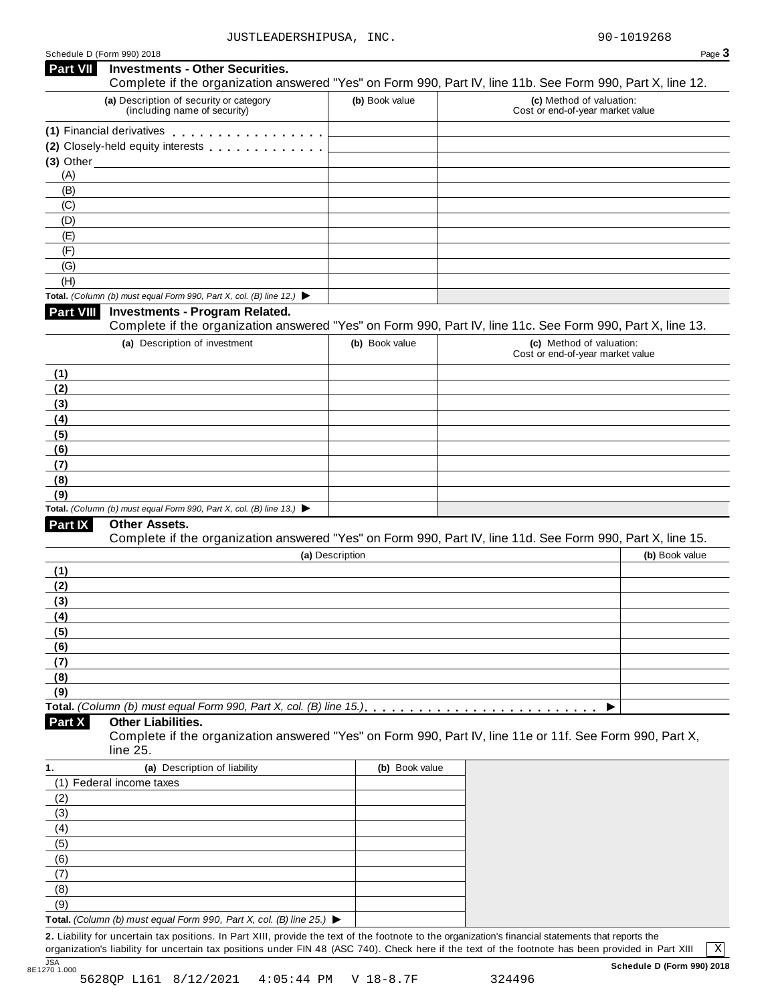| Schedule D (Form 990) 2018 |  |  |
|----------------------------|--|--|
|                            |  |  |

| Schedule D (Form 990) 2018                                            |                                                                                          |                 |                                                                                                            |
|-----------------------------------------------------------------------|------------------------------------------------------------------------------------------|-----------------|------------------------------------------------------------------------------------------------------------|
| <b>Part VII</b>                                                       | <b>Investments - Other Securities.</b>                                                   |                 | Page $3$                                                                                                   |
|                                                                       |                                                                                          |                 | Complete if the organization answered "Yes" on Form 990, Part IV, line 11b. See Form 990, Part X, line 12. |
|                                                                       | (a) Description of security or category<br>(including name of security)                  | (b) Book value  | (c) Method of valuation:<br>Cost or end-of-year market value                                               |
|                                                                       | (1) Financial derivatives                                                                |                 |                                                                                                            |
|                                                                       | (2) Closely-held equity interests entitled and closely-held equity interests             |                 |                                                                                                            |
|                                                                       | $(3)$ Other                                                                              |                 |                                                                                                            |
| (A)                                                                   |                                                                                          |                 |                                                                                                            |
| (B)                                                                   |                                                                                          |                 |                                                                                                            |
| (C)                                                                   |                                                                                          |                 |                                                                                                            |
| (D)                                                                   |                                                                                          |                 |                                                                                                            |
| (E)                                                                   |                                                                                          |                 |                                                                                                            |
| (F)                                                                   |                                                                                          |                 |                                                                                                            |
| (G)                                                                   |                                                                                          |                 |                                                                                                            |
| (H)                                                                   |                                                                                          |                 |                                                                                                            |
|                                                                       | Total. (Column (b) must equal Form 990, Part X, col. (B) line 12.) $\blacktriangleright$ |                 |                                                                                                            |
|                                                                       | Part VIII Investments - Program Related.                                                 |                 | Complete if the organization answered "Yes" on Form 990, Part IV, line 11c. See Form 990, Part X, line 13. |
|                                                                       | (a) Description of investment                                                            | (b) Book value  | (c) Method of valuation:<br>Cost or end-of-year market value                                               |
| (1)                                                                   |                                                                                          |                 |                                                                                                            |
| (2)                                                                   |                                                                                          |                 |                                                                                                            |
| (3)                                                                   |                                                                                          |                 |                                                                                                            |
| (4)                                                                   |                                                                                          |                 |                                                                                                            |
| (5)                                                                   |                                                                                          |                 |                                                                                                            |
| (6)                                                                   |                                                                                          |                 |                                                                                                            |
| (7)                                                                   |                                                                                          |                 |                                                                                                            |
| (8)                                                                   |                                                                                          |                 |                                                                                                            |
| (9)                                                                   |                                                                                          |                 |                                                                                                            |
|                                                                       | Total. (Column (b) must equal Form 990, Part X, col. (B) line 13.) $\blacktriangleright$ |                 |                                                                                                            |
| <b>Part IX</b>                                                        | <b>Other Assets.</b>                                                                     |                 | Complete if the organization answered "Yes" on Form 990, Part IV, line 11d. See Form 990, Part X, line 15. |
|                                                                       |                                                                                          |                 |                                                                                                            |
|                                                                       |                                                                                          | (a) Description | (b) Book value                                                                                             |
|                                                                       |                                                                                          |                 |                                                                                                            |
|                                                                       |                                                                                          |                 |                                                                                                            |
|                                                                       |                                                                                          |                 |                                                                                                            |
|                                                                       |                                                                                          |                 |                                                                                                            |
|                                                                       |                                                                                          |                 |                                                                                                            |
|                                                                       |                                                                                          |                 |                                                                                                            |
|                                                                       |                                                                                          |                 |                                                                                                            |
|                                                                       |                                                                                          |                 |                                                                                                            |
|                                                                       |                                                                                          |                 |                                                                                                            |
|                                                                       |                                                                                          |                 |                                                                                                            |
| (1)<br>(2)<br>(3)<br>(4)<br>(5)<br>(6)<br>(7)<br>(8)<br>(9)<br>Part X | <b>Other Liabilities.</b><br>line 25.                                                    |                 | Complete if the organization answered "Yes" on Form 990, Part IV, line 11e or 11f. See Form 990, Part X,   |
|                                                                       |                                                                                          | (b) Book value  |                                                                                                            |
|                                                                       | (a) Description of liability<br>(1) Federal income taxes                                 |                 |                                                                                                            |
|                                                                       |                                                                                          |                 |                                                                                                            |
|                                                                       |                                                                                          |                 |                                                                                                            |
|                                                                       |                                                                                          |                 |                                                                                                            |
|                                                                       |                                                                                          |                 |                                                                                                            |
|                                                                       |                                                                                          |                 |                                                                                                            |
|                                                                       |                                                                                          |                 |                                                                                                            |
|                                                                       |                                                                                          |                 |                                                                                                            |
|                                                                       |                                                                                          |                 |                                                                                                            |
| (2)<br>(3)<br>(4)<br>(5)<br>(6)<br>(7)<br>(8)<br>(9)                  | Total. (Column (b) must equal Form 990, Part X, col. (B) line 25.) $\blacktriangleright$ |                 |                                                                                                            |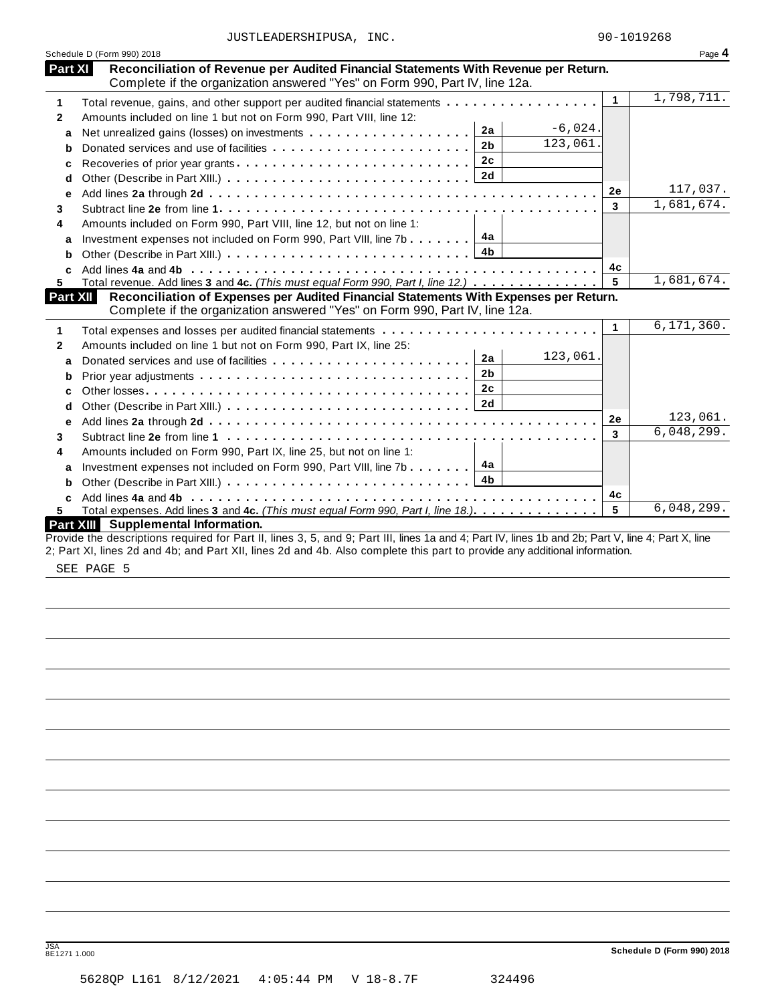| Complete if the organization answered "Yes" on Form 990, Part IV, line 12a.                                                                                                      | $\mathbf{1}$                                                                           | 1,798,711.   |
|----------------------------------------------------------------------------------------------------------------------------------------------------------------------------------|----------------------------------------------------------------------------------------|--------------|
| Total revenue, gains, and other support per audited financial statements                                                                                                         |                                                                                        |              |
| Amounts included on line 1 but not on Form 990, Part VIII, line 12:<br>$-6,024.$                                                                                                 |                                                                                        |              |
| 2a<br>123,061.                                                                                                                                                                   |                                                                                        |              |
| 2 <sub>b</sub><br>Donated services and use of facilities                                                                                                                         |                                                                                        |              |
| 2c<br>Recoveries of prior year grants                                                                                                                                            |                                                                                        |              |
|                                                                                                                                                                                  |                                                                                        |              |
|                                                                                                                                                                                  | 2e                                                                                     | 117,037.     |
|                                                                                                                                                                                  | 3                                                                                      | 1,681,674.   |
| Amounts included on Form 990, Part VIII, line 12, but not on line 1:                                                                                                             |                                                                                        |              |
| 4а<br>Investment expenses not included on Form 990, Part VIII, line 7b                                                                                                           |                                                                                        |              |
| 4b                                                                                                                                                                               |                                                                                        |              |
|                                                                                                                                                                                  | 4c                                                                                     |              |
| Total revenue. Add lines 3 and 4c. (This must equal Form 990, Part I, line 12.)                                                                                                  | 5                                                                                      | 1,681,674.   |
| Reconciliation of Expenses per Audited Financial Statements With Expenses per Return.<br>Part XII<br>Complete if the organization answered "Yes" on Form 990, Part IV, line 12a. |                                                                                        |              |
|                                                                                                                                                                                  | 1                                                                                      | 6, 171, 360. |
| Amounts included on line 1 but not on Form 990, Part IX, line 25:                                                                                                                |                                                                                        |              |
| 123,061.<br>2a                                                                                                                                                                   |                                                                                        |              |
| 2 <sub>b</sub>                                                                                                                                                                   |                                                                                        |              |
| 2c                                                                                                                                                                               |                                                                                        |              |
| 2d                                                                                                                                                                               |                                                                                        |              |
|                                                                                                                                                                                  | 2e                                                                                     | 123,061.     |
|                                                                                                                                                                                  | 3                                                                                      | 6,048,299.   |
| Amounts included on Form 990, Part IX, line 25, but not on line 1:                                                                                                               |                                                                                        |              |
| 4а<br>Investment expenses not included on Form 990, Part VIII, line 7b                                                                                                           |                                                                                        |              |
| b                                                                                                                                                                                |                                                                                        |              |
|                                                                                                                                                                                  | 4c                                                                                     |              |
|                                                                                                                                                                                  | 5<br>Total expenses. Add lines 3 and 4c. (This must equal Form 990, Part I, line 18.). | 6,048,299.   |

SEE PAGE 5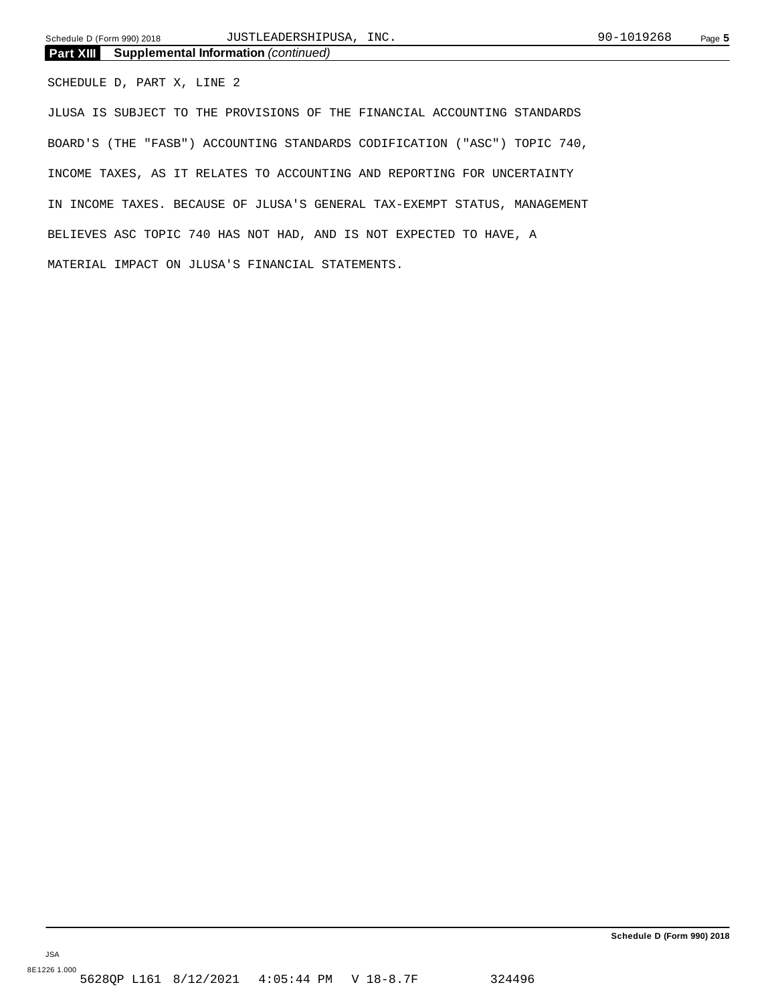**Part XIII Supplemental Information** *(continued)*

SCHEDULE D, PART X, LINE 2

JLUSA IS SUBJECT TO THE PROVISIONS OF THE FINANCIAL ACCOUNTING STANDARDS BOARD'S (THE "FASB") ACCOUNTING STANDARDS CODIFICATION ("ASC") TOPIC 740, INCOME TAXES, AS IT RELATES TO ACCOUNTING AND REPORTING FOR UNCERTAINTY IN INCOME TAXES. BECAUSE OF JLUSA'S GENERAL TAX-EXEMPT STATUS, MANAGEMENT BELIEVES ASC TOPIC 740 HAS NOT HAD, AND IS NOT EXPECTED TO HAVE, A MATERIAL IMPACT ON JLUSA'S FINANCIAL STATEMENTS.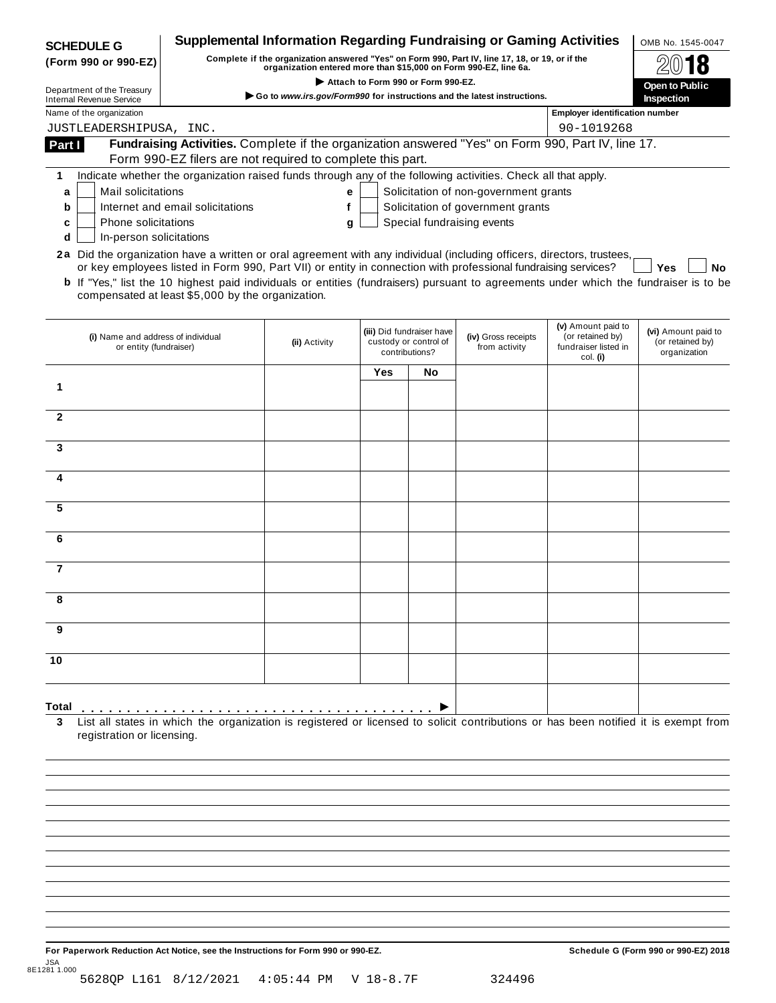| <b>SCHEDULE G</b>                                                                                                                                                                           |                                                                                                                                              | <b>Supplemental Information Regarding Fundraising or Gaming Activities</b> |                                         |                           |                                       |                                        | OMB No. 1545-0047                   |  |
|---------------------------------------------------------------------------------------------------------------------------------------------------------------------------------------------|----------------------------------------------------------------------------------------------------------------------------------------------|----------------------------------------------------------------------------|-----------------------------------------|---------------------------|---------------------------------------|----------------------------------------|-------------------------------------|--|
| Complete if the organization answered "Yes" on Form 990, Part IV, line 17, 18, or 19, or if the<br>(Form 990 or 990-EZ)<br>organization entered more than \$15,000 on Form 990-EZ, line 6a. |                                                                                                                                              |                                                                            |                                         |                           |                                       |                                        |                                     |  |
|                                                                                                                                                                                             |                                                                                                                                              |                                                                            | Attach to Form 990 or Form 990-EZ.      |                           |                                       |                                        |                                     |  |
| Department of the Treasury<br><b>Internal Revenue Service</b>                                                                                                                               |                                                                                                                                              | Go to www.irs.gov/Form990 for instructions and the latest instructions.    |                                         |                           |                                       |                                        | Open to Public<br><b>Inspection</b> |  |
| Name of the organization                                                                                                                                                                    |                                                                                                                                              |                                                                            |                                         |                           |                                       | <b>Employer identification number</b>  |                                     |  |
| JUSTLEADERSHIPUSA, INC.                                                                                                                                                                     |                                                                                                                                              |                                                                            |                                         |                           |                                       | 90-1019268                             |                                     |  |
| Fundraising Activities. Complete if the organization answered "Yes" on Form 990, Part IV, line 17.<br>Part I                                                                                |                                                                                                                                              |                                                                            |                                         |                           |                                       |                                        |                                     |  |
|                                                                                                                                                                                             | Form 990-EZ filers are not required to complete this part.                                                                                   |                                                                            |                                         |                           |                                       |                                        |                                     |  |
| 1                                                                                                                                                                                           | Indicate whether the organization raised funds through any of the following activities. Check all that apply.                                |                                                                            |                                         |                           |                                       |                                        |                                     |  |
| Mail solicitations<br>a                                                                                                                                                                     |                                                                                                                                              | е                                                                          |                                         |                           | Solicitation of non-government grants |                                        |                                     |  |
| b                                                                                                                                                                                           | Internet and email solicitations                                                                                                             | f                                                                          |                                         |                           | Solicitation of government grants     |                                        |                                     |  |
| <b>Phone solicitations</b><br>c<br>In-person solicitations<br>d                                                                                                                             |                                                                                                                                              | g                                                                          |                                         |                           | Special fundraising events            |                                        |                                     |  |
| 2a Did the organization have a written or oral agreement with any individual (including officers, directors, trustees,                                                                      |                                                                                                                                              |                                                                            |                                         |                           |                                       |                                        |                                     |  |
|                                                                                                                                                                                             | or key employees listed in Form 990, Part VII) or entity in connection with professional fundraising services?                               |                                                                            |                                         |                           |                                       |                                        | Yes<br>No                           |  |
|                                                                                                                                                                                             | <b>b</b> If "Yes," list the 10 highest paid individuals or entities (fundraisers) pursuant to agreements under which the fundraiser is to be |                                                                            |                                         |                           |                                       |                                        |                                     |  |
|                                                                                                                                                                                             | compensated at least \$5,000 by the organization.                                                                                            |                                                                            |                                         |                           |                                       |                                        |                                     |  |
|                                                                                                                                                                                             |                                                                                                                                              |                                                                            |                                         |                           |                                       |                                        |                                     |  |
| (i) Name and address of individual                                                                                                                                                          |                                                                                                                                              |                                                                            |                                         | (iii) Did fundraiser have | (iv) Gross receipts                   | (v) Amount paid to<br>(or retained by) | (vi) Amount paid to                 |  |
| or entity (fundraiser)                                                                                                                                                                      |                                                                                                                                              | (ii) Activity                                                              | custody or control of<br>contributions? |                           | from activity                         | fundraiser listed in                   | (or retained by)<br>organization    |  |
|                                                                                                                                                                                             |                                                                                                                                              |                                                                            |                                         |                           |                                       | col. (i)                               |                                     |  |
|                                                                                                                                                                                             |                                                                                                                                              |                                                                            | <b>Yes</b>                              | No                        |                                       |                                        |                                     |  |
| 1                                                                                                                                                                                           |                                                                                                                                              |                                                                            |                                         |                           |                                       |                                        |                                     |  |
| $\mathbf{2}$                                                                                                                                                                                |                                                                                                                                              |                                                                            |                                         |                           |                                       |                                        |                                     |  |
|                                                                                                                                                                                             |                                                                                                                                              |                                                                            |                                         |                           |                                       |                                        |                                     |  |
| 3                                                                                                                                                                                           |                                                                                                                                              |                                                                            |                                         |                           |                                       |                                        |                                     |  |
|                                                                                                                                                                                             |                                                                                                                                              |                                                                            |                                         |                           |                                       |                                        |                                     |  |
| 4                                                                                                                                                                                           |                                                                                                                                              |                                                                            |                                         |                           |                                       |                                        |                                     |  |
|                                                                                                                                                                                             |                                                                                                                                              |                                                                            |                                         |                           |                                       |                                        |                                     |  |
| 5                                                                                                                                                                                           |                                                                                                                                              |                                                                            |                                         |                           |                                       |                                        |                                     |  |
|                                                                                                                                                                                             |                                                                                                                                              |                                                                            |                                         |                           |                                       |                                        |                                     |  |
| 6                                                                                                                                                                                           |                                                                                                                                              |                                                                            |                                         |                           |                                       |                                        |                                     |  |
|                                                                                                                                                                                             |                                                                                                                                              |                                                                            |                                         |                           |                                       |                                        |                                     |  |
| $\overline{7}$                                                                                                                                                                              |                                                                                                                                              |                                                                            |                                         |                           |                                       |                                        |                                     |  |
|                                                                                                                                                                                             |                                                                                                                                              |                                                                            |                                         |                           |                                       |                                        |                                     |  |
|                                                                                                                                                                                             |                                                                                                                                              |                                                                            |                                         |                           |                                       |                                        |                                     |  |
| 9                                                                                                                                                                                           |                                                                                                                                              |                                                                            |                                         |                           |                                       |                                        |                                     |  |
|                                                                                                                                                                                             |                                                                                                                                              |                                                                            |                                         |                           |                                       |                                        |                                     |  |
| 10                                                                                                                                                                                          |                                                                                                                                              |                                                                            |                                         |                           |                                       |                                        |                                     |  |
|                                                                                                                                                                                             |                                                                                                                                              |                                                                            |                                         |                           |                                       |                                        |                                     |  |
|                                                                                                                                                                                             |                                                                                                                                              |                                                                            |                                         |                           |                                       |                                        |                                     |  |
| Total                                                                                                                                                                                       |                                                                                                                                              |                                                                            |                                         |                           |                                       |                                        |                                     |  |
| 3                                                                                                                                                                                           | List all states in which the organization is registered or licensed to solicit contributions or has been notified it is exempt from          |                                                                            |                                         |                           |                                       |                                        |                                     |  |
| registration or licensing.                                                                                                                                                                  |                                                                                                                                              |                                                                            |                                         |                           |                                       |                                        |                                     |  |
|                                                                                                                                                                                             |                                                                                                                                              |                                                                            |                                         |                           |                                       |                                        |                                     |  |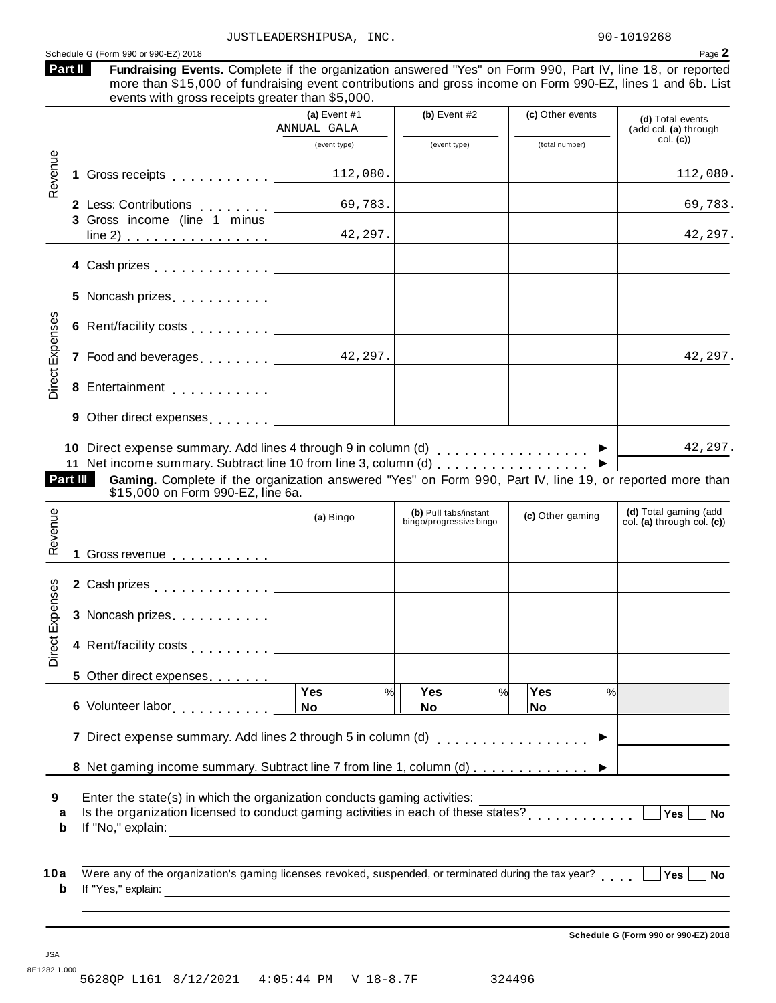#### Schedule <sup>G</sup> (Form <sup>990</sup> or 990-EZ) <sup>2018</sup> Page **2**

| Part II         | Fundraising Events. Complete if the organization answered "Yes" on Form 990, Part IV, line 18, or reported<br>more than \$15,000 of fundraising event contributions and gross income on Form 990-EZ, lines 1 and 6b. List<br>events with gross receipts greater than \$5,000. |                                                            |                                                  |                  |                                                       |
|-----------------|-------------------------------------------------------------------------------------------------------------------------------------------------------------------------------------------------------------------------------------------------------------------------------|------------------------------------------------------------|--------------------------------------------------|------------------|-------------------------------------------------------|
|                 |                                                                                                                                                                                                                                                                               | (a) Event $#1$<br>ANNUAL GALA                              | (b) Event $#2$                                   | (c) Other events | (d) Total events<br>(add col. (a) through<br>col. (c) |
|                 |                                                                                                                                                                                                                                                                               | (event type)                                               | (event type)                                     | (total number)   |                                                       |
| Revenue         | 1 Gross receipts expressed and the set of the set of the set of the set of the set of the set of the set of the set of the set of the set of the set of the set of the set of the set of the set of the set of the set of the                                                 | 112,080.                                                   |                                                  |                  | 112,080.                                              |
|                 | 2 Less: Contributions [1994]<br>3 Gross income (line 1 minus                                                                                                                                                                                                                  | 69,783.                                                    |                                                  |                  | 69,783.                                               |
|                 | $line 2)$                                                                                                                                                                                                                                                                     | 42, 297.                                                   |                                                  |                  | 42,297.                                               |
|                 | 4 Cash prizes <u>  _ _ _ _ _ _ _ _ _ _ _ _</u>                                                                                                                                                                                                                                |                                                            |                                                  |                  |                                                       |
|                 | 5 Noncash prizes <u>  _ _ _ _ _ _ _ _ _ _ _</u>                                                                                                                                                                                                                               |                                                            |                                                  |                  |                                                       |
|                 |                                                                                                                                                                                                                                                                               |                                                            |                                                  |                  |                                                       |
|                 |                                                                                                                                                                                                                                                                               |                                                            |                                                  |                  | 42,297.                                               |
| Direct Expenses |                                                                                                                                                                                                                                                                               |                                                            |                                                  |                  |                                                       |
|                 | 9 Other direct expenses [1994]                                                                                                                                                                                                                                                |                                                            |                                                  |                  |                                                       |
|                 | 11 Net income summary. Subtract line 10 from line 3, column (d)<br>Part III<br>Gaming. Complete if the organization answered "Yes" on Form 990, Part IV, line 19, or reported more than                                                                                       |                                                            |                                                  |                  | 42,297.                                               |
|                 | \$15,000 on Form 990-EZ, line 6a.                                                                                                                                                                                                                                             |                                                            |                                                  |                  |                                                       |
| Revenue         |                                                                                                                                                                                                                                                                               | (a) Bingo                                                  | (b) Pull tabs/instant<br>bingo/progressive bingo | (c) Other gaming | (d) Total gaming (add<br>col. (a) through col. $(c)$  |
|                 | 1 Gross revenue                                                                                                                                                                                                                                                               |                                                            |                                                  |                  |                                                       |
|                 | 2 Cash prizes                                                                                                                                                                                                                                                                 |                                                            |                                                  |                  |                                                       |
| xpenses<br>щ    |                                                                                                                                                                                                                                                                               |                                                            |                                                  |                  |                                                       |
|                 | 4 Rent/facility costs                                                                                                                                                                                                                                                         |                                                            |                                                  |                  |                                                       |
|                 | 5 Other direct expenses                                                                                                                                                                                                                                                       |                                                            |                                                  |                  |                                                       |
|                 |                                                                                                                                                                                                                                                                               | %<br>No                                                    | Yes<br>$\frac{9}{6}$<br>No                       | %<br>No          |                                                       |
|                 | 7 Direct expense summary. Add lines 2 through 5 in column (d)                                                                                                                                                                                                                 |                                                            |                                                  | .                |                                                       |
|                 | 8 Net gaming income summary. Subtract line 7 from line 1, column (d)                                                                                                                                                                                                          |                                                            |                                                  |                  |                                                       |
| 9<br>a<br>b     | Enter the state(s) in which the organization conducts gaming activities:<br>Is the organization licensed to conduct gaming activities in each of these states?<br>If "No," explain:                                                                                           | <u> 1980 - Johann Barbara, martxa alemaniar amerikan a</u> |                                                  |                  | Yes<br><b>No</b>                                      |
| 10a<br>b        | Were any of the organization's gaming licenses revoked, suspended, or terminated during the tax year?                                                                                                                                                                         |                                                            |                                                  |                  | Yes<br><b>No</b>                                      |

**Schedule G (Form 990 or 990-EZ) 2018**

JSA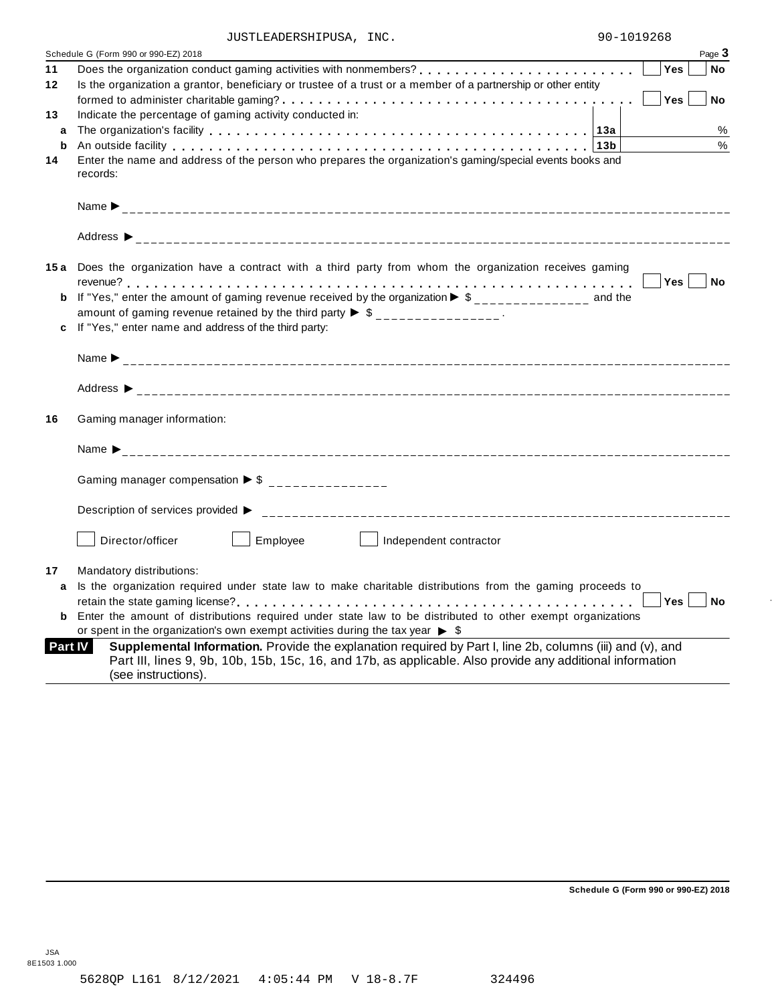| JUSTLEADERSHIPUSA, | INC. |
|--------------------|------|
|--------------------|------|

|         | Page $3$<br>Schedule G (Form 990 or 990-EZ) 2018                                                                                                                                                                                       |
|---------|----------------------------------------------------------------------------------------------------------------------------------------------------------------------------------------------------------------------------------------|
| 11      | <b>Yes</b><br><b>No</b>                                                                                                                                                                                                                |
| $12 \,$ | Is the organization a grantor, beneficiary or trustee of a trust or a member of a partnership or other entity                                                                                                                          |
|         | Yes<br><b>No</b>                                                                                                                                                                                                                       |
| 13      | Indicate the percentage of gaming activity conducted in:                                                                                                                                                                               |
| a       | %                                                                                                                                                                                                                                      |
| b       | $\%$<br>An outside facility enterpreteration of the control of the control of the control of the control of the control of the control of the control of the control of the control of the control of the control of the control of th |
| 14      | Enter the name and address of the person who prepares the organization's gaming/special events books and                                                                                                                               |
|         | records:                                                                                                                                                                                                                               |
|         |                                                                                                                                                                                                                                        |
|         |                                                                                                                                                                                                                                        |
|         |                                                                                                                                                                                                                                        |
|         |                                                                                                                                                                                                                                        |
|         |                                                                                                                                                                                                                                        |
|         | 15a Does the organization have a contract with a third party from whom the organization receives gaming                                                                                                                                |
|         | $Yes \mid No$                                                                                                                                                                                                                          |
|         | <b>b</b> If "Yes," enter the amount of gaming revenue received by the organization $\triangleright$ \$______________ and the                                                                                                           |
|         | amount of gaming revenue retained by the third party $\triangleright$ \$ _______________.                                                                                                                                              |
|         | c If "Yes," enter name and address of the third party:                                                                                                                                                                                 |
|         |                                                                                                                                                                                                                                        |
|         |                                                                                                                                                                                                                                        |
|         |                                                                                                                                                                                                                                        |
|         |                                                                                                                                                                                                                                        |
|         |                                                                                                                                                                                                                                        |
| 16      | Gaming manager information:                                                                                                                                                                                                            |
|         |                                                                                                                                                                                                                                        |
|         |                                                                                                                                                                                                                                        |
|         |                                                                                                                                                                                                                                        |
|         | Gaming manager compensation $\triangleright$ \$ ________________                                                                                                                                                                       |
|         |                                                                                                                                                                                                                                        |
|         | Description of services provided ▶                                                                                                                                                                                                     |
|         |                                                                                                                                                                                                                                        |
|         | Director/officer<br>Employee<br>Independent contractor                                                                                                                                                                                 |
|         |                                                                                                                                                                                                                                        |
| 17      | Mandatory distributions:                                                                                                                                                                                                               |
| a       | Is the organization required under state law to make charitable distributions from the gaming proceeds to                                                                                                                              |
|         | Yes <sub>1</sub><br>∣ No                                                                                                                                                                                                               |
|         | <b>b</b> Enter the amount of distributions required under state law to be distributed to other exempt organizations                                                                                                                    |
|         | or spent in the organization's own exempt activities during the tax year $\triangleright$ \$                                                                                                                                           |
| Part IV | Supplemental Information. Provide the explanation required by Part I, line 2b, columns (iii) and (v), and                                                                                                                              |
|         | Part III, lines 9, 9b, 10b, 15b, 15c, 16, and 17b, as applicable. Also provide any additional information                                                                                                                              |
|         | (see instructions).                                                                                                                                                                                                                    |
|         |                                                                                                                                                                                                                                        |

**Schedule G (Form 990 or 990-EZ) 2018**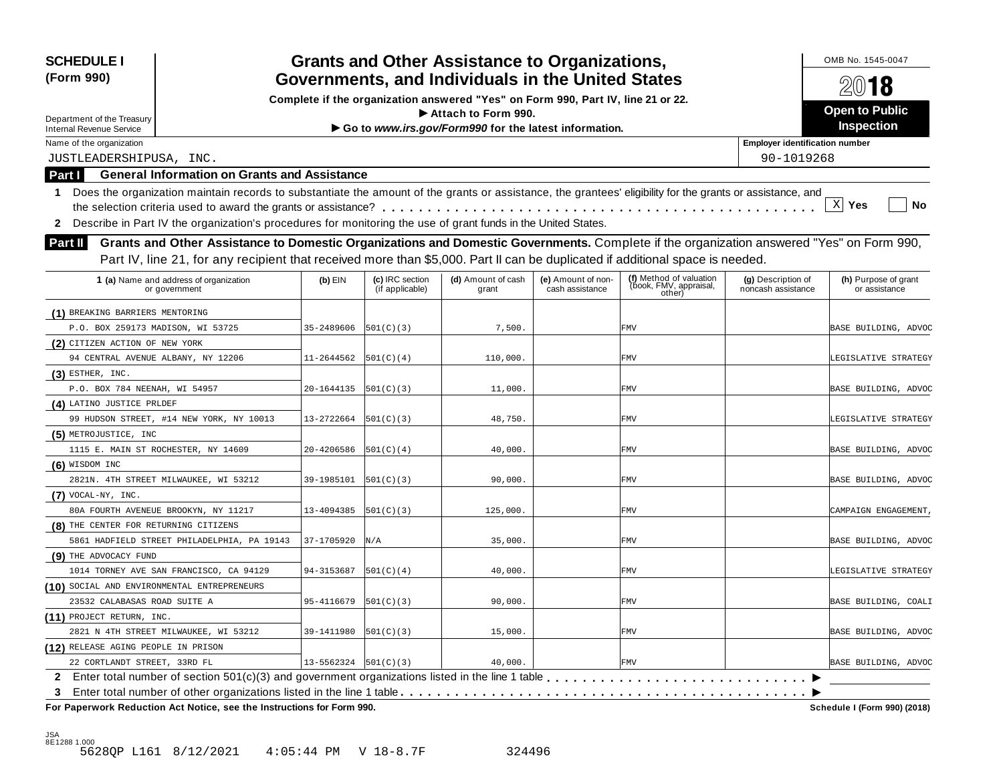| <b>SCHEDULE I</b><br>(Form 990)                                                                                                                                           |                        |                                    | <b>Grants and Other Assistance to Organizations,</b><br>Governments, and Individuals in the United States |                                       |                                                             |                                          | OMB No. 1545-0047                     |
|---------------------------------------------------------------------------------------------------------------------------------------------------------------------------|------------------------|------------------------------------|-----------------------------------------------------------------------------------------------------------|---------------------------------------|-------------------------------------------------------------|------------------------------------------|---------------------------------------|
|                                                                                                                                                                           |                        | 2018                               |                                                                                                           |                                       |                                                             |                                          |                                       |
|                                                                                                                                                                           |                        |                                    | Complete if the organization answered "Yes" on Form 990, Part IV, line 21 or 22.<br>Attach to Form 990.   |                                       |                                                             |                                          | <b>Open to Public</b>                 |
| Department of the Treasury<br><b>Internal Revenue Service</b>                                                                                                             |                        |                                    | Go to www.irs.gov/Form990 for the latest information.                                                     |                                       |                                                             |                                          | <b>Inspection</b>                     |
| Name of the organization                                                                                                                                                  |                        |                                    |                                                                                                           |                                       |                                                             | <b>Employer identification number</b>    |                                       |
| JUSTLEADERSHIPUSA, INC.                                                                                                                                                   |                        |                                    |                                                                                                           |                                       |                                                             | 90-1019268                               |                                       |
| <b>General Information on Grants and Assistance</b><br>Part I                                                                                                             |                        |                                    |                                                                                                           |                                       |                                                             |                                          |                                       |
| Does the organization maintain records to substantiate the amount of the grants or assistance, the grantees' eligibility for the grants or assistance, and<br>$\mathbf 1$ |                        |                                    |                                                                                                           |                                       |                                                             |                                          |                                       |
|                                                                                                                                                                           |                        |                                    |                                                                                                           |                                       |                                                             |                                          | $\mathbf{x}$<br>Yes<br>No             |
| Describe in Part IV the organization's procedures for monitoring the use of grant funds in the United States.<br>2                                                        |                        |                                    |                                                                                                           |                                       |                                                             |                                          |                                       |
| Grants and Other Assistance to Domestic Organizations and Domestic Governments. Complete if the organization answered "Yes" on Form 990,<br>Part II                       |                        |                                    |                                                                                                           |                                       |                                                             |                                          |                                       |
| Part IV, line 21, for any recipient that received more than \$5,000. Part II can be duplicated if additional space is needed.                                             |                        |                                    |                                                                                                           |                                       |                                                             |                                          |                                       |
|                                                                                                                                                                           |                        |                                    |                                                                                                           |                                       |                                                             |                                          |                                       |
| 1 (a) Name and address of organization<br>or government                                                                                                                   | $(b)$ EIN              | (c) IRC section<br>(if applicable) | (d) Amount of cash<br>grant                                                                               | (e) Amount of non-<br>cash assistance | (f) Method of valuation<br>(book, FMV, appraisal,<br>other) | (g) Description of<br>noncash assistance | (h) Purpose of grant<br>or assistance |
| (1) BREAKING BARRIERS MENTORING                                                                                                                                           |                        |                                    |                                                                                                           |                                       |                                                             |                                          |                                       |
| P.O. BOX 259173 MADISON, WI 53725                                                                                                                                         | 35-2489606             | 501(C)(3)                          | 7,500.                                                                                                    |                                       | <b>FMV</b>                                                  |                                          | BASE BUILDING, ADVOC                  |
| (2) CITIZEN ACTION OF NEW YORK                                                                                                                                            |                        |                                    |                                                                                                           |                                       |                                                             |                                          |                                       |
| 94 CENTRAL AVENUE ALBANY, NY 12206                                                                                                                                        | 11-2644562             | 501(C)(4)                          | 110,000.                                                                                                  |                                       | FMV                                                         |                                          | LEGISLATIVE STRATEGY                  |
| $(3)$ ESTHER, INC.                                                                                                                                                        |                        |                                    |                                                                                                           |                                       |                                                             |                                          |                                       |
| P.O. BOX 784 NEENAH, WI 54957                                                                                                                                             | $20 - 1644135$         | 501(C)(3)                          | 11,000.                                                                                                   |                                       | <b>FMV</b>                                                  |                                          | BASE BUILDING, ADVOC                  |
| (4) LATINO JUSTICE PRLDEF                                                                                                                                                 |                        |                                    |                                                                                                           |                                       |                                                             |                                          |                                       |
| 99 HUDSON STREET, #14 NEW YORK, NY 10013                                                                                                                                  | 13-2722664             | 501(C)(3)                          | 48,750.                                                                                                   |                                       | <b>FMV</b>                                                  |                                          | LEGISLATIVE STRATEGY                  |
| (5) METROJUSTICE, INC                                                                                                                                                     |                        |                                    |                                                                                                           |                                       |                                                             |                                          |                                       |
| 1115 E. MAIN ST ROCHESTER, NY 14609                                                                                                                                       | 20-4206586             | 501(C) (4)                         | 40,000.                                                                                                   |                                       | <b>FMV</b>                                                  |                                          | BASE BUILDING, ADVOC                  |
| (6) WISDOM INC                                                                                                                                                            |                        |                                    |                                                                                                           |                                       |                                                             |                                          |                                       |
| 2821N. 4TH STREET MILWAUKEE, WI 53212                                                                                                                                     | 39-1985101             | 501(C)(3)                          | 90,000.                                                                                                   |                                       | <b>FMV</b>                                                  |                                          | BASE BUILDING, ADVOC                  |
| $(7)$ VOCAL-NY, INC.                                                                                                                                                      |                        |                                    |                                                                                                           |                                       |                                                             |                                          |                                       |
| 80A FOURTH AVENEUE BROOKYN, NY 11217                                                                                                                                      | 13-4094385             | 501(C)(3)                          | 125,000.                                                                                                  |                                       | FMV                                                         |                                          | CAMPAIGN ENGAGEMENT                   |
| (8) THE CENTER FOR RETURNING CITIZENS                                                                                                                                     |                        |                                    |                                                                                                           |                                       |                                                             |                                          |                                       |
| 5861 HADFIELD STREET PHILADELPHIA, PA 19143                                                                                                                               | 37-1705920             | N/A                                | 35,000.                                                                                                   |                                       | FMV                                                         |                                          | BASE BUILDING, ADVOC                  |
| (9) THE ADVOCACY FUND                                                                                                                                                     |                        |                                    |                                                                                                           |                                       |                                                             |                                          |                                       |
| 1014 TORNEY AVE SAN FRANCISCO, CA 94129                                                                                                                                   | 94-3153687             | 501(C)(4)                          | 40,000.                                                                                                   |                                       | FMV                                                         |                                          | LEGISLATIVE STRATEGY                  |
| (10) SOCIAL AND ENVIRONMENTAL ENTREPRENEURS                                                                                                                               |                        |                                    |                                                                                                           |                                       |                                                             |                                          |                                       |
| 23532 CALABASAS ROAD SUITE A                                                                                                                                              | 95-4116679             | 501(C)(3)                          | 90,000.                                                                                                   |                                       | <b>FMV</b>                                                  |                                          | BASE BUILDING, COALI                  |
| (11) PROJECT RETURN, INC.                                                                                                                                                 |                        |                                    |                                                                                                           |                                       |                                                             |                                          |                                       |
| 2821 N 4TH STREET MILWAUKEE, WI 53212                                                                                                                                     | 39-1411980             | 501(C)(3)                          | 15,000.                                                                                                   |                                       | <b>FMV</b>                                                  |                                          | BASE BUILDING, ADVOC                  |
| (12) RELEASE AGING PEOPLE IN PRISON                                                                                                                                       |                        |                                    |                                                                                                           |                                       |                                                             |                                          |                                       |
| 22 CORTLANDT STREET, 33RD FL                                                                                                                                              | 13-5562324   501(C)(3) |                                    | 40,000.                                                                                                   |                                       | <b>FMV</b>                                                  |                                          | BASE BUILDING, ADVOC                  |
|                                                                                                                                                                           |                        |                                    |                                                                                                           |                                       |                                                             |                                          |                                       |
| 3<br>For Banerwork Reduction, Act Notice, see the Instructions for Form 000                                                                                               |                        |                                    |                                                                                                           |                                       |                                                             |                                          |                                       |

**For Paperwork Reduction Act Notice, see the Instructions for Form 990. Schedule I (Form 990) (2018)**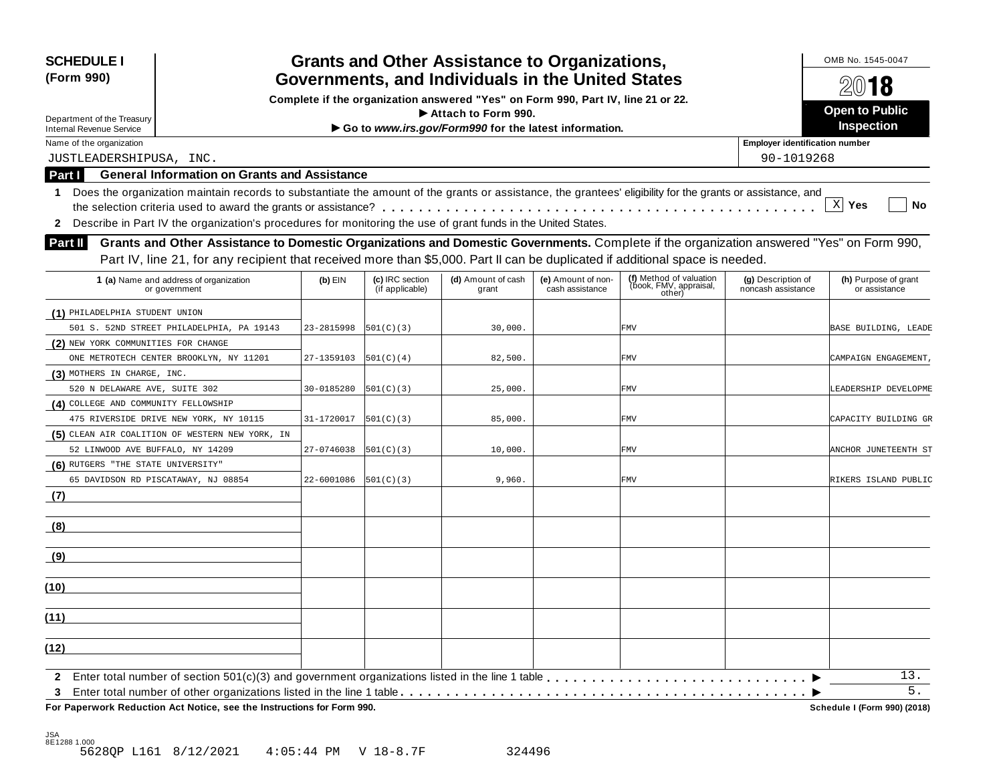| <b>SCHEDULE I</b><br>(Form 990)                               |                                                                                                                                                            | OMB No. 1545-0047 |                                    |                                                                                                         |                                       |                                                             |                                          |                                       |
|---------------------------------------------------------------|------------------------------------------------------------------------------------------------------------------------------------------------------------|-------------------|------------------------------------|---------------------------------------------------------------------------------------------------------|---------------------------------------|-------------------------------------------------------------|------------------------------------------|---------------------------------------|
|                                                               |                                                                                                                                                            |                   |                                    | Governments, and Individuals in the United States                                                       |                                       |                                                             |                                          | 2018                                  |
|                                                               |                                                                                                                                                            |                   |                                    | Complete if the organization answered "Yes" on Form 990, Part IV, line 21 or 22.<br>Attach to Form 990. |                                       |                                                             |                                          | <b>Open to Public</b>                 |
| Department of the Treasury<br><b>Internal Revenue Service</b> |                                                                                                                                                            |                   |                                    | Go to www.irs.gov/Form990 for the latest information.                                                   |                                       |                                                             |                                          | Inspection                            |
| Name of the organization                                      |                                                                                                                                                            |                   |                                    |                                                                                                         |                                       |                                                             | <b>Employer identification number</b>    |                                       |
| JUSTLEADERSHIPUSA, INC.                                       |                                                                                                                                                            |                   |                                    |                                                                                                         |                                       |                                                             | 90-1019268                               |                                       |
| Part I                                                        | <b>General Information on Grants and Assistance</b>                                                                                                        |                   |                                    |                                                                                                         |                                       |                                                             |                                          |                                       |
| 1                                                             | Does the organization maintain records to substantiate the amount of the grants or assistance, the grantees' eligibility for the grants or assistance, and |                   |                                    |                                                                                                         |                                       |                                                             |                                          |                                       |
|                                                               |                                                                                                                                                            |                   |                                    |                                                                                                         |                                       |                                                             |                                          | X <br>Yes<br>No                       |
|                                                               | Describe in Part IV the organization's procedures for monitoring the use of grant funds in the United States.                                              |                   |                                    |                                                                                                         |                                       |                                                             |                                          |                                       |
| 2                                                             |                                                                                                                                                            |                   |                                    |                                                                                                         |                                       |                                                             |                                          |                                       |
| <b>Part II</b>                                                | Grants and Other Assistance to Domestic Organizations and Domestic Governments. Complete if the organization answered "Yes" on Form 990,                   |                   |                                    |                                                                                                         |                                       |                                                             |                                          |                                       |
|                                                               | Part IV, line 21, for any recipient that received more than \$5,000. Part II can be duplicated if additional space is needed.                              |                   |                                    |                                                                                                         |                                       |                                                             |                                          |                                       |
|                                                               | 1 (a) Name and address of organization<br>or government                                                                                                    | $(b)$ EIN         | (c) IRC section<br>(if applicable) | (d) Amount of cash<br>grant                                                                             | (e) Amount of non-<br>cash assistance | (f) Method of valuation<br>(book, FMV, appraisal,<br>other) | (g) Description of<br>noncash assistance | (h) Purpose of grant<br>or assistance |
| (1) PHILADELPHIA STUDENT UNION                                |                                                                                                                                                            |                   |                                    |                                                                                                         |                                       |                                                             |                                          |                                       |
|                                                               | 501 S. 52ND STREET PHILADELPHIA, PA 19143                                                                                                                  | 23-2815998        | 501(C)(3)                          | 30,000.                                                                                                 |                                       | FMV                                                         |                                          | BASE BUILDING, LEADE                  |
| (2) NEW YORK COMMUNITIES FOR CHANGE                           |                                                                                                                                                            |                   |                                    |                                                                                                         |                                       |                                                             |                                          |                                       |
|                                                               | ONE METROTECH CENTER BROOKLYN, NY 11201                                                                                                                    | 27-1359103        | 501(C)(4)                          | 82,500.                                                                                                 |                                       | FMV                                                         |                                          | CAMPAIGN ENGAGEMENT                   |
| (3) MOTHERS IN CHARGE, INC.                                   |                                                                                                                                                            |                   |                                    |                                                                                                         |                                       |                                                             |                                          |                                       |
| 520 N DELAWARE AVE, SUITE 302                                 |                                                                                                                                                            | 30-0185280        | 501(C)(3)                          | 25,000.                                                                                                 |                                       | <b>FMV</b>                                                  |                                          | LEADERSHIP DEVELOPME                  |
| (4) COLLEGE AND COMMUNITY FELLOWSHIP                          |                                                                                                                                                            |                   |                                    |                                                                                                         |                                       |                                                             |                                          |                                       |
|                                                               | 475 RIVERSIDE DRIVE NEW YORK, NY 10115                                                                                                                     | 31-1720017        | 501(C)(3)                          | 85,000.                                                                                                 |                                       | <b>FMV</b>                                                  |                                          | CAPACITY BUILDING GR                  |
|                                                               | (5) CLEAN AIR COALITION OF WESTERN NEW YORK, IN                                                                                                            |                   |                                    |                                                                                                         |                                       |                                                             |                                          |                                       |
| 52 LINWOOD AVE BUFFALO, NY 14209                              |                                                                                                                                                            | 27-0746038        | 501(C)(3)                          | 10,000.                                                                                                 |                                       | <b>FMV</b>                                                  |                                          | ANCHOR JUNETEENTH ST                  |
| (6) RUTGERS "THE STATE UNIVERSITY"                            |                                                                                                                                                            |                   |                                    |                                                                                                         |                                       |                                                             |                                          |                                       |
|                                                               | 65 DAVIDSON RD PISCATAWAY, NJ 08854                                                                                                                        | 22-6001086        | 501(C)(3)                          | 9,960.                                                                                                  |                                       | FMV                                                         |                                          | RIKERS ISLAND PUBLIC                  |
| (7)                                                           |                                                                                                                                                            |                   |                                    |                                                                                                         |                                       |                                                             |                                          |                                       |
| (8)                                                           |                                                                                                                                                            |                   |                                    |                                                                                                         |                                       |                                                             |                                          |                                       |
| (9)                                                           |                                                                                                                                                            |                   |                                    |                                                                                                         |                                       |                                                             |                                          |                                       |
| (10)                                                          |                                                                                                                                                            |                   |                                    |                                                                                                         |                                       |                                                             |                                          |                                       |
|                                                               |                                                                                                                                                            |                   |                                    |                                                                                                         |                                       |                                                             |                                          |                                       |
| (11)                                                          |                                                                                                                                                            |                   |                                    |                                                                                                         |                                       |                                                             |                                          |                                       |
| (12)                                                          |                                                                                                                                                            |                   |                                    |                                                                                                         |                                       |                                                             |                                          |                                       |
|                                                               |                                                                                                                                                            |                   |                                    |                                                                                                         |                                       |                                                             |                                          | 13.                                   |
| 3                                                             |                                                                                                                                                            |                   |                                    |                                                                                                         |                                       |                                                             |                                          | 5.                                    |
|                                                               | For Paperwork Reduction Act Notice, see the Instructions for Form 990.                                                                                     |                   |                                    |                                                                                                         |                                       |                                                             |                                          | Schedule I (Form 990) (2018)          |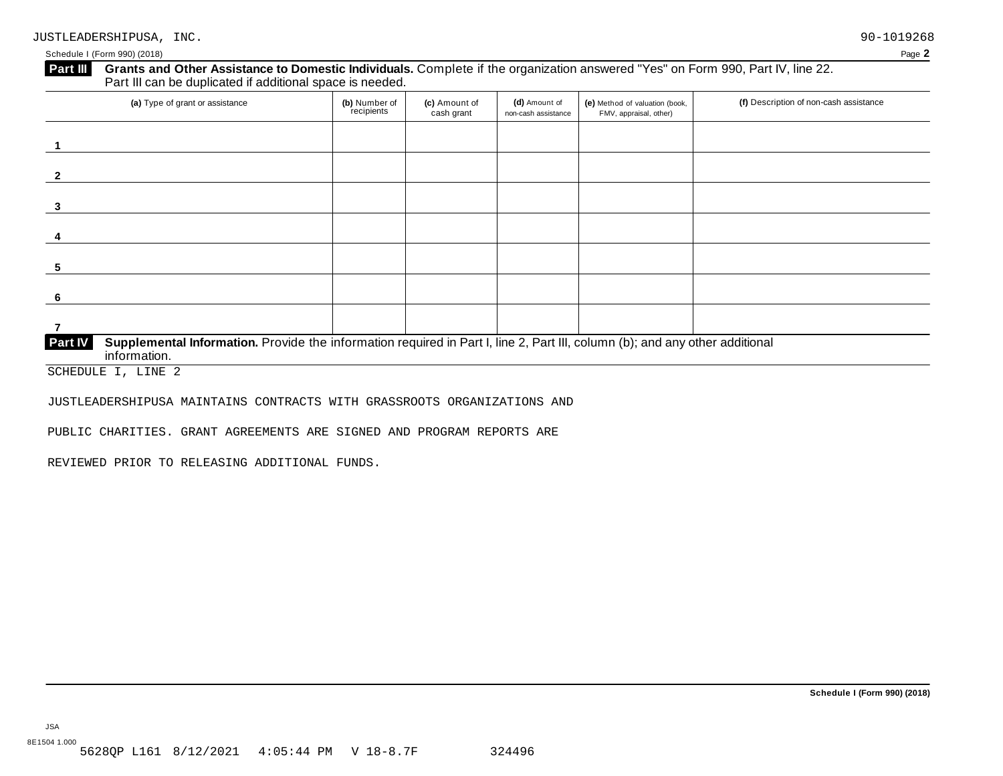## **Grants and Other Assistance to Domestic Individuals.** Complete ifthe organization answered "Yes" on Form 990, Part IV, line 22. **Part III** Grants and Other Assistance to Domestic Individuals<br>Part III can be duplicated if additional space is needed. (a) Type of grant or assistance **(b)** Number of **(c)** Amount of **(d)** Amount of **(e)** Method of valuation (book, **(f)** Description of non-cash assistance FMV, appraisal, other) **(b)** Number of recipients **(d)** Amount of non-cash assistance **(c)** Amount of cash grant **1 2 3 4 5 6 7**

**Supplemental Information.** Provide the information required in Part I, line 2, Part III, column (b); and any other additional information. **Part IV**

SCHEDULE I, LINE 2

JUSTLEADERSHIPUSA MAINTAINS CONTRACTS WITH GRASSROOTS ORGANIZATIONS AND

PUBLIC CHARITIES. GRANT AGREEMENTS ARE SIGNED AND PROGRAM REPORTS ARE

REVIEWED PRIOR TO RELEASING ADDITIONAL FUNDS.

JSA

**Schedule I (Form 990) (2018)**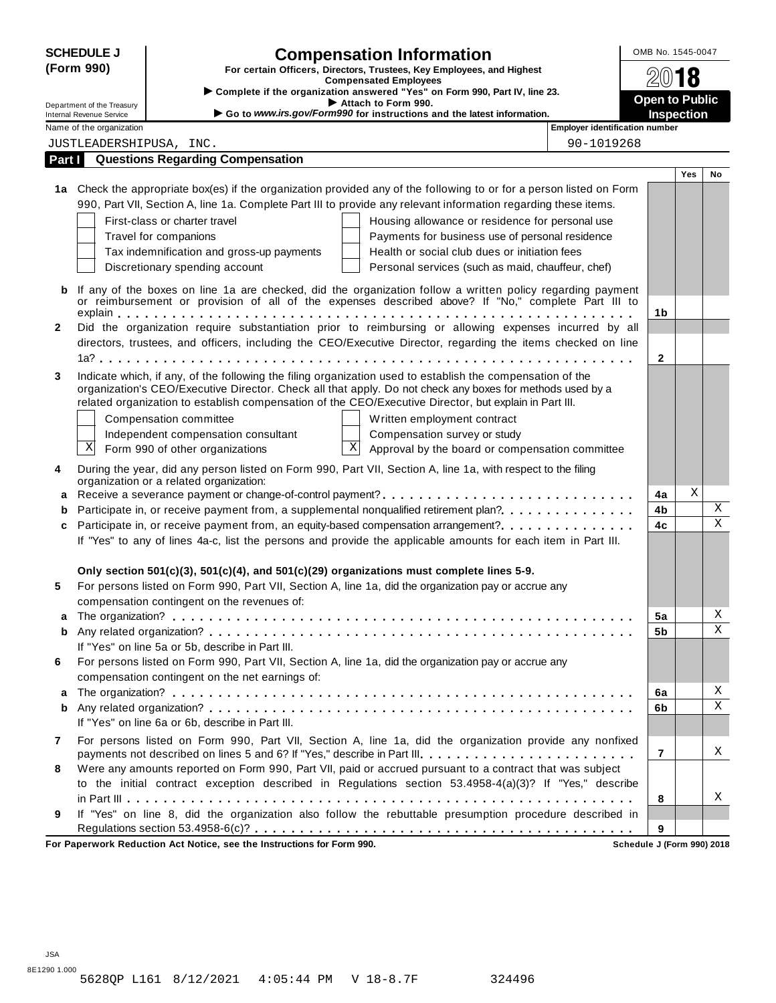|              | <b>SCHEDULE J</b>                                   |                                                                        | <b>Compensation Information</b>                                                                                                                                                     | OMB No. 1545-0047          |            |             |  |
|--------------|-----------------------------------------------------|------------------------------------------------------------------------|-------------------------------------------------------------------------------------------------------------------------------------------------------------------------------------|----------------------------|------------|-------------|--|
|              | (Form 990)                                          |                                                                        | For certain Officers, Directors, Trustees, Key Employees, and Highest                                                                                                               |                            |            |             |  |
|              |                                                     |                                                                        | <b>Compensated Employees</b><br>Complete if the organization answered "Yes" on Form 990, Part IV, line 23.                                                                          |                            |            |             |  |
|              | Department of the Treasury                          |                                                                        | Attach to Form 990.                                                                                                                                                                 | <b>Open to Public</b>      |            |             |  |
|              | Internal Revenue Service                            |                                                                        | Go to www.irs.gov/Form990 for instructions and the latest information.                                                                                                              | <b>Inspection</b>          |            |             |  |
|              | Name of the organization<br>JUSTLEADERSHIPUSA, INC. |                                                                        | Employer identification number<br>90-1019268                                                                                                                                        |                            |            |             |  |
| Part I       |                                                     | <b>Questions Regarding Compensation</b>                                |                                                                                                                                                                                     |                            |            |             |  |
|              |                                                     |                                                                        |                                                                                                                                                                                     |                            | <b>Yes</b> | No          |  |
|              |                                                     |                                                                        | 1a Check the appropriate box(es) if the organization provided any of the following to or for a person listed on Form                                                                |                            |            |             |  |
|              |                                                     |                                                                        | 990, Part VII, Section A, line 1a. Complete Part III to provide any relevant information regarding these items.                                                                     |                            |            |             |  |
|              |                                                     | First-class or charter travel                                          | Housing allowance or residence for personal use                                                                                                                                     |                            |            |             |  |
|              |                                                     | Travel for companions                                                  | Payments for business use of personal residence                                                                                                                                     |                            |            |             |  |
|              |                                                     | Tax indemnification and gross-up payments                              | Health or social club dues or initiation fees                                                                                                                                       |                            |            |             |  |
|              |                                                     | Discretionary spending account                                         | Personal services (such as maid, chauffeur, chef)                                                                                                                                   |                            |            |             |  |
|              |                                                     |                                                                        |                                                                                                                                                                                     |                            |            |             |  |
| b            |                                                     |                                                                        | If any of the boxes on line 1a are checked, did the organization follow a written policy regarding payment                                                                          |                            |            |             |  |
|              |                                                     |                                                                        | or reimbursement or provision of all of the expenses described above? If "No," complete Part III to                                                                                 | 1b                         |            |             |  |
| $\mathbf{2}$ |                                                     |                                                                        | Did the organization require substantiation prior to reimbursing or allowing expenses incurred by all                                                                               |                            |            |             |  |
|              |                                                     |                                                                        | directors, trustees, and officers, including the CEO/Executive Director, regarding the items checked on line                                                                        |                            |            |             |  |
|              |                                                     |                                                                        |                                                                                                                                                                                     | 2                          |            |             |  |
| 3            |                                                     |                                                                        | Indicate which, if any, of the following the filing organization used to establish the compensation of the                                                                          |                            |            |             |  |
|              |                                                     |                                                                        | organization's CEO/Executive Director. Check all that apply. Do not check any boxes for methods used by a                                                                           |                            |            |             |  |
|              |                                                     |                                                                        | related organization to establish compensation of the CEO/Executive Director, but explain in Part III.                                                                              |                            |            |             |  |
|              |                                                     | Compensation committee                                                 | Written employment contract                                                                                                                                                         |                            |            |             |  |
|              |                                                     | Independent compensation consultant                                    | Compensation survey or study                                                                                                                                                        |                            |            |             |  |
|              | Χ                                                   | Form 990 of other organizations                                        | $\overline{X}$<br>Approval by the board or compensation committee                                                                                                                   |                            |            |             |  |
| 4            |                                                     |                                                                        | During the year, did any person listed on Form 990, Part VII, Section A, line 1a, with respect to the filing                                                                        |                            |            |             |  |
|              |                                                     | organization or a related organization:                                |                                                                                                                                                                                     |                            |            |             |  |
| a            |                                                     |                                                                        |                                                                                                                                                                                     | 4a                         | Χ          |             |  |
| b            |                                                     |                                                                        | Participate in, or receive payment from, a supplemental nonqualified retirement plan?                                                                                               | 4b                         |            | X           |  |
| c            |                                                     |                                                                        | Participate in, or receive payment from, an equity-based compensation arrangement?                                                                                                  | 4c                         |            | $\mathbf X$ |  |
|              |                                                     |                                                                        | If "Yes" to any of lines 4a-c, list the persons and provide the applicable amounts for each item in Part III.                                                                       |                            |            |             |  |
|              |                                                     |                                                                        |                                                                                                                                                                                     |                            |            |             |  |
|              |                                                     |                                                                        | Only section $501(c)(3)$ , $501(c)(4)$ , and $501(c)(29)$ organizations must complete lines 5-9.                                                                                    |                            |            |             |  |
| 5            |                                                     |                                                                        | For persons listed on Form 990, Part VII, Section A, line 1a, did the organization pay or accrue any                                                                                |                            |            |             |  |
|              |                                                     | compensation contingent on the revenues of:                            |                                                                                                                                                                                     |                            |            |             |  |
|              |                                                     |                                                                        |                                                                                                                                                                                     | 5a                         |            | Χ<br>Χ      |  |
| b            |                                                     |                                                                        |                                                                                                                                                                                     | 5b                         |            |             |  |
|              |                                                     | If "Yes" on line 5a or 5b, describe in Part III.                       |                                                                                                                                                                                     |                            |            |             |  |
| 6            |                                                     |                                                                        | For persons listed on Form 990, Part VII, Section A, line 1a, did the organization pay or accrue any                                                                                |                            |            |             |  |
|              |                                                     | compensation contingent on the net earnings of:                        |                                                                                                                                                                                     |                            |            | Χ           |  |
| a<br>b       |                                                     |                                                                        |                                                                                                                                                                                     | 6a<br>6b                   |            | X           |  |
|              |                                                     | If "Yes" on line 6a or 6b, describe in Part III.                       |                                                                                                                                                                                     |                            |            |             |  |
|              |                                                     |                                                                        |                                                                                                                                                                                     |                            |            |             |  |
| 7            |                                                     |                                                                        | For persons listed on Form 990, Part VII, Section A, line 1a, did the organization provide any nonfixed<br>payments not described on lines 5 and 6? If "Yes," describe in Part III. | $\overline{7}$             |            | Χ           |  |
| 8            |                                                     |                                                                        | Were any amounts reported on Form 990, Part VII, paid or accrued pursuant to a contract that was subject                                                                            |                            |            |             |  |
|              |                                                     |                                                                        | to the initial contract exception described in Regulations section 53.4958-4(a)(3)? If "Yes," describe                                                                              |                            |            |             |  |
|              |                                                     |                                                                        |                                                                                                                                                                                     | 8                          |            | Χ           |  |
| 9            |                                                     |                                                                        | If "Yes" on line 8, did the organization also follow the rebuttable presumption procedure described in                                                                              |                            |            |             |  |
|              |                                                     |                                                                        |                                                                                                                                                                                     | 9                          |            |             |  |
|              |                                                     | For Paperwork Reduction Act Notice, see the Instructions for Form 990. |                                                                                                                                                                                     | Schedule J (Form 990) 2018 |            |             |  |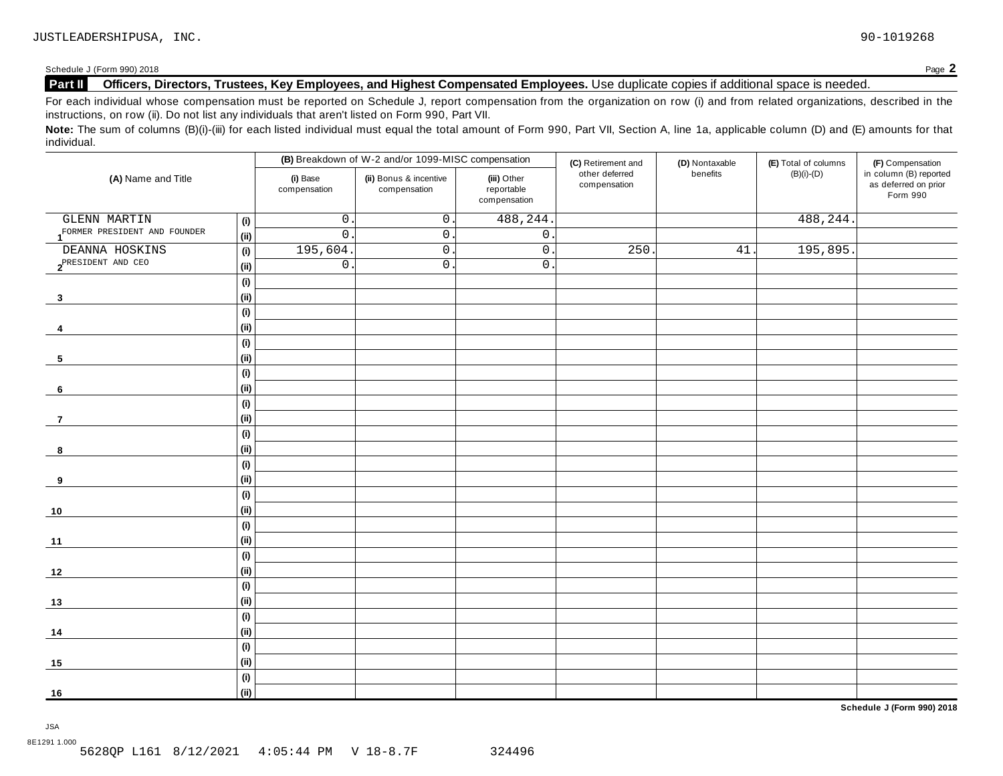Schedule <sup>J</sup> (Form 990) <sup>2018</sup> Page **2**

#### **Part II Officers, Directors, Trustees, Key Employees, and Highest Compensated Employees.** Use duplicate copies ifadditional space is needed.

For each individual whose compensation must be reported on Schedule J, report compensation from the organization on row (i) and from related organizations, described in the instructions, on row (ii). Do not list any individuals that aren't listed on Form 990, Part VII.

Note: The sum of columns (B)(i)-(iii) for each listed individual must equal the total amount of Form 990, Part VII, Section A, line 1a, applicable column (D) and (E) amounts for that individual.

| (A) Name and Title             |                              |                          | (B) Breakdown of W-2 and/or 1099-MISC compensation |                                           | (C) Retirement and             | (D) Nontaxable | (E) Total of columns | (F) Compensation                                           |
|--------------------------------|------------------------------|--------------------------|----------------------------------------------------|-------------------------------------------|--------------------------------|----------------|----------------------|------------------------------------------------------------|
|                                |                              | (i) Base<br>compensation | (ii) Bonus & incentive<br>compensation             | (iii) Other<br>reportable<br>compensation | other deferred<br>compensation | benefits       | $(B)(i)-(D)$         | in column (B) reported<br>as deferred on prior<br>Form 990 |
| <b>GLENN MARTIN</b>            | (i)                          | $\mathsf{O}$             | $\mathsf{O}$ .                                     | 488,244.                                  |                                |                | 488,244.             |                                                            |
| FORMER PRESIDENT AND FOUNDER   | (ii)                         | $\mathsf{O}$             | $\mathsf{0}$ .                                     | $\mathsf{O}\xspace$                       |                                |                |                      |                                                            |
| DEANNA HOSKINS                 | (i)                          | 195,604                  | $0$ .                                              | $\mathsf{O}$                              | 250                            | 41.            | 195,895.             |                                                            |
| 2 <sup>PRESIDENT</sup> AND CEO | (ii)                         | $\overline{0}$           | $\overline{0}$ .                                   | $\mathsf{O}$                              |                                |                |                      |                                                            |
|                                | (i)                          |                          |                                                    |                                           |                                |                |                      |                                                            |
| 3                              | (ii)                         |                          |                                                    |                                           |                                |                |                      |                                                            |
|                                | (i)                          |                          |                                                    |                                           |                                |                |                      |                                                            |
| 4                              | (ii)                         |                          |                                                    |                                           |                                |                |                      |                                                            |
|                                | (i)                          |                          |                                                    |                                           |                                |                |                      |                                                            |
| 5                              | (ii)                         |                          |                                                    |                                           |                                |                |                      |                                                            |
|                                | (i)                          |                          |                                                    |                                           |                                |                |                      |                                                            |
| $6\phantom{.}6$                | (ii)                         |                          |                                                    |                                           |                                |                |                      |                                                            |
|                                | $\qquad \qquad \textbf{(i)}$ |                          |                                                    |                                           |                                |                |                      |                                                            |
| $\overline{7}$                 | (ii)                         |                          |                                                    |                                           |                                |                |                      |                                                            |
|                                | (i)                          |                          |                                                    |                                           |                                |                |                      |                                                            |
| 8                              | (ii)                         |                          |                                                    |                                           |                                |                |                      |                                                            |
|                                | (i)                          |                          |                                                    |                                           |                                |                |                      |                                                            |
| 9                              | (ii)                         |                          |                                                    |                                           |                                |                |                      |                                                            |
|                                | (i)                          |                          |                                                    |                                           |                                |                |                      |                                                            |
| 10                             | (ii)                         |                          |                                                    |                                           |                                |                |                      |                                                            |
|                                | $\qquad \qquad \textbf{(i)}$ |                          |                                                    |                                           |                                |                |                      |                                                            |
| $11$                           | (i)                          |                          |                                                    |                                           |                                |                |                      |                                                            |
|                                | (i)                          |                          |                                                    |                                           |                                |                |                      |                                                            |
| 12                             | (ii)                         |                          |                                                    |                                           |                                |                |                      |                                                            |
|                                | (i)                          |                          |                                                    |                                           |                                |                |                      |                                                            |
| 13                             | (ii)                         |                          |                                                    |                                           |                                |                |                      |                                                            |
|                                | (i)                          |                          |                                                    |                                           |                                |                |                      |                                                            |
| 14                             | (ii)                         |                          |                                                    |                                           |                                |                |                      |                                                            |
|                                | (i)                          |                          |                                                    |                                           |                                |                |                      |                                                            |
| 15                             | (ii)                         |                          |                                                    |                                           |                                |                |                      |                                                            |
|                                | (i)                          |                          |                                                    |                                           |                                |                |                      |                                                            |
| 16                             | (ii)                         |                          |                                                    |                                           |                                |                |                      |                                                            |

**Schedule J (Form 990) 2018**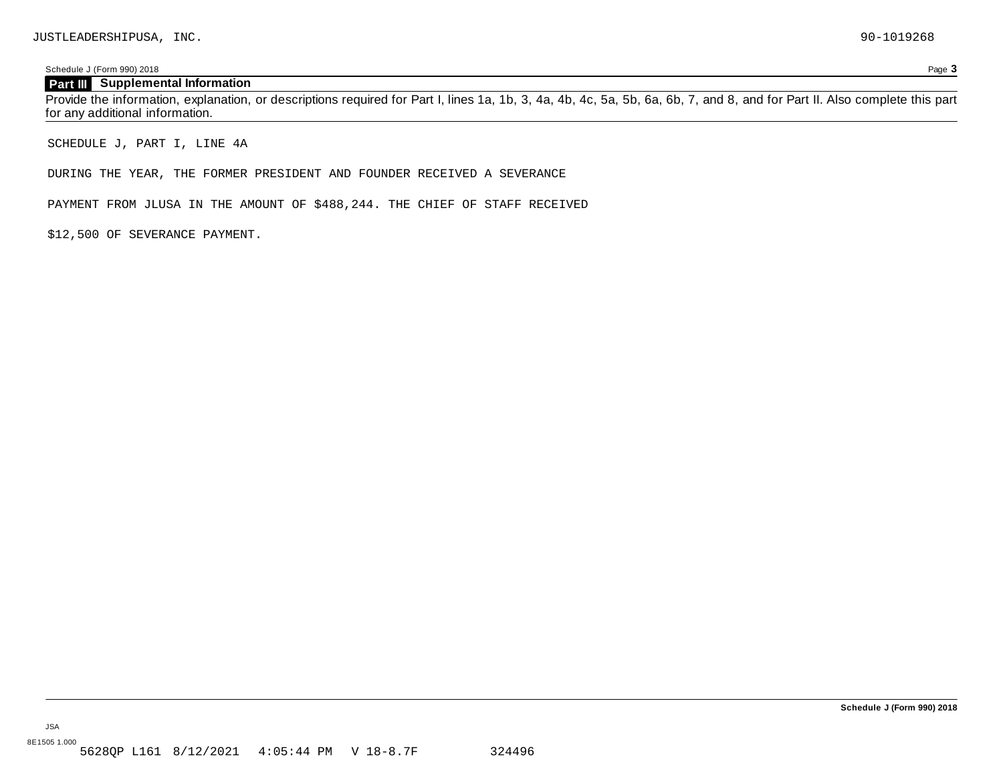Schedule J (Form 990) 2018 Page **3**

#### **Part III Supplemental Information**

Provide the information, explanation, or descriptions required for Part I, lines 1a, 1b, 3, 4a, 4b, 4c, 5a, 5b, 6a, 6b, 7, and 8, and for Part II. Also complete this part for any additional information.

SCHEDULE J, PART I, LINE 4A

DURING THE YEAR, THE FORMER PRESIDENT AND FOUNDER RECEIVED A SEVERANCE

PAYMENT FROM JLUSA IN THE AMOUNT OF \$488,244. THE CHIEF OF STAFF RECEIVED

\$12,500 OF SEVERANCE PAYMENT.

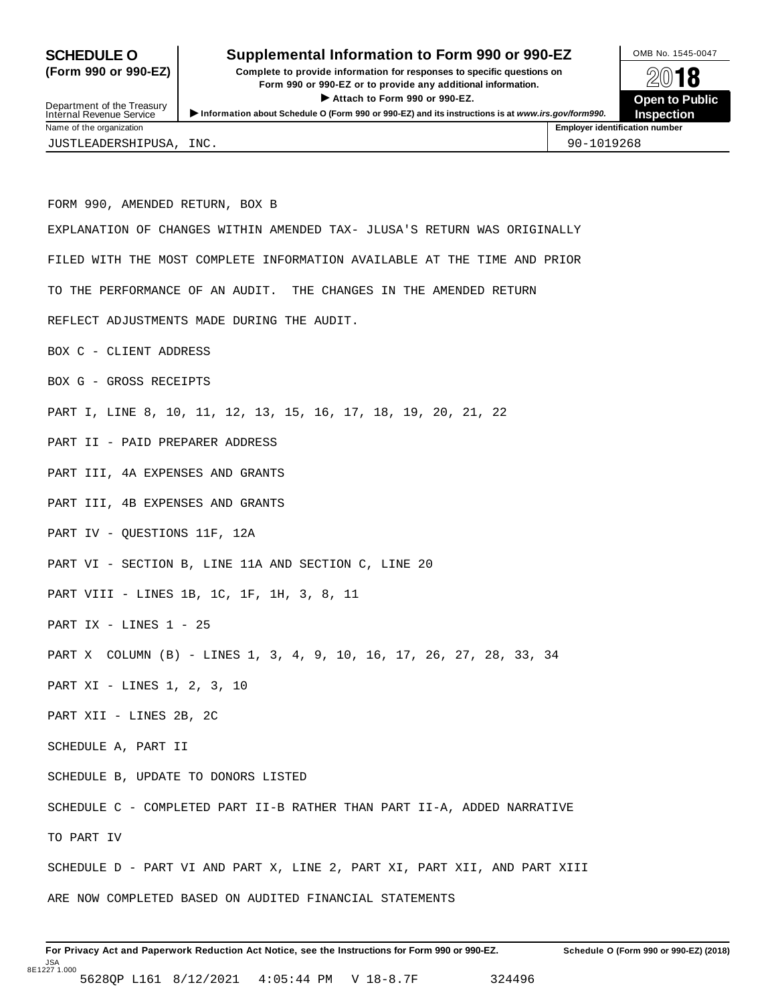#### **SCHEDULE O** Supplemental Information to Form 990 or 990-EZ DMB No. 1545-0047

(Form 990 or 990-EZ) Complete to provide information for responses to specific questions on  $\otimes$  0 18 plete to provide information for responses to specific questions on<br>
Form 990 or 990-EZ or to provide any additional information.<br> **Open to Public**<br> **Open to Public** 



Department of the Treasury<br>Internal Revenue Service Internal Revenue Service<br>Internal Revenue Service<br>Name of the organization<br>Name of the organization JUSTLEADERSHIPUSA, INC. 90-1019268

FORM 990, AMENDED RETURN, BOX B EXPLANATION OF CHANGES WITHIN AMENDED TAX- JLUSA'S RETURN WAS ORIGINALLY FILED WITH THE MOST COMPLETE INFORMATION AVAILABLE AT THE TIME AND PRIOR TO THE PERFORMANCE OF AN AUDIT. THE CHANGES IN THE AMENDED RETURN REFLECT ADJUSTMENTS MADE DURING THE AUDIT. BOX C - CLIENT ADDRESS BOX G - GROSS RECEIPTS PART I, LINE 8, 10, 11, 12, 13, 15, 16, 17, 18, 19, 20, 21, 22 PART II - PAID PREPARER ADDRESS PART III, 4A EXPENSES AND GRANTS PART III, 4B EXPENSES AND GRANTS PART IV - QUESTIONS 11F, 12A PART VI - SECTION B, LINE 11A AND SECTION C, LINE 20 PART VIII - LINES 1B, 1C, 1F, 1H, 3, 8, 11 PART IX - LINES 1 - 25 PART X COLUMN (B) - LINES 1, 3, 4, 9, 10, 16, 17, 26, 27, 28, 33, 34 PART XI - LINES 1, 2, 3, 10 PART XII - LINES 2B, 2C SCHEDULE A, PART II SCHEDULE B, UPDATE TO DONORS LISTED SCHEDULE C - COMPLETED PART II-B RATHER THAN PART II-A, ADDED NARRATIVE TO PART IV SCHEDULE D - PART VI AND PART X, LINE 2, PART XI, PART XII, AND PART XIII ARE NOW COMPLETED BASED ON AUDITED FINANCIAL STATEMENTS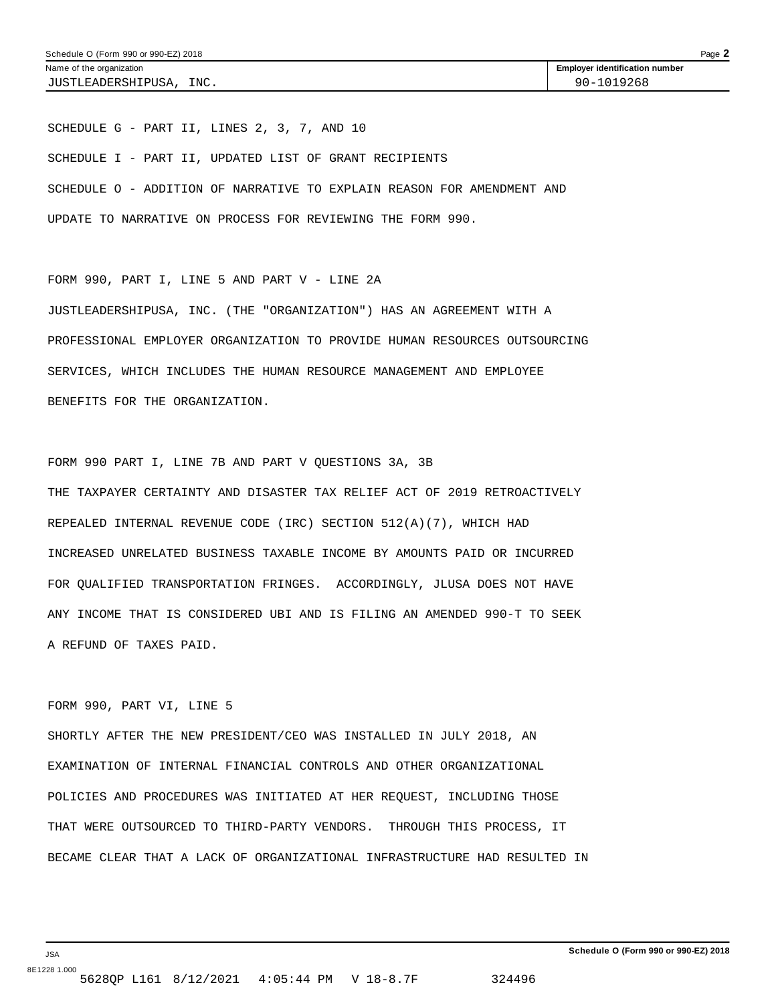SCHEDULE G - PART II, LINES 2, 3, 7, AND 10 SCHEDULE I - PART II, UPDATED LIST OF GRANT RECIPIENTS SCHEDULE O - ADDITION OF NARRATIVE TO EXPLAIN REASON FOR AMENDMENT AND UPDATE TO NARRATIVE ON PROCESS FOR REVIEWING THE FORM 990.

FORM 990, PART I, LINE 5 AND PART V - LINE 2A JUSTLEADERSHIPUSA, INC. (THE "ORGANIZATION") HAS AN AGREEMENT WITH A PROFESSIONAL EMPLOYER ORGANIZATION TO PROVIDE HUMAN RESOURCES OUTSOURCING SERVICES, WHICH INCLUDES THE HUMAN RESOURCE MANAGEMENT AND EMPLOYEE BENEFITS FOR THE ORGANIZATION.

FORM 990 PART I, LINE 7B AND PART V QUESTIONS 3A, 3B THE TAXPAYER CERTAINTY AND DISASTER TAX RELIEF ACT OF 2019 RETROACTIVELY REPEALED INTERNAL REVENUE CODE (IRC) SECTION 512(A)(7), WHICH HAD INCREASED UNRELATED BUSINESS TAXABLE INCOME BY AMOUNTS PAID OR INCURRED FOR QUALIFIED TRANSPORTATION FRINGES. ACCORDINGLY, JLUSA DOES NOT HAVE ANY INCOME THAT IS CONSIDERED UBI AND IS FILING AN AMENDED 990-T TO SEEK A REFUND OF TAXES PAID.

FORM 990, PART VI, LINE 5

SHORTLY AFTER THE NEW PRESIDENT/CEO WAS INSTALLED IN JULY 2018, AN EXAMINATION OF INTERNAL FINANCIAL CONTROLS AND OTHER ORGANIZATIONAL POLICIES AND PROCEDURES WAS INITIATED AT HER REQUEST, INCLUDING THOSE THAT WERE OUTSOURCED TO THIRD-PARTY VENDORS. THROUGH THIS PROCESS, IT BECAME CLEAR THAT A LACK OF ORGANIZATIONAL INFRASTRUCTURE HAD RESULTED IN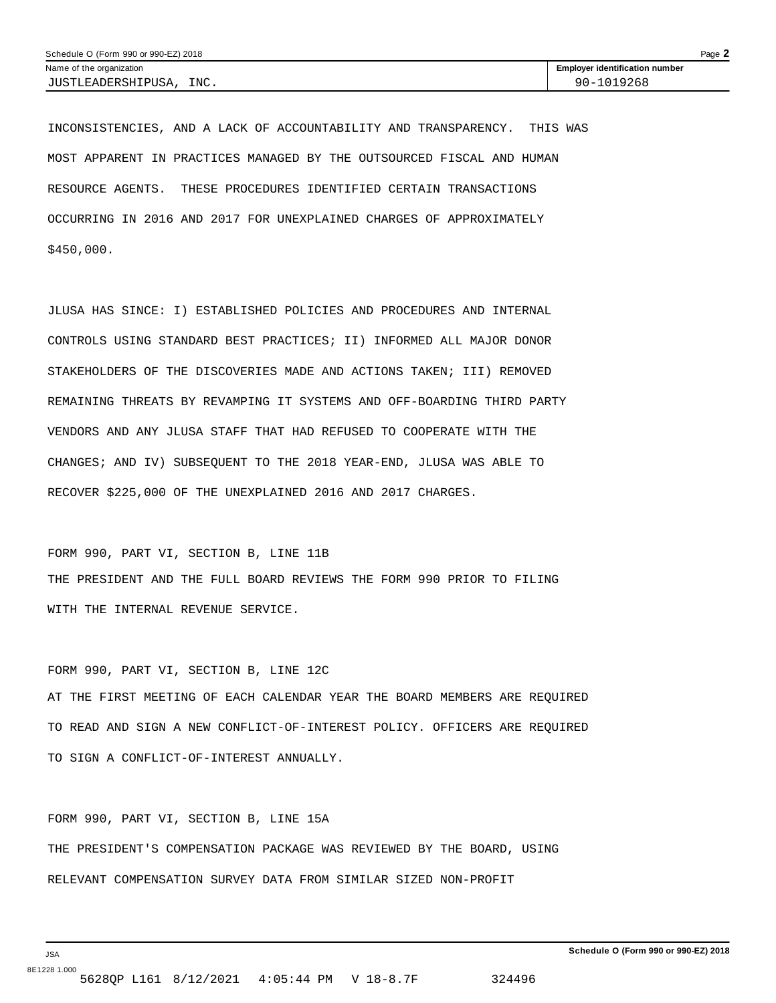INCONSISTENCIES, AND A LACK OF ACCOUNTABILITY AND TRANSPARENCY. THIS WAS MOST APPARENT IN PRACTICES MANAGED BY THE OUTSOURCED FISCAL AND HUMAN RESOURCE AGENTS. THESE PROCEDURES IDENTIFIED CERTAIN TRANSACTIONS OCCURRING IN 2016 AND 2017 FOR UNEXPLAINED CHARGES OF APPROXIMATELY \$450,000.

JLUSA HAS SINCE: I) ESTABLISHED POLICIES AND PROCEDURES AND INTERNAL CONTROLS USING STANDARD BEST PRACTICES; II) INFORMED ALL MAJOR DONOR STAKEHOLDERS OF THE DISCOVERIES MADE AND ACTIONS TAKEN; III) REMOVED REMAINING THREATS BY REVAMPING IT SYSTEMS AND OFF-BOARDING THIRD PARTY VENDORS AND ANY JLUSA STAFF THAT HAD REFUSED TO COOPERATE WITH THE CHANGES; AND IV) SUBSEQUENT TO THE 2018 YEAR-END, JLUSA WAS ABLE TO RECOVER \$225,000 OF THE UNEXPLAINED 2016 AND 2017 CHARGES.

FORM 990, PART VI, SECTION B, LINE 11B THE PRESIDENT AND THE FULL BOARD REVIEWS THE FORM 990 PRIOR TO FILING WITH THE INTERNAL REVENUE SERVICE.

```
FORM 990, PART VI, SECTION B, LINE 12C
AT THE FIRST MEETING OF EACH CALENDAR YEAR THE BOARD MEMBERS ARE REQUIRED
TO READ AND SIGN A NEW CONFLICT-OF-INTEREST POLICY. OFFICERS ARE REQUIRED
TO SIGN A CONFLICT-OF-INTEREST ANNUALLY.
```
FORM 990, PART VI, SECTION B, LINE 15A THE PRESIDENT'S COMPENSATION PACKAGE WAS REVIEWED BY THE BOARD, USING RELEVANT COMPENSATION SURVEY DATA FROM SIMILAR SIZED NON-PROFIT

JSA